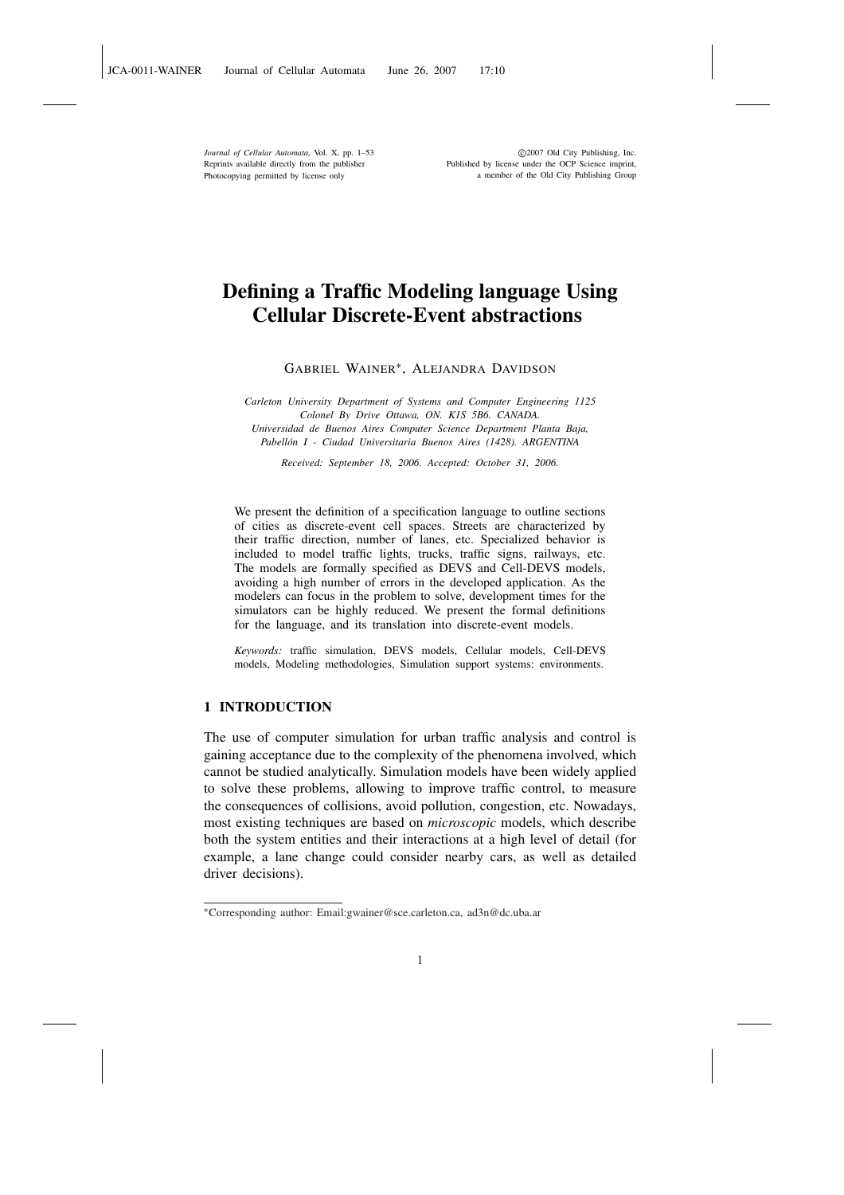*Journal of Cellular Automata,* Vol. X, pp. 1–53 Reprints available directly from the publisher Photocopying permitted by license only

 °c 2007 Old City Publishing, Inc. Published by license under the OCP Science imprint, a member of the Old City Publishing Group

# Defining a Traffic Modeling language Using Cellular Discrete-Event abstractions

GABRIEL WAINER<sup>∗</sup> , ALEJANDRA DAVIDSON

*Carleton University Department of Systems and Computer Engineering 1125 Colonel By Drive Ottawa, ON. K1S 5B6. CANADA. Universidad de Buenos Aires Computer Science Department Planta Baja, Pabell´on I - Ciudad Universitaria Buenos Aires (1428). ARGENTINA*

*Received: September 18, 2006. Accepted: October 31, 2006.*

We present the definition of a specification language to outline sections of cities as discrete-event cell spaces. Streets are characterized by their traffic direction, number of lanes, etc. Specialized behavior is included to model traffic lights, trucks, traffic signs, railways, etc. The models are formally specified as DEVS and Cell-DEVS models, avoiding a high number of errors in the developed application. As the modelers can focus in the problem to solve, development times for the simulators can be highly reduced. We present the formal definitions for the language, and its translation into discrete-event models.

*Keywords:* traffic simulation, DEVS models, Cellular models, Cell-DEVS models, Modeling methodologies, Simulation support systems: environments.

# 1 INTRODUCTION

The use of computer simulation for urban traffic analysis and control is gaining acceptance due to the complexity of the phenomena involved, which cannot be studied analytically. Simulation models have been widely applied to solve these problems, allowing to improve traffic control, to measure the consequences of collisions, avoid pollution, congestion, etc. Nowadays, most existing techniques are based on *microscopic* models, which describe both the system entities and their interactions at a high level of detail (for example, a lane change could consider nearby cars, as well as detailed driver decisions).

1

<sup>∗</sup>Corresponding author: Email:gwainer@sce.carleton.ca, ad3n@dc.uba.ar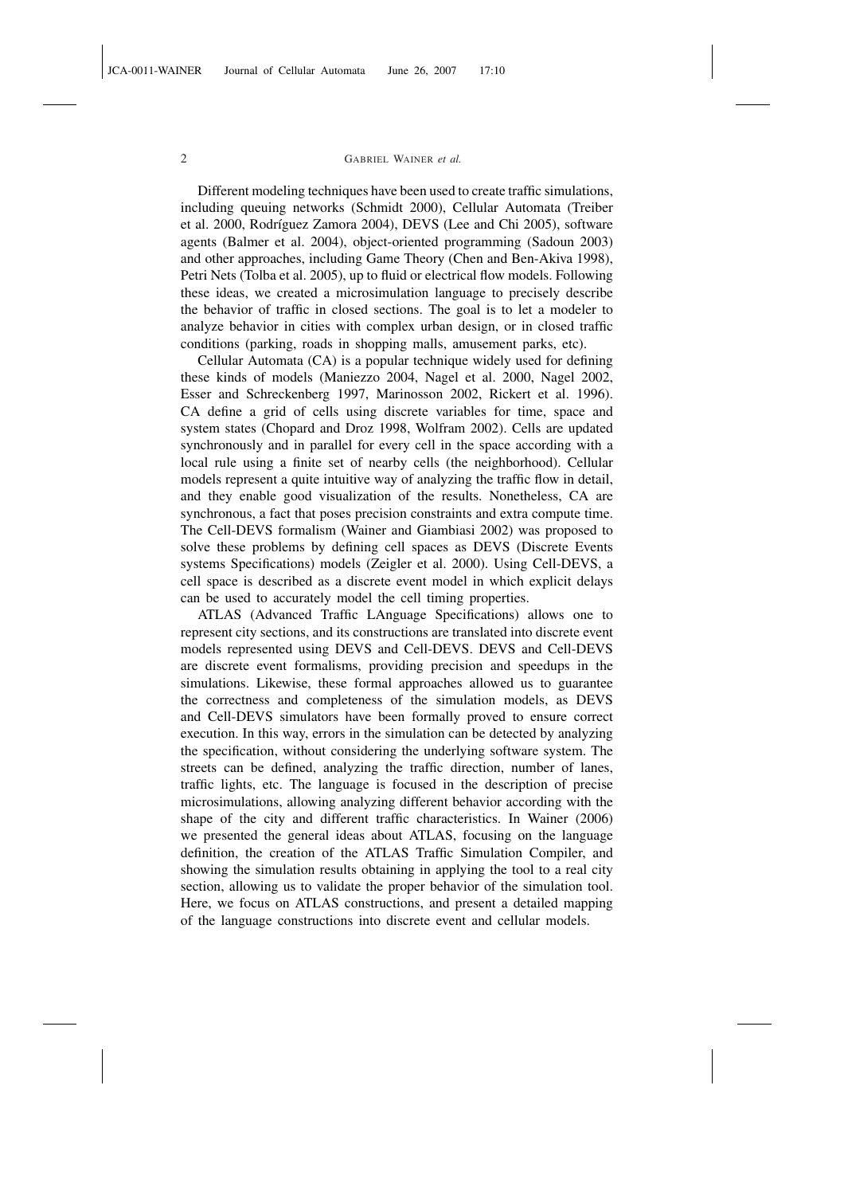Different modeling techniques have been used to create traffic simulations, including queuing networks (Schmidt 2000), Cellular Automata (Treiber et al. 2000, Rodríguez Zamora 2004), DEVS (Lee and Chi 2005), software agents (Balmer et al. 2004), object-oriented programming (Sadoun 2003) and other approaches, including Game Theory (Chen and Ben-Akiva 1998), Petri Nets (Tolba et al. 2005), up to fluid or electrical flow models. Following these ideas, we created a microsimulation language to precisely describe the behavior of traffic in closed sections. The goal is to let a modeler to analyze behavior in cities with complex urban design, or in closed traffic conditions (parking, roads in shopping malls, amusement parks, etc).

Cellular Automata (CA) is a popular technique widely used for defining these kinds of models (Maniezzo 2004, Nagel et al. 2000, Nagel 2002, Esser and Schreckenberg 1997, Marinosson 2002, Rickert et al. 1996). CA define a grid of cells using discrete variables for time, space and system states (Chopard and Droz 1998, Wolfram 2002). Cells are updated synchronously and in parallel for every cell in the space according with a local rule using a finite set of nearby cells (the neighborhood). Cellular models represent a quite intuitive way of analyzing the traffic flow in detail, and they enable good visualization of the results. Nonetheless, CA are synchronous, a fact that poses precision constraints and extra compute time. The Cell-DEVS formalism (Wainer and Giambiasi 2002) was proposed to solve these problems by defining cell spaces as DEVS (Discrete Events systems Specifications) models (Zeigler et al. 2000). Using Cell-DEVS, a cell space is described as a discrete event model in which explicit delays can be used to accurately model the cell timing properties.

ATLAS (Advanced Traffic LAnguage Specifications) allows one to represent city sections, and its constructions are translated into discrete event models represented using DEVS and Cell-DEVS. DEVS and Cell-DEVS are discrete event formalisms, providing precision and speedups in the simulations. Likewise, these formal approaches allowed us to guarantee the correctness and completeness of the simulation models, as DEVS and Cell-DEVS simulators have been formally proved to ensure correct execution. In this way, errors in the simulation can be detected by analyzing the specification, without considering the underlying software system. The streets can be defined, analyzing the traffic direction, number of lanes, traffic lights, etc. The language is focused in the description of precise microsimulations, allowing analyzing different behavior according with the shape of the city and different traffic characteristics. In Wainer (2006) we presented the general ideas about ATLAS, focusing on the language definition, the creation of the ATLAS Traffic Simulation Compiler, and showing the simulation results obtaining in applying the tool to a real city section, allowing us to validate the proper behavior of the simulation tool. Here, we focus on ATLAS constructions, and present a detailed mapping of the language constructions into discrete event and cellular models.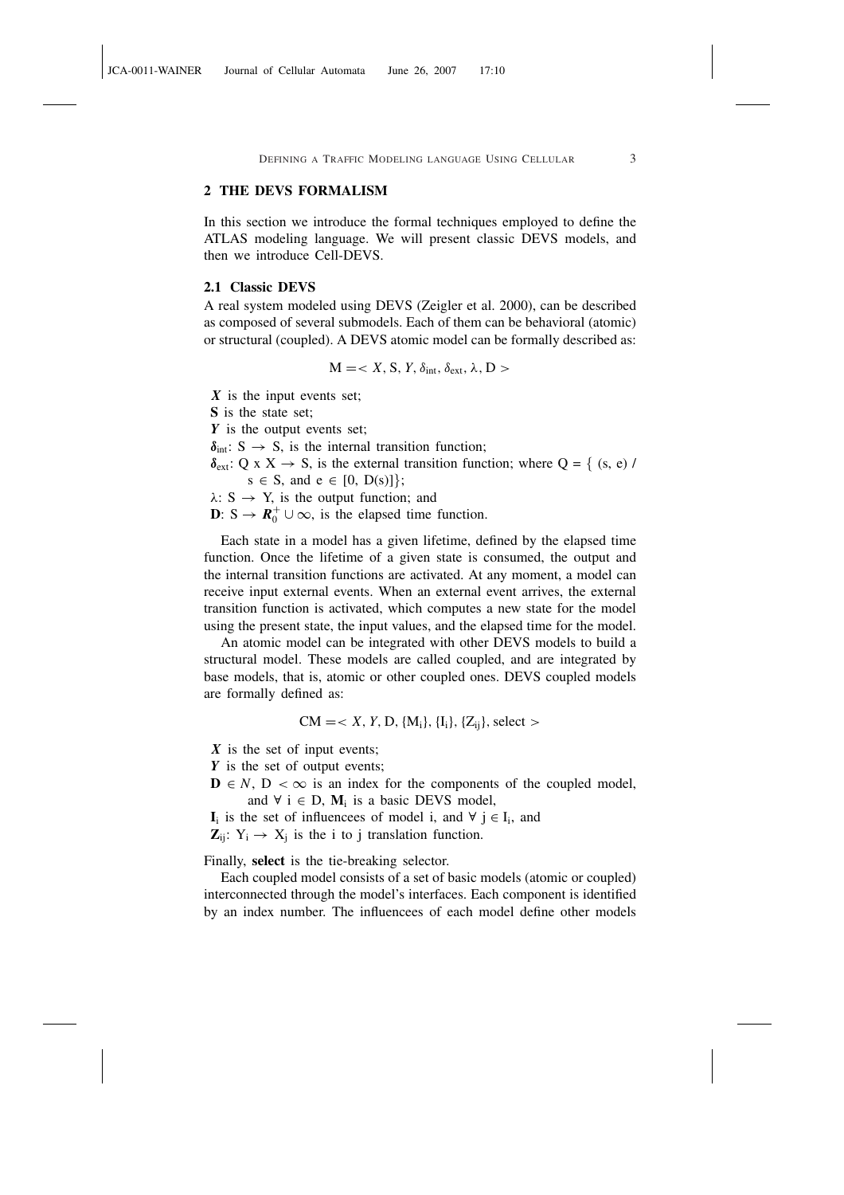# 2 THE DEVS FORMALISM

In this section we introduce the formal techniques employed to define the ATLAS modeling language. We will present classic DEVS models, and then we introduce Cell-DEVS.

### 2.1 Classic DEVS

A real system modeled using DEVS (Zeigler et al. 2000), can be described as composed of several submodels. Each of them can be behavioral (atomic) or structural (coupled). A DEVS atomic model can be formally described as:

$$
M =
$$

*X* is the input events set; S is the state set; *Y* is the output events set;  $\delta_{\text{int}}$ : S  $\rightarrow$  S, is the internal transition function;  $\delta_{ext}$ : Q x X  $\rightarrow$  S, is the external transition function; where Q = { (s, e) /  $s \in S$ , and  $e \in [0, D(s)]$ ;  $\lambda$ : S  $\rightarrow$  Y, is the output function; and **D**:  $S \to \mathbf{R}_0^+ \cup \infty$ , is the elapsed time function.

Each state in a model has a given lifetime, defined by the elapsed time function. Once the lifetime of a given state is consumed, the output and the internal transition functions are activated. At any moment, a model can receive input external events. When an external event arrives, the external transition function is activated, which computes a new state for the model using the present state, the input values, and the elapsed time for the model.

An atomic model can be integrated with other DEVS models to build a structural model. These models are called coupled, and are integrated by base models, that is, atomic or other coupled ones. DEVS coupled models are formally defined as:

$$
CM = < X, Y, D, \{M_i\}, \{I_i\}, \{Z_{ij}\}\
$$
, select  $>$ 

*X* is the set of input events;

*Y* is the set of output events;

 $\mathbf{D} \in N$ ,  $D < \infty$  is an index for the components of the coupled model, and  $\forall$  i  $\in$  D,  $M_i$  is a basic DEVS model,

 $I_i$  is the set of influencees of model i, and  $\forall j \in I_i$ , and

 $\mathbf{Z}_{ij}$ :  $Y_i \rightarrow X_j$  is the i to j translation function.

Finally, select is the tie-breaking selector.

Each coupled model consists of a set of basic models (atomic or coupled) interconnected through the model's interfaces. Each component is identified by an index number. The influencees of each model define other models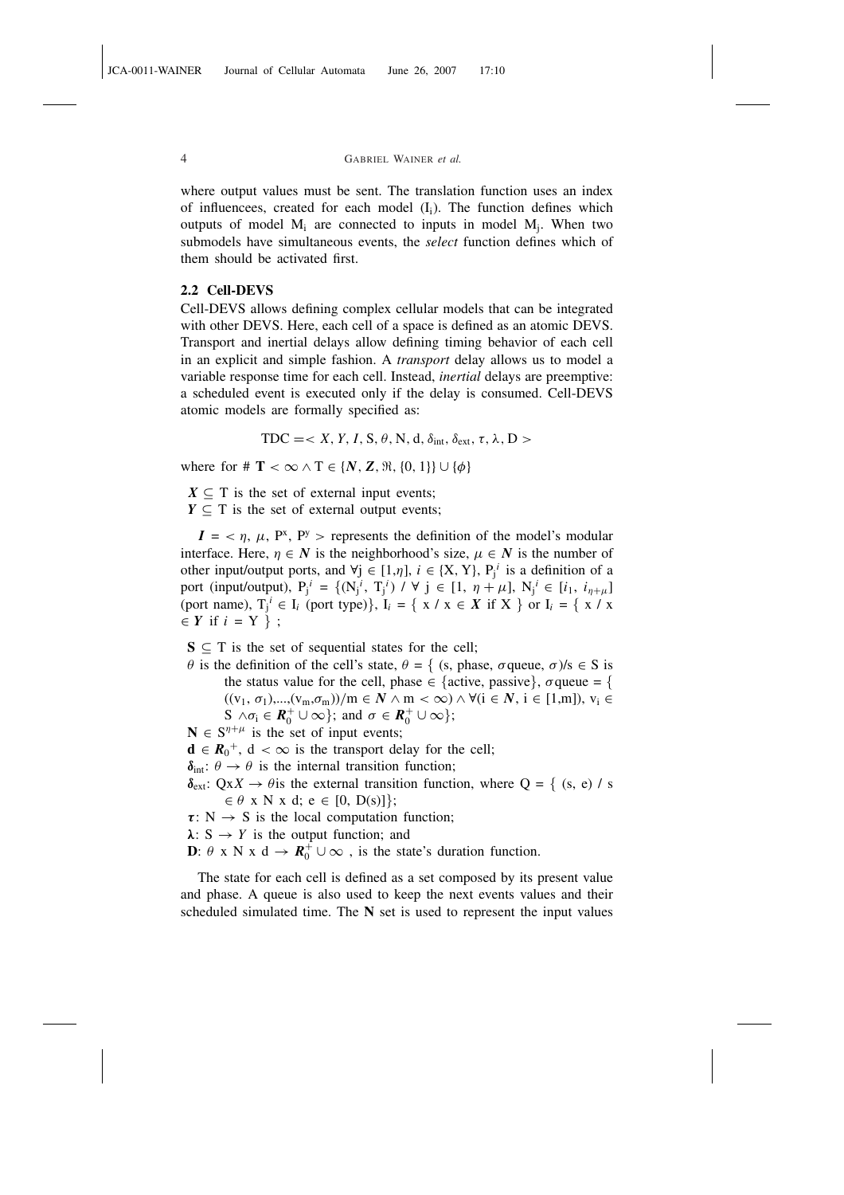where output values must be sent. The translation function uses an index of influencees, created for each model  $(I_i)$ . The function defines which outputs of model  $M_i$  are connected to inputs in model  $M_j$ . When two submodels have simultaneous events, the *select* function defines which of them should be activated first.

# 2.2 Cell-DEVS

Cell-DEVS allows defining complex cellular models that can be integrated with other DEVS. Here, each cell of a space is defined as an atomic DEVS. Transport and inertial delays allow defining timing behavior of each cell in an explicit and simple fashion. A *transport* delay allows us to model a variable response time for each cell. Instead, *inertial* delays are preemptive: a scheduled event is executed only if the delay is consumed. Cell-DEVS atomic models are formally specified as:

$$
TDC = < X, Y, I, S, \theta, N, d, \delta_{int}, \delta_{ext}, \tau, \lambda, D >
$$

where for #  $\mathbf{T} < \infty \wedge \mathbf{T} \in \{N, Z, \Re, \{0, 1\}\} \cup \{\phi\}$ 

 $X \subseteq T$  is the set of external input events;  $Y \subseteq T$  is the set of external output events:

 $I = \langle \eta, \mu, P^x, P^y \rangle$  represents the definition of the model's modular interface. Here,  $n \in N$  is the neighborhood's size,  $u \in N$  is the number of other input/output ports, and  $\forall j \in [1, \eta], i \in \{X, Y\}, P_j^i$  is a definition of a port (input/output),  $P_j^i = \{ (N_j^i, T_j^i) / \forall j \in [1, \eta + \mu], N_j^i \in [i_1, i_{\eta + \mu}] \}$ (port name),  $T_j^i \in I_i$  (port type)},  $I_i = \{ x / x \in X \text{ if } X \}$  or  $I_i = \{ x / x \}$  $\in Y$  if  $i = Y$  } ;

 $S \subseteq T$  is the set of sequential states for the cell;

 $θ$  is the definition of the cell's state,  $θ = { (s, phase, σqueue, σ)}/{s ∈ S}$  is the status value for the cell, phase  $\in$  {active, passive},  $\sigma$  queue = {  $((v_1, \sigma_1),..., (v_m, \sigma_m))/m \in N \wedge m < \infty) \wedge \forall (i \in N, i \in [1,m]), v_i \in$  $S \wedge \sigma_i \in \mathbf{R}_0^+ \cup \infty$ ; and  $\sigma \in \mathbf{R}_0^+ \cup \infty$ ;

- $N \in S^{\eta+\mu}$  is the set of input events;
- $d \in R_0^+$ ,  $d < \infty$  is the transport delay for the cell;
- $\delta_{\text{int}}$ :  $\theta \rightarrow \theta$  is the internal transition function;

 $\delta_{ext}$ : Qx*X*  $\rightarrow$   $\theta$  is the external transition function, where Q = { (s, e) / s  $\in \theta$  x N x d; e  $\in [0, D(s)]$ ;

- $\tau: N \rightarrow S$  is the local computation function:
- $\lambda$ : S  $\rightarrow$  *Y* is the output function; and

**D**:  $\theta$  x N x d  $\rightarrow$   $\mathbb{R}_0^+ \cup \infty$ , is the state's duration function.

The state for each cell is defined as a set composed by its present value and phase. A queue is also used to keep the next events values and their scheduled simulated time. The N set is used to represent the input values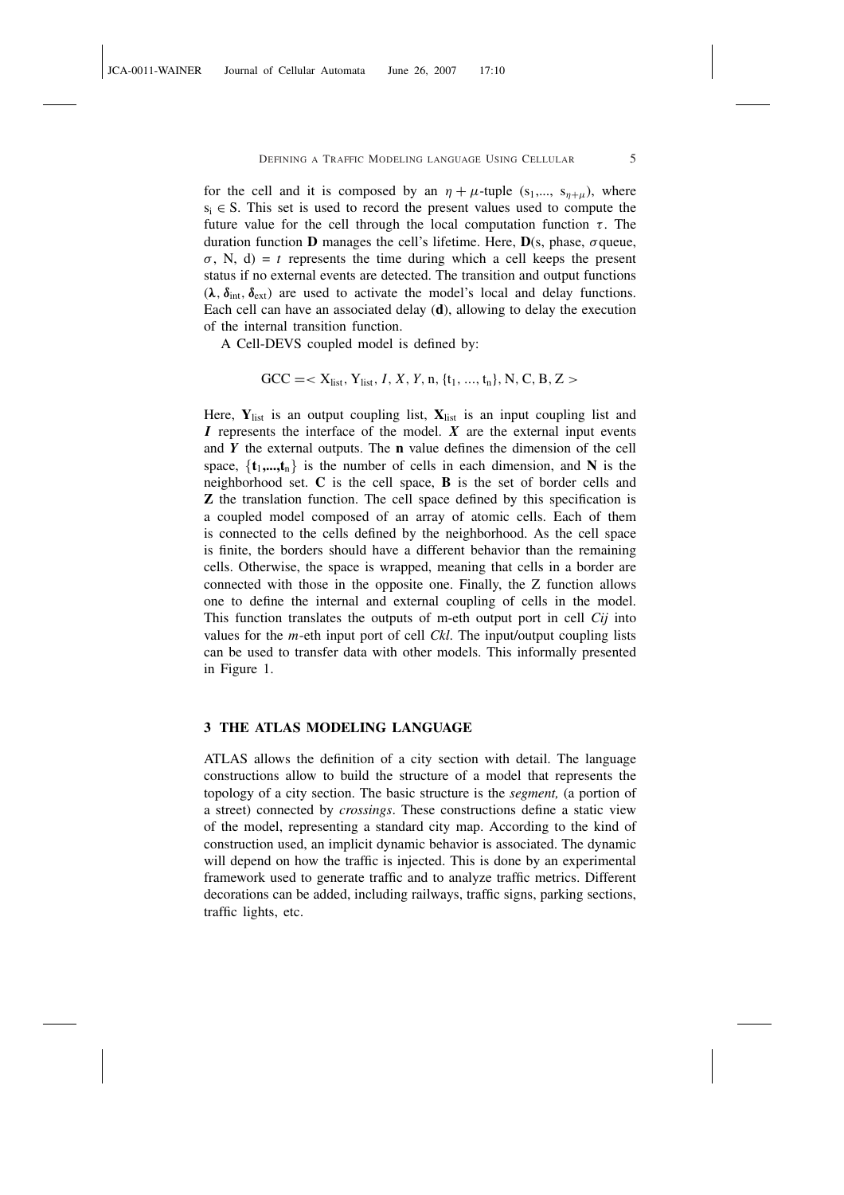for the cell and it is composed by an  $\eta + \mu$ -tuple (s<sub>1</sub>,..., s<sub> $\eta + \mu$ </sub>), where  $s_i \in S$ . This set is used to record the present values used to compute the future value for the cell through the local computation function  $\tau$ . The duration function **D** manages the cell's lifetime. Here,  $D(s, phase, \sigma)$  queue,  $\sigma$ , N, d) = *t* represents the time during which a cell keeps the present status if no external events are detected. The transition and output functions  $(\lambda, \delta_{int}, \delta_{ext})$  are used to activate the model's local and delay functions. Each cell can have an associated delay (d), allowing to delay the execution of the internal transition function.

A Cell-DEVS coupled model is defined by:

$$
GCC = < X_{list}, Y_{list}, I, X, Y, n, {t_1, ..., t_n}, N, C, B, Z >
$$

Here,  $Y_{list}$  is an output coupling list,  $X_{list}$  is an input coupling list and *I* represents the interface of the model. *X* are the external input events and *Y* the external outputs. The n value defines the dimension of the cell space,  $\{t_1,...,t_n\}$  is the number of cells in each dimension, and N is the neighborhood set. C is the cell space, B is the set of border cells and Z the translation function. The cell space defined by this specification is a coupled model composed of an array of atomic cells. Each of them is connected to the cells defined by the neighborhood. As the cell space is finite, the borders should have a different behavior than the remaining cells. Otherwise, the space is wrapped, meaning that cells in a border are connected with those in the opposite one. Finally, the Z function allows one to define the internal and external coupling of cells in the model. This function translates the outputs of m-eth output port in cell *Cij* into values for the *m*-eth input port of cell *Ckl*. The input/output coupling lists can be used to transfer data with other models. This informally presented in Figure 1.

# 3 THE ATLAS MODELING LANGUAGE

ATLAS allows the definition of a city section with detail. The language constructions allow to build the structure of a model that represents the topology of a city section. The basic structure is the *segment,* (a portion of a street) connected by *crossings*. These constructions define a static view of the model, representing a standard city map. According to the kind of construction used, an implicit dynamic behavior is associated. The dynamic will depend on how the traffic is injected. This is done by an experimental framework used to generate traffic and to analyze traffic metrics. Different decorations can be added, including railways, traffic signs, parking sections, traffic lights, etc.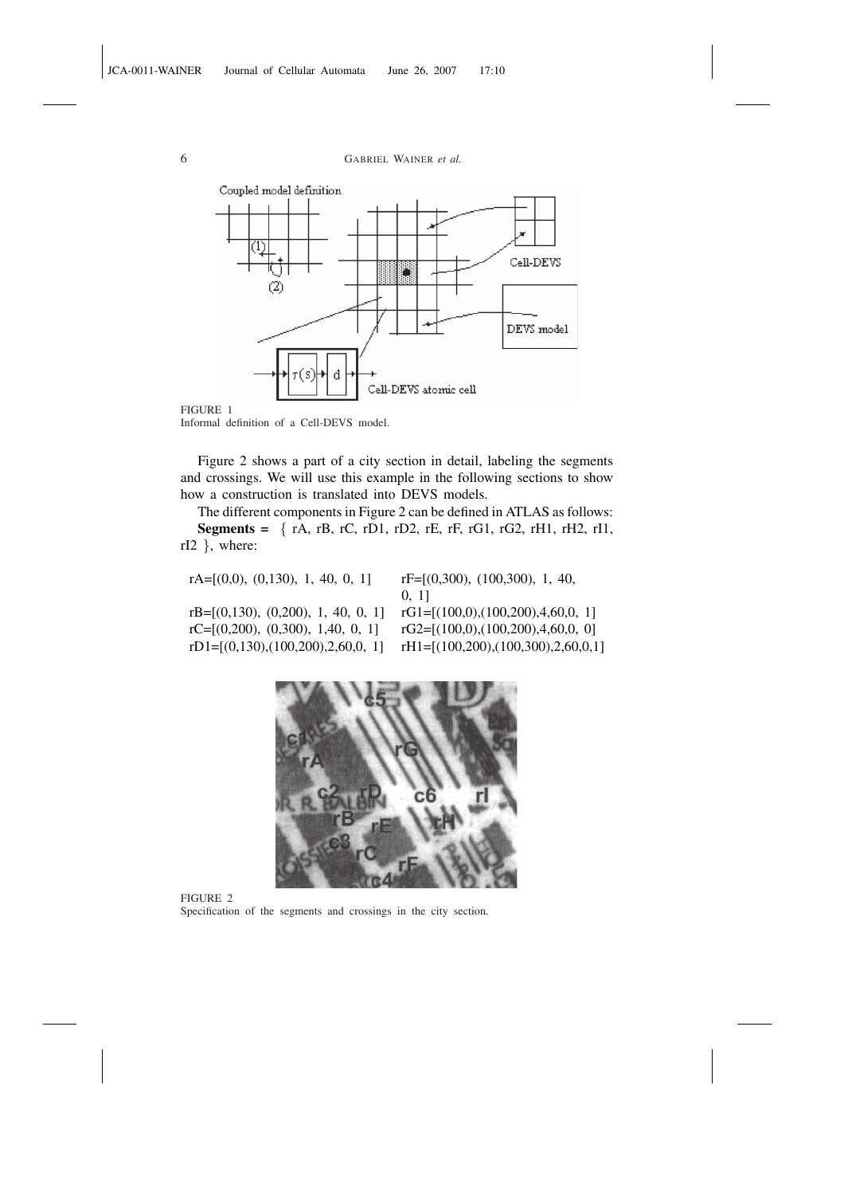

Informal definition of a Cell-DEVS model.

Figure 2 shows a part of a city section in detail, labeling the segments and crossings. We will use this example in the following sections to show how a construction is translated into DEVS models.

The different components in Figure 2 can be defined in ATLAS as follows: Segments = { $rA, rB, rC, rD1, rD2, rE, rF, rG1, rG2, rH1, rH2, rI1,$ rI2 }, where:

| $rF=[(0,300), (100,300), 1, 40,$         |
|------------------------------------------|
| 0, 11                                    |
| rG1= $[(100,0), (100,200), 4, 60, 0, 1]$ |
| $rG2=[(100,0),(100,200),4,60,0,0]$       |
| rH1= $[(100,200), (100,300), 2,60,0,1]$  |
|                                          |



FIGURE 2 Specification of the segments and crossings in the city section.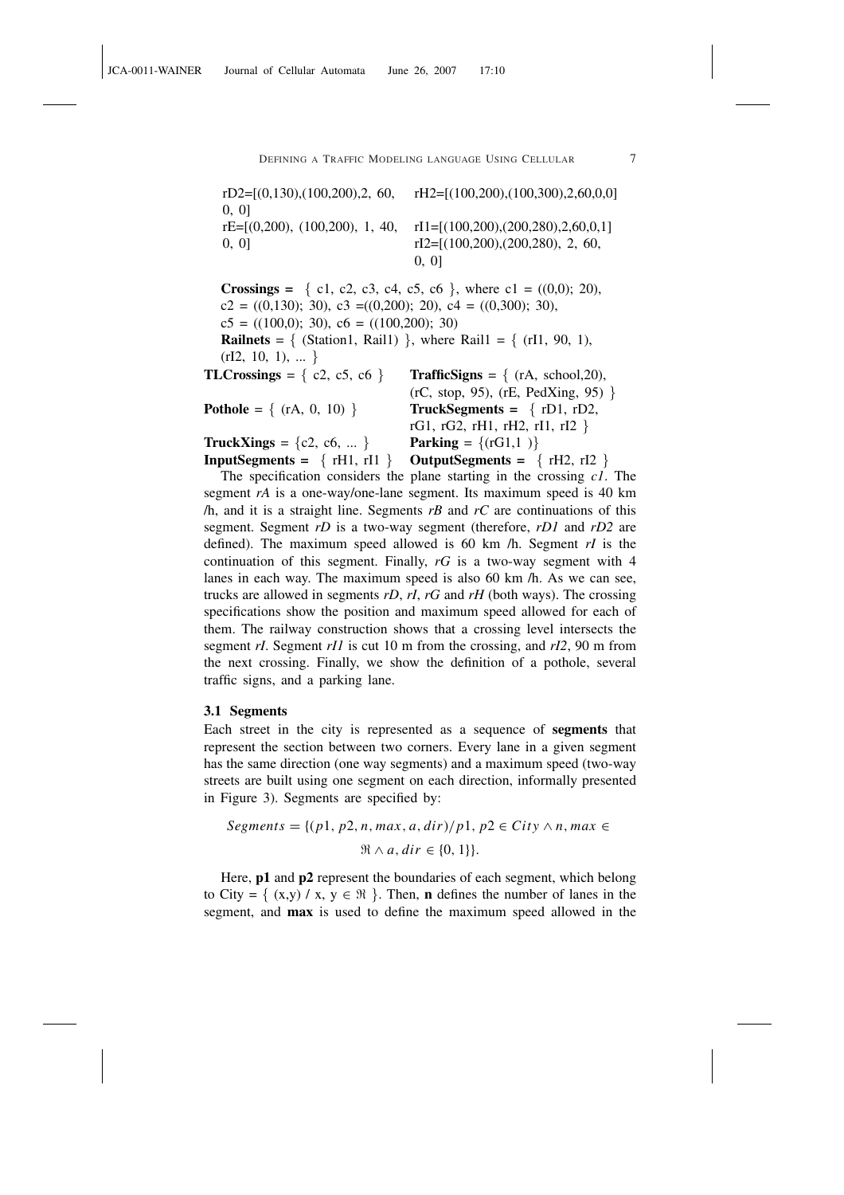rD2=[(0,130),(100,200),2, 60, rH2=[(100,200),(100,300),2,60,0,0] 0, 0] rE=[(0,200), (100,200), 1, 40, rI1=[(100,200),(200,280),2,60,0,1] 0, 0]  $rI2=[(100,200),(200,280), 2, 60,$ 0, 0] **Crossings** = { c1, c2, c3, c4, c5, c6 }, where c1 =  $((0,0); 20)$ ,  $c2 = ((0,130); 30), c3 = ((0,200); 20), c4 = ((0,300); 30),$  $c5 = ((100,0); 30), c6 = ((100,200); 30)$ **Railnets** = { (Station1, Rail1) }, where Rail1 = {  $(rI1, 90, 1)$ ,  $(rI2, 10, 1), \dots$ } TLCrossings =  $\{c2, c5, c6\}$  TrafficSigns =  $\{(rA, school, 20),$ (rC, stop, 95), (rE, PedXing, 95) } **Pothole** =  $\{ (rA, 0, 10) \}$  **TruckSegments =**  $\{ rD1, rD2, rD2, rD3, rD4, rD5, rD7, rD8, rD9, rD1, rD2, rD1, rD2, rD1, rD2, rD1, rD2, rD1, rD2, rD1, rD2, rD2, rD3, rD4, rD5, rD1, rD2, rD2, rD3, rD4, rD5, rD6, rD7, rD8, rD8, rD9, rD1, rD2, rD1, rD2, rD1, rD2, rD$ rG1, rG2, rH1, rH2, rI1, rI2 } **TruckXings** =  $\{c2, c6, ...\}$  **Parking** =  $\{(rG1,1)\}$  $InputStreams = \{ rH1, rI1 \}$  OutputSegments =  $\{ rH2, rI2 \}$ The specification considers the plane starting in the crossing *c1*. The

segment *rA* is a one-way/one-lane segment. Its maximum speed is 40 km /h, and it is a straight line. Segments *rB* and *rC* are continuations of this segment. Segment *rD* is a two-way segment (therefore, *rD1* and *rD2* are defined). The maximum speed allowed is 60 km /h. Segment *rI* is the continuation of this segment. Finally, *rG* is a two-way segment with 4 lanes in each way. The maximum speed is also 60 km /h. As we can see, trucks are allowed in segments *rD*, *rI*, *rG* and *rH* (both ways). The crossing specifications show the position and maximum speed allowed for each of them. The railway construction shows that a crossing level intersects the segment *rI*. Segment *rI1* is cut 10 m from the crossing, and *rI2*, 90 m from the next crossing. Finally, we show the definition of a pothole, several traffic signs, and a parking lane.

#### 3.1 Segments

Each street in the city is represented as a sequence of segments that represent the section between two corners. Every lane in a given segment has the same direction (one way segments) and a maximum speed (two-way streets are built using one segment on each direction, informally presented in Figure 3). Segments are specified by:

$$
Segments = \{(p1, p2, n, max, a, dir)/p1, p2 \in City \land n, max \in \mathcal{R} \land a, dir \in \{0, 1\}\}.
$$

Here, **p1** and **p2** represent the boundaries of each segment, which belong to City =  $\{ (x,y) / x, y \in \mathbb{R} \}$ . Then, **n** defines the number of lanes in the segment, and max is used to define the maximum speed allowed in the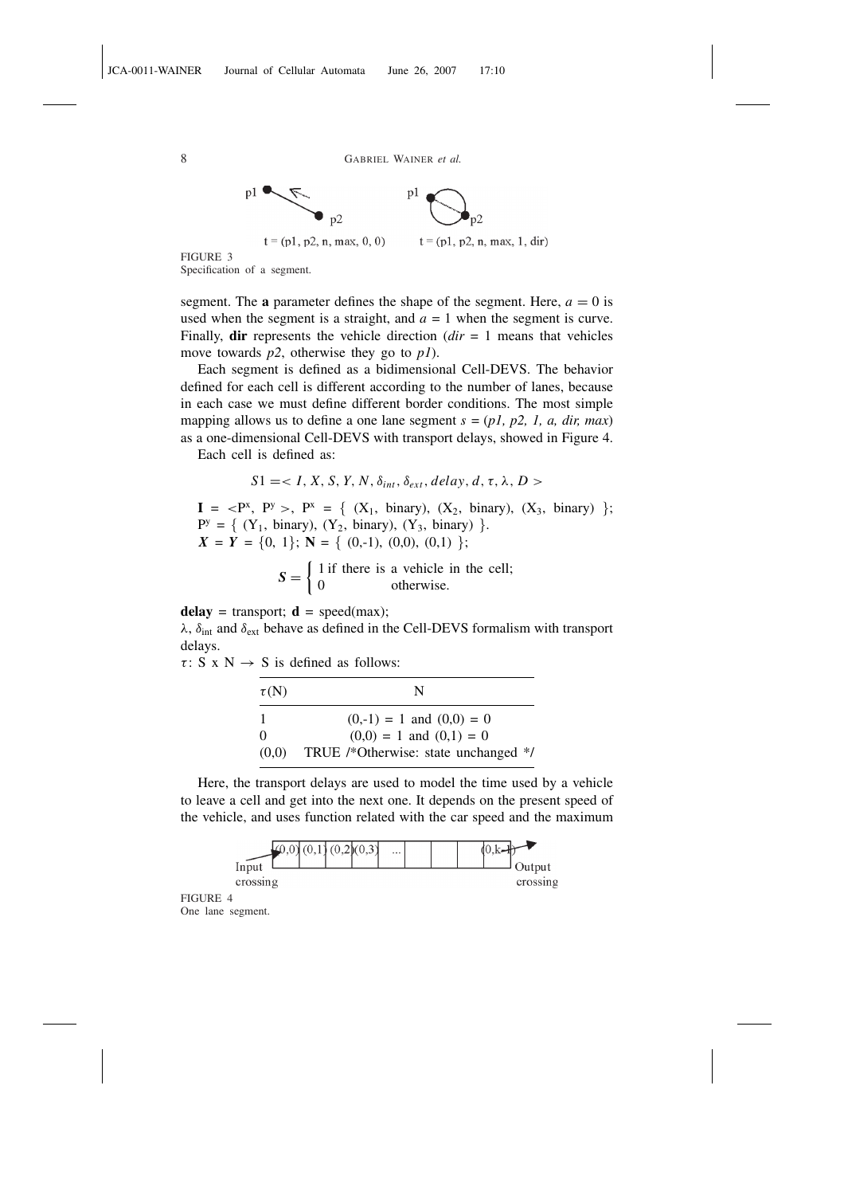

Specification of a segment.

segment. The **a** parameter defines the shape of the segment. Here,  $a = 0$  is used when the segment is a straight, and  $a = 1$  when the segment is curve. Finally, dir represents the vehicle direction (*dir* = 1 means that vehicles move towards *p2*, otherwise they go to *p1*).

Each segment is defined as a bidimensional Cell-DEVS. The behavior defined for each cell is different according to the number of lanes, because in each case we must define different border conditions. The most simple mapping allows us to define a one lane segment *s* = (*p1, p2, 1, a, dir, max*) as a one-dimensional Cell-DEVS with transport delays, showed in Figure 4.

Each cell is defined as:

$$
S1 =
$$

 $I = \langle P^x, P^y \rangle, P^x = \{ (X_1, \text{ binary}), (X_2, \text{ binary}), (X_3, \text{ binary}) \}$ ;  $P^y = \{ (Y_1, \text{ binary}), (Y_2, \text{ binary}), (Y_3, \text{ binary}) \}.$  $X = Y = \{0, 1\}; N = \{ (0, -1), (0, 0), (0, 1) \};$  $\overline{a}$ 

$$
S = \begin{cases} 1 \text{ if there is a vehicle in the cell;} \\ 0 \text{ otherwise.} \end{cases}
$$

delay = transport;  $\mathbf{d}$  = speed(max);

 $\lambda$ ,  $\delta_{int}$  and  $\delta_{ext}$  behave as defined in the Cell-DEVS formalism with transport delays.

 $\tau$ : S x N  $\rightarrow$  S is defined as follows:

| $\tau(N)$ | N                                    |
|-----------|--------------------------------------|
| -1        | $(0,-1) = 1$ and $(0,0) = 0$         |
| $\Omega$  | $(0,0) = 1$ and $(0,1) = 0$          |
| (0,0)     | TRUE /*Otherwise: state unchanged */ |

Here, the transport delays are used to model the time used by a vehicle to leave a cell and get into the next one. It depends on the present speed of the vehicle, and uses function related with the car speed and the maximum



FIGURE 4 One lane segment.

8 GABRIEL WAINER *et al.*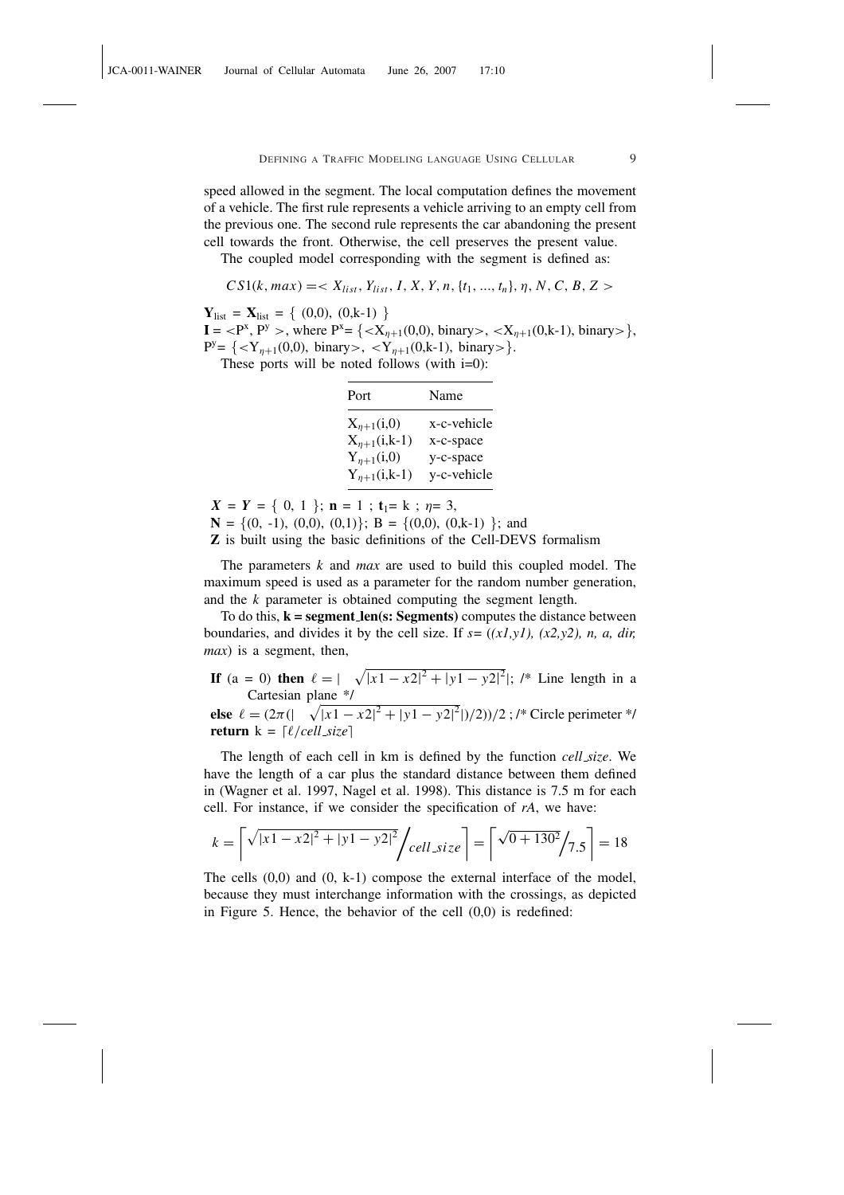speed allowed in the segment. The local computation defines the movement of a vehicle. The first rule represents a vehicle arriving to an empty cell from the previous one. The second rule represents the car abandoning the present cell towards the front. Otherwise, the cell preserves the present value.

The coupled model corresponding with the segment is defined as:

 $CS1(k, max) = \langle X_{list}, Y_{list}, I, X, Y, n, \{t_1, ..., t_n\}, \eta, N, C, B, Z \rangle$ 

 $Y_{\text{list}} = X_{\text{list}} = \{ (0,0), (0,k-1) \}$ 

 $I = \langle P^x, P^y \rangle$ , where  $P^x = \{ \langle X_{\eta+1}(0,0), \text{binary} \rangle, \langle X_{\eta+1}(0,k-1), \text{ binary} \rangle \},$  $P^y = \{ \langle Y_{\eta+1}(0,0), \text{ binary} \rangle, \langle Y_{\eta+1}(0,k-1), \text{ binary} \rangle \}.$ 

These ports will be noted follows (with i=0):

| Port                | Name        |
|---------------------|-------------|
| $X_{\eta+1}(i,0)$   | x-c-vehicle |
| $X_{n+1}(i,k-1)$    | x-c-space   |
| $Y_{\eta+1}(i,0)$   | y-c-space   |
| $Y_{\eta+1}(i,k-1)$ | y-c-vehicle |

 $X = Y = \{ 0, 1 \}; \mathbf{n} = 1; \mathbf{t}_1 = k; \eta = 3,$  $N = \{(0, -1), (0,0), (0,1)\}; B = \{(0,0), (0,k-1)\}; and$ Z is built using the basic definitions of the Cell-DEVS formalism

The parameters *k* and *max* are used to build this coupled model. The maximum speed is used as a parameter for the random number generation, and the *k* parameter is obtained computing the segment length.

To do this,  $k = segment\_len(s: Segments)$  computes the distance between boundaries, and divides it by the cell size. If *s*= (*(x1,y1), (x2,y2), n, a, dir, max*) is a segment, then,

**If** (a = 0) **then**  $\ell = |\sqrt{|x^1 - x^2|^2 + |y^1 - y^2|^2}$ ; /\* Line length in a Cartesian plane  $\frac{*}{\sqrt{2}}$ 

else  $\ell = (2\pi)(\sqrt{|x_1 - x_2|^2 + |y_1 - y_2|^2})/2)/2$ ; /\* Circle perimeter \*/ return  $k = \lfloor \ell/cell\_size \rfloor$ 

The length of each cell in km is defined by the function *cell size*. We have the length of a car plus the standard distance between them defined in (Wagner et al. 1997, Nagel et al. 1998). This distance is 7.5 m for each cell. For instance, if we consider the specification of *rA*, we have:

$$
k = \left\lceil \sqrt{|x_1 - x_2|^2 + |y_1 - y_2|^2} / \frac{cell\_size}{\right\rceil} = \left\lceil \sqrt{0 + 130^2} / 7.5 \right\rceil = 18
$$

The cells (0,0) and (0, k-1) compose the external interface of the model, because they must interchange information with the crossings, as depicted in Figure 5. Hence, the behavior of the cell (0,0) is redefined: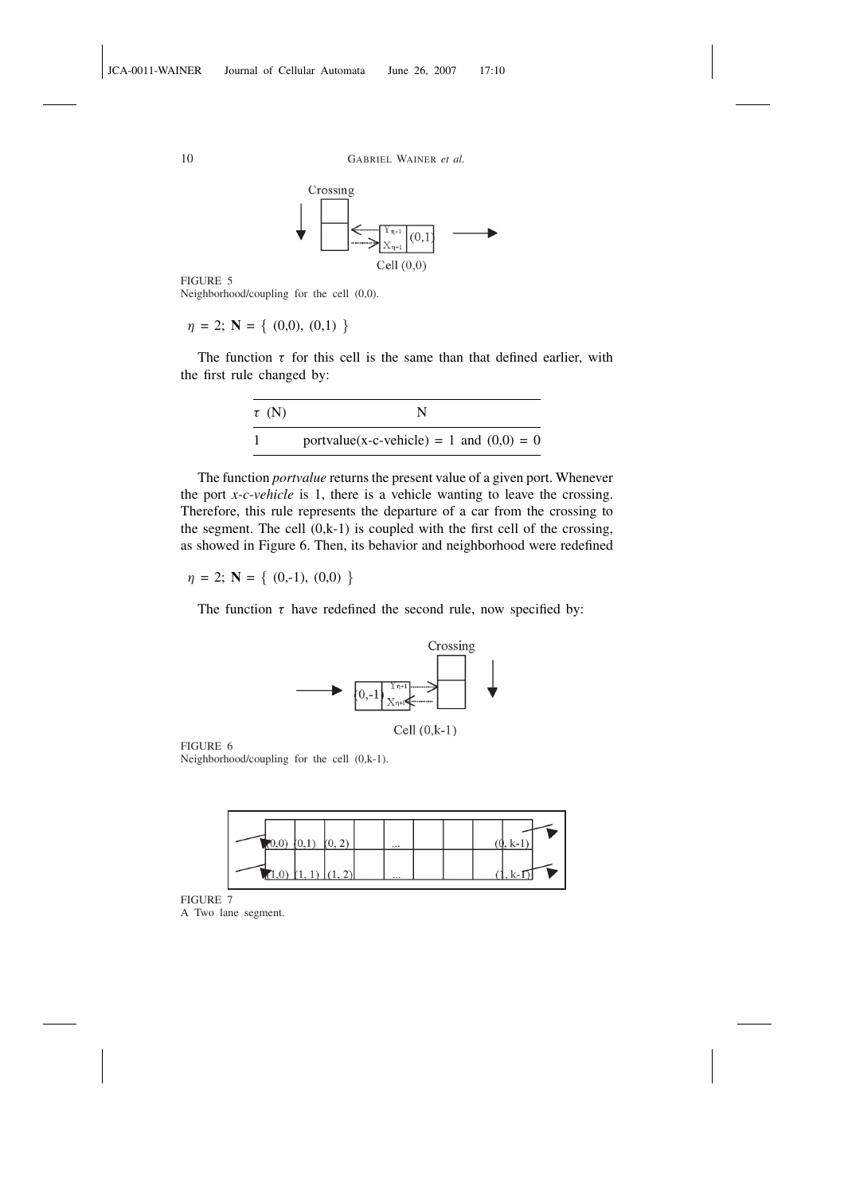



FIGURE 5 Neighborhood/coupling for the cell (0,0).

 $\eta = 2; \mathbf{N} = \{ (0,0), (0,1) \}$ 

The function  $\tau$  for this cell is the same than that defined earlier, with the first rule changed by:

| $\tau$ (N) | N                                          |
|------------|--------------------------------------------|
|            | portvalue(x-c-vehicle) = 1 and $(0,0) = 0$ |

The function *portvalue* returns the present value of a given port. Whenever the port *x-c-vehicle* is 1, there is a vehicle wanting to leave the crossing. Therefore, this rule represents the departure of a car from the crossing to the segment. The cell  $(0,k-1)$  is coupled with the first cell of the crossing, as showed in Figure 6. Then, its behavior and neighborhood were redefined

 $\eta = 2; \mathbf{N} = \{ (0,-1), (0,0) \}$ 

The function  $\tau$  have redefined the second rule, now specified by:



FIGURE 6 Neighborhood/coupling for the cell (0,k-1).



FIGURE 7 A Two lane segment.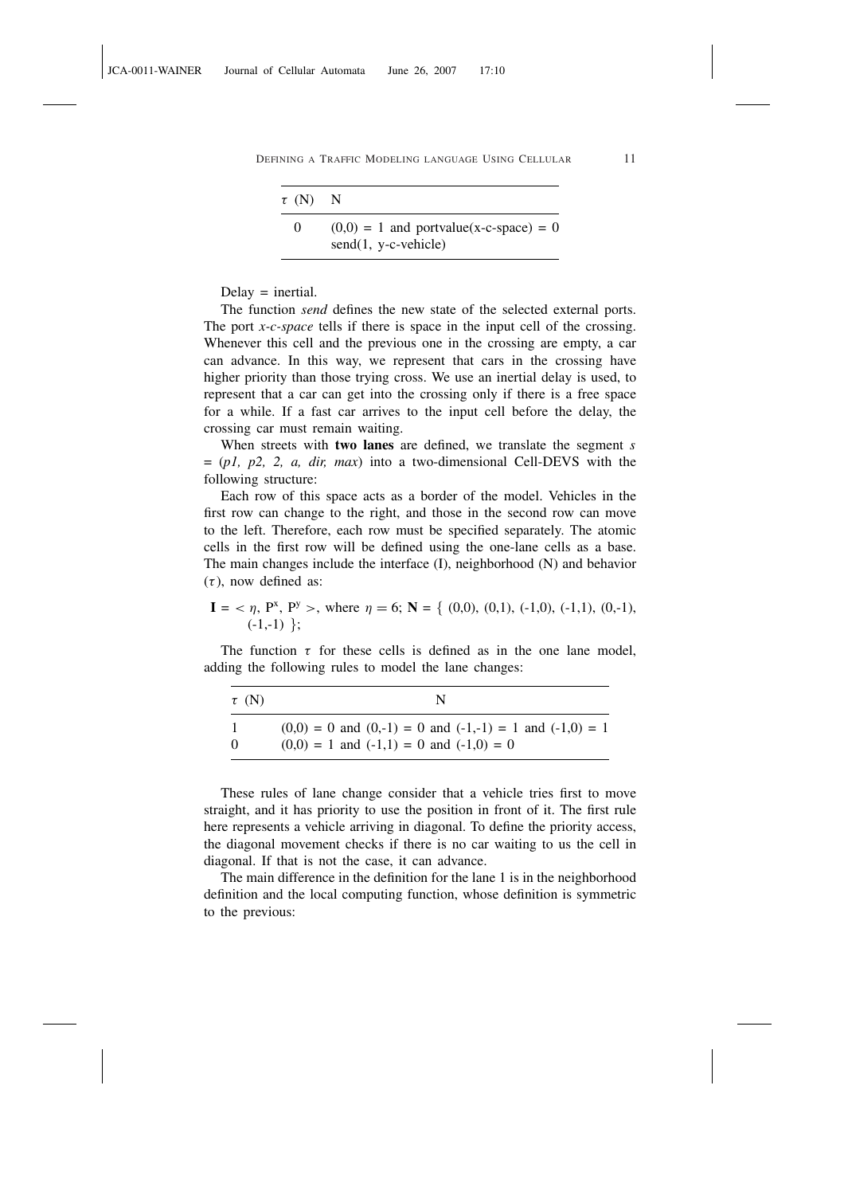| $\tau$ (N) N |                                                                     |
|--------------|---------------------------------------------------------------------|
| $\Omega$     | $(0,0) = 1$ and portvalue(x-c-space) = 0<br>$send(1, y-c- vehicle)$ |

 $Delay = inertial.$ 

The function *send* defines the new state of the selected external ports. The port *x-c-space* tells if there is space in the input cell of the crossing. Whenever this cell and the previous one in the crossing are empty, a car can advance. In this way, we represent that cars in the crossing have higher priority than those trying cross. We use an inertial delay is used, to represent that a car can get into the crossing only if there is a free space for a while. If a fast car arrives to the input cell before the delay, the crossing car must remain waiting.

When streets with two lanes are defined, we translate the segment *s* = (*p1, p2, 2, a, dir, max*) into a two-dimensional Cell-DEVS with the following structure:

Each row of this space acts as a border of the model. Vehicles in the first row can change to the right, and those in the second row can move to the left. Therefore, each row must be specified separately. The atomic cells in the first row will be defined using the one-lane cells as a base. The main changes include the interface (I), neighborhood (N) and behavior  $(\tau)$ , now defined as:

$$
\mathbf{I} = \langle \eta, P^x, P^y \rangle
$$
, where  $\eta = 6$ ;  $\mathbf{N} = \{ (0,0), (0,1), (-1,0), (-1,1), (0,-1), (-1,-1) \}$ ;

The function  $\tau$  for these cells is defined as in the one lane model, adding the following rules to model the lane changes:

| $\tau$ (N) |                                                                 |
|------------|-----------------------------------------------------------------|
|            | $(0,0) = 0$ and $(0,-1) = 0$ and $(-1,-1) = 1$ and $(-1,0) = 1$ |
| $\Omega$   | $(0,0) = 1$ and $(-1,1) = 0$ and $(-1,0) = 0$                   |

These rules of lane change consider that a vehicle tries first to move straight, and it has priority to use the position in front of it. The first rule here represents a vehicle arriving in diagonal. To define the priority access, the diagonal movement checks if there is no car waiting to us the cell in diagonal. If that is not the case, it can advance.

The main difference in the definition for the lane 1 is in the neighborhood definition and the local computing function, whose definition is symmetric to the previous: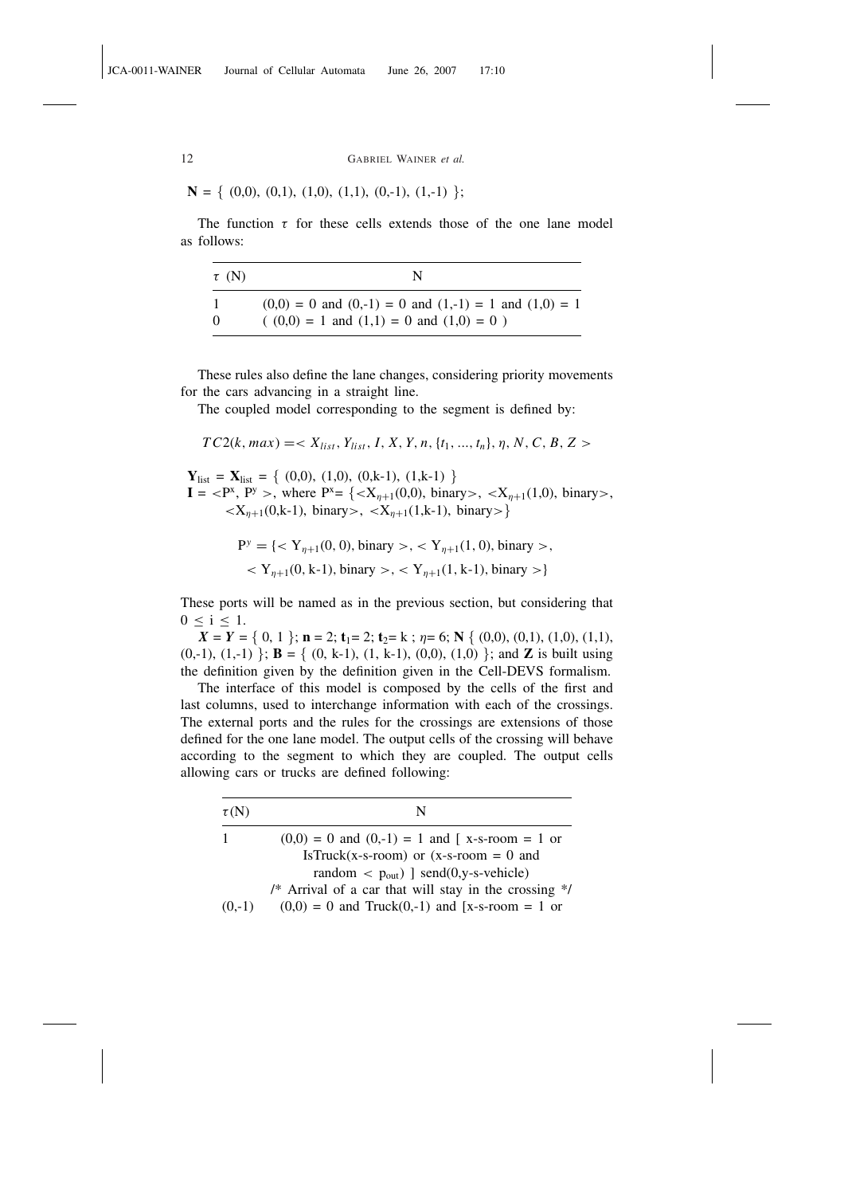$$
\mathbf{N} = \{ (0,0), (0,1), (1,0), (1,1), (0,-1), (1,-1) \};
$$

The function  $\tau$  for these cells extends those of the one lane model as follows:

| $\tau$ (N) |                                                               |
|------------|---------------------------------------------------------------|
|            | $(0,0) = 0$ and $(0,-1) = 0$ and $(1,-1) = 1$ and $(1,0) = 1$ |
|            | $(0,0) = 1$ and $(1,1) = 0$ and $(1,0) = 0$ )                 |

These rules also define the lane changes, considering priority movements for the cars advancing in a straight line.

The coupled model corresponding to the segment is defined by:

 $TC2(k, max) = \langle X_{list}, Y_{list}, I, X, Y, n, \{t_1, ..., t_n\}, \eta, N, C, B, Z \rangle$ 

 $Y_{\text{list}} = X_{\text{list}} = \{ (0,0), (1,0), (0,k-1), (1,k-1) \}$  $I = \langle P^x, P^y \rangle$ , where  $P^x = \{ \langle X_{\eta+1}(0,0), \text{ binary} \rangle, \langle X_{\eta+1}(1,0), \text{ binary} \rangle, \}$  $\langle X_{n+1}(0,k-1), \text{ binary} \rangle, \langle X_{n+1}(1,k-1), \text{ binary} \rangle$ 

$$
P^{y} = \{ \langle Y_{\eta+1}(0,0), \text{binary} \rangle, \langle Y_{\eta+1}(1,0), \text{binary} \rangle, \langle Y_{\eta+1}(0,k-1), \text{binary} \rangle, \langle Y_{\eta+1}(1,k-1), \text{binary} \rangle \}
$$

These ports will be named as in the previous section, but considering that  $0 \leq i \leq 1$ .

 $X = Y = \{ 0, 1 \}; \mathbf{n} = 2; \mathbf{t}_1 = 2; \mathbf{t}_2 = \mathbf{k} ; \eta = 6; \mathbf{N} \{ (0,0), (0,1), (1,0), (1,1),$  $(0,-1)$ ,  $(1,-1)$  }; **B** = {  $(0, k-1)$ ,  $(1, k-1)$ ,  $(0,0)$ ,  $(1,0)$  }; and **Z** is built using the definition given by the definition given in the Cell-DEVS formalism.

The interface of this model is composed by the cells of the first and last columns, used to interchange information with each of the crossings. The external ports and the rules for the crossings are extensions of those defined for the one lane model. The output cells of the crossing will behave according to the segment to which they are coupled. The output cells allowing cars or trucks are defined following:

| $\tau(N)$ | N                                                                |  |
|-----------|------------------------------------------------------------------|--|
| 1         | $(0,0) = 0$ and $(0,-1) = 1$ and $\lceil x-s-room \rceil = 1$ or |  |
|           | IsTruck(x-s-room) or $(x-s$ -room = 0 and                        |  |
|           | random $\langle$ p <sub>out</sub> ) send(0,y-s-vehicle)          |  |
|           | /* Arrival of a car that will stay in the crossing $\frac{1}{2}$ |  |
| $(0,-1)$  | $(0,0) = 0$ and Truck $(0,-1)$ and [x-s-room = 1 or              |  |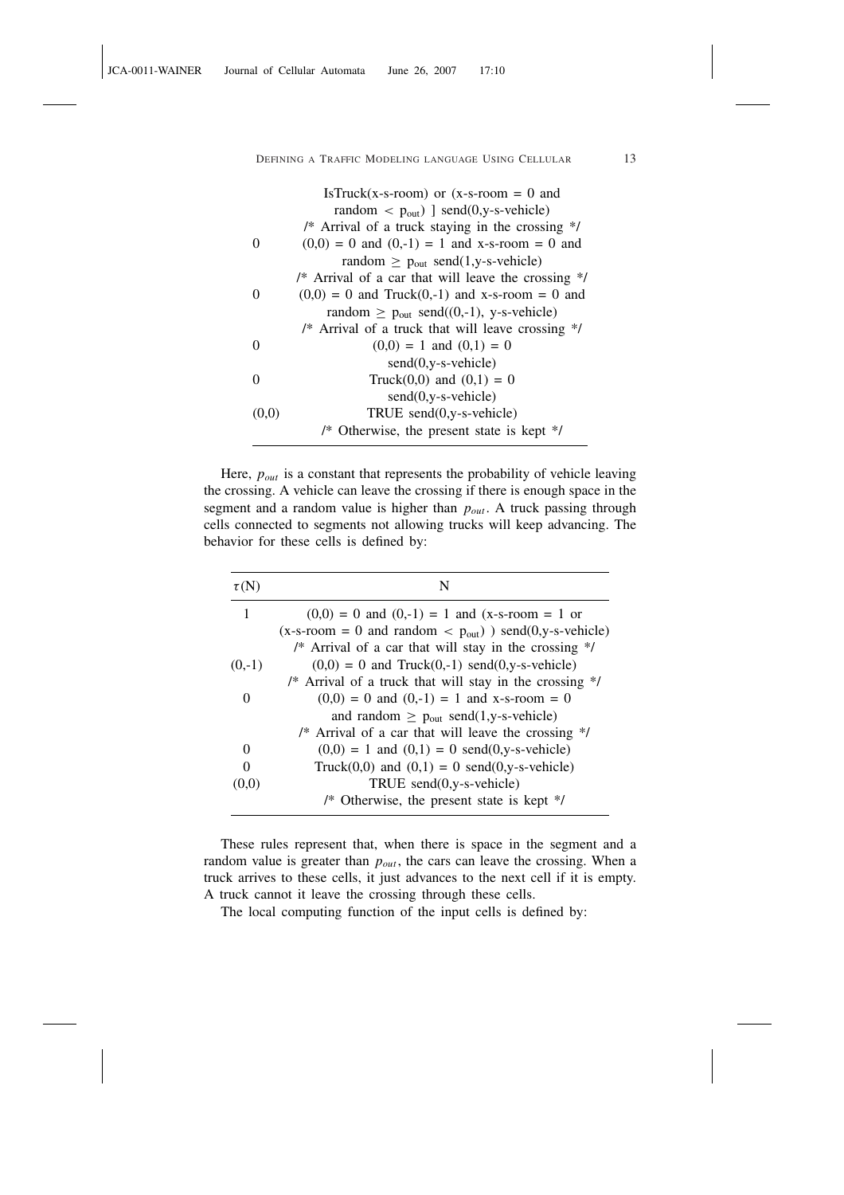|       | IsTruck(x-s-room) or $(x-s$ -room = 0 and                 |
|-------|-----------------------------------------------------------|
|       | random $\langle$ p <sub>out</sub> ) ] send(0,y-s-vehicle) |
|       | /* Arrival of a truck staying in the crossing */          |
| 0     | $(0,0) = 0$ and $(0,-1) = 1$ and x-s-room = 0 and         |
|       | random $\geq$ p <sub>out</sub> send(1,y-s-vehicle)        |
|       | /* Arrival of a car that will leave the crossing */       |
|       | $(0,0) = 0$ and Truck $(0,-1)$ and x-s-room = 0 and       |
|       | random $\geq$ p <sub>out</sub> send((0,-1), y-s-vehicle)  |
|       | /* Arrival of a truck that will leave crossing */         |
| 0     | $(0,0) = 1$ and $(0,1) = 0$                               |
|       | $send(0,y-s-vehicle)$                                     |
| 0     | Truck $(0,0)$ and $(0,1) = 0$                             |
|       | $send(0,y-s-vehicle)$                                     |
| (0,0) | TRUE $send(0,y-s-vehicle)$                                |
|       | /* Otherwise, the present state is kept */                |

Here,  $p_{out}$  is a constant that represents the probability of vehicle leaving the crossing. A vehicle can leave the crossing if there is enough space in the segment and a random value is higher than *pout* . A truck passing through cells connected to segments not allowing trucks will keep advancing. The behavior for these cells is defined by:

| $\tau(N)$ | N                                                                        |  |
|-----------|--------------------------------------------------------------------------|--|
| 1         | $(0,0) = 0$ and $(0,-1) = 1$ and $(x-s-room = 1$ or                      |  |
|           | $(x-s-room = 0$ and random $\langle p_{out} \rangle$ send(0,y-s-vehicle) |  |
|           | /* Arrival of a car that will stay in the crossing */                    |  |
| $(0,-1)$  | $(0,0) = 0$ and Truck $(0,-1)$ send $(0,y$ -s-vehicle)                   |  |
|           | /* Arrival of a truck that will stay in the crossing */                  |  |
| $\Omega$  | $(0,0) = 0$ and $(0,-1) = 1$ and x-s-room = 0                            |  |
|           | and random $\geq$ p <sub>out</sub> send(1,y-s-vehicle)                   |  |
|           | /* Arrival of a car that will leave the crossing $\frac{1}{2}$           |  |
| 0         | $(0,0) = 1$ and $(0,1) = 0$ send $(0,y$ -s-vehicle)                      |  |
| $\Omega$  | Truck $(0,0)$ and $(0,1) = 0$ send $(0,y$ -s-vehicle)                    |  |
| (U.U)     | TRUE send(0,y-s-vehicle)                                                 |  |
|           | /* Otherwise, the present state is kept $*/$                             |  |

These rules represent that, when there is space in the segment and a random value is greater than  $p_{out}$ , the cars can leave the crossing. When a truck arrives to these cells, it just advances to the next cell if it is empty. A truck cannot it leave the crossing through these cells.

The local computing function of the input cells is defined by: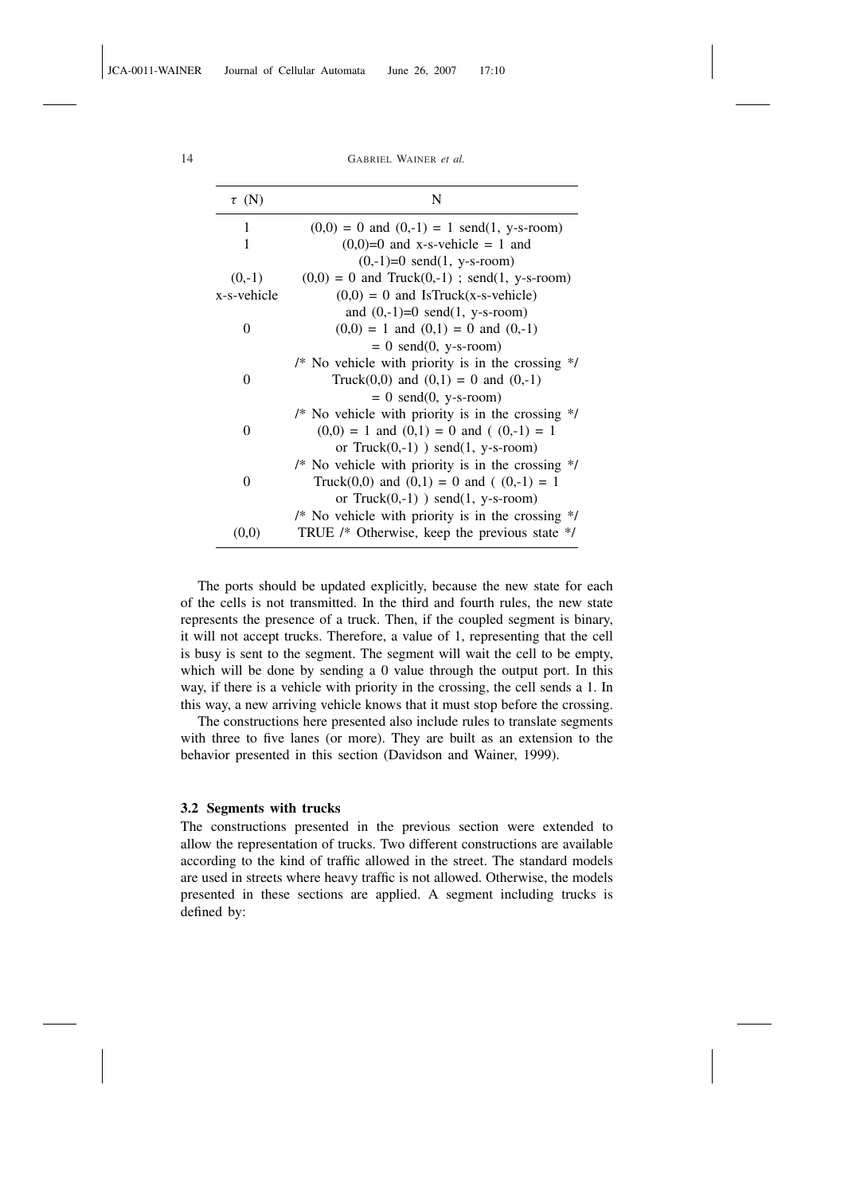| $\tau$ (N)                                               | N                                                                       |  |
|----------------------------------------------------------|-------------------------------------------------------------------------|--|
| 1                                                        | $(0,0) = 0$ and $(0,-1) = 1$ send $(1, y$ -s-room)                      |  |
| 1                                                        | $(0,0)=0$ and x-s-vehicle = 1 and                                       |  |
|                                                          | $(0,-1)=0$ send $(1, y$ -s-room)                                        |  |
| $(0,-1)$                                                 | $(0,0) = 0$ and Truck $(0,-1)$ ; send $(1, y$ -s-room)                  |  |
| x-s-vehicle                                              | $(0,0) = 0$ and IsTruck(x-s-vehicle)                                    |  |
|                                                          | and $(0,-1)=0$ send $(1, y-s-room)$                                     |  |
| 0                                                        | $(0,0) = 1$ and $(0,1) = 0$ and $(0,-1)$                                |  |
|                                                          | $= 0$ send $(0, y-s-room)$                                              |  |
|                                                          | /* No vehicle with priority is in the crossing $*/$                     |  |
| 0                                                        | Truck $(0,0)$ and $(0,1) = 0$ and $(0,-1)$                              |  |
|                                                          | $= 0$ send $(0, y-s-room)$                                              |  |
|                                                          | $/*$ No vehicle with priority is in the crossing $*/$                   |  |
| $(0,0) = 1$ and $(0,1) = 0$ and $(0,-1) = 1$<br>$\theta$ |                                                                         |  |
|                                                          | or $Truck(0,-1)$ ) send $(1, y-s-room)$                                 |  |
|                                                          | $\frac{*}{*}$ No vehicle with priority is in the crossing $\frac{*}{*}$ |  |
| 0                                                        | Truck(0,0) and (0,1) = 0 and ( $(0,-1) = 1$                             |  |
|                                                          | or $Truck(0,-1)$ ) send $(1, y-s-room)$                                 |  |
|                                                          | $\frac{*}{*}$ No vehicle with priority is in the crossing $\frac{*}{*}$ |  |
| (0,0)                                                    | TRUE /* Otherwise, keep the previous state */                           |  |

The ports should be updated explicitly, because the new state for each of the cells is not transmitted. In the third and fourth rules, the new state represents the presence of a truck. Then, if the coupled segment is binary, it will not accept trucks. Therefore, a value of 1, representing that the cell is busy is sent to the segment. The segment will wait the cell to be empty, which will be done by sending a 0 value through the output port. In this way, if there is a vehicle with priority in the crossing, the cell sends a 1. In this way, a new arriving vehicle knows that it must stop before the crossing.

The constructions here presented also include rules to translate segments with three to five lanes (or more). They are built as an extension to the behavior presented in this section (Davidson and Wainer, 1999).

#### 3.2 Segments with trucks

The constructions presented in the previous section were extended to allow the representation of trucks. Two different constructions are available according to the kind of traffic allowed in the street. The standard models are used in streets where heavy traffic is not allowed. Otherwise, the models presented in these sections are applied. A segment including trucks is defined by: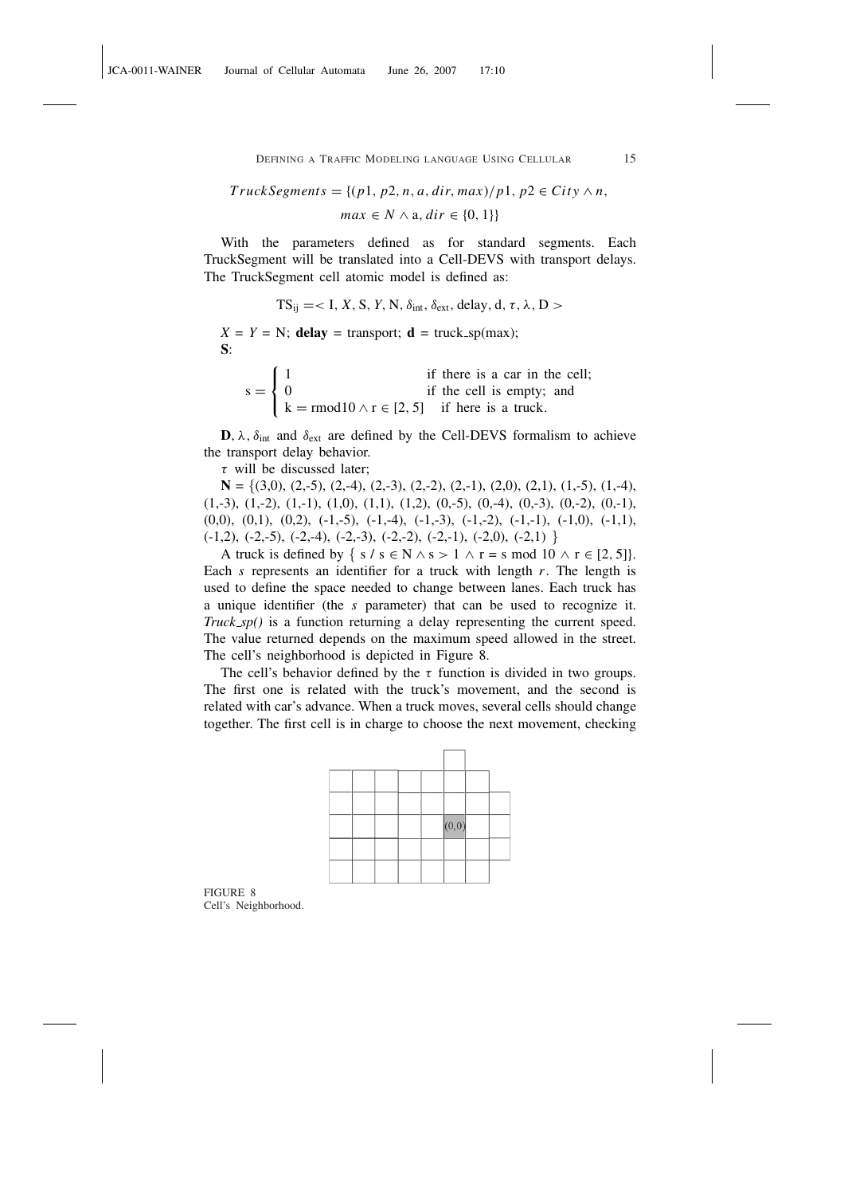$TruckSegments = \{(p1, p2, n, a, dir, max)/p1, p2 \in City \land n,$ 

 $max \in N \wedge a, dir \in \{0, 1\}$ 

With the parameters defined as for standard segments. Each TruckSegment will be translated into a Cell-DEVS with transport delays. The TruckSegment cell atomic model is defined as:

$$
TS_{ij} = < I, X, S, Y, N, \delta_{int}, \delta_{ext}, delay, d, \tau, \lambda, D >
$$

 $X = Y = N$ ; delay = transport; d = truck\_sp(max); S:  $\overline{a}$ 

|                                   |                                                             | if there is a car in the cell; |
|-----------------------------------|-------------------------------------------------------------|--------------------------------|
| $s = \begin{cases} 0 \end{cases}$ |                                                             | if the cell is empty; and      |
|                                   | $k = \text{rmod} 10 \land r \in [2, 5]$ if here is a truck. |                                |

**D**,  $\lambda$ ,  $\delta_{int}$  and  $\delta_{ext}$  are defined by the Cell-DEVS formalism to achieve the transport delay behavior.

 $\tau$  will be discussed later;

 $N = \{(3,0), (2,-5), (2,-4), (2,-3), (2,-2), (2,-1), (2,0), (2,1), (1,-5), (1,-4),\}$  $(1,-3), (1,-2), (1,-1), (1,0), (1,1), (1,2), (0,-5), (0,-4), (0,-3), (0,-2), (0,-1),$  $(0,0)$ ,  $(0,1)$ ,  $(0,2)$ ,  $(-1,-5)$ ,  $(-1,-4)$ ,  $(-1,-3)$ ,  $(-1,-2)$ ,  $(-1,-1)$ ,  $(-1,0)$ ,  $(-1,1)$ ,  $(-1,2)$ ,  $(-2,-5)$ ,  $(-2,-4)$ ,  $(-2,-3)$ ,  $(-2,-2)$ ,  $(-2,-1)$ ,  $(-2,0)$ ,  $(-2,1)$ 

A truck is defined by  $\{ s / s \in N \land s > 1 \land r = s \mod 10 \land r \in [2, 5] \}.$ Each *s* represents an identifier for a truck with length *r*. The length is used to define the space needed to change between lanes. Each truck has a unique identifier (the *s* parameter) that can be used to recognize it. *Truck sp()* is a function returning a delay representing the current speed. The value returned depends on the maximum speed allowed in the street. The cell's neighborhood is depicted in Figure 8.

The cell's behavior defined by the  $\tau$  function is divided in two groups. The first one is related with the truck's movement, and the second is related with car's advance. When a truck moves, several cells should change together. The first cell is in charge to choose the next movement, checking

|  |  | (0, 0) |  |
|--|--|--------|--|
|  |  |        |  |
|  |  |        |  |

FIGURE 8 Cell's Neighborhood.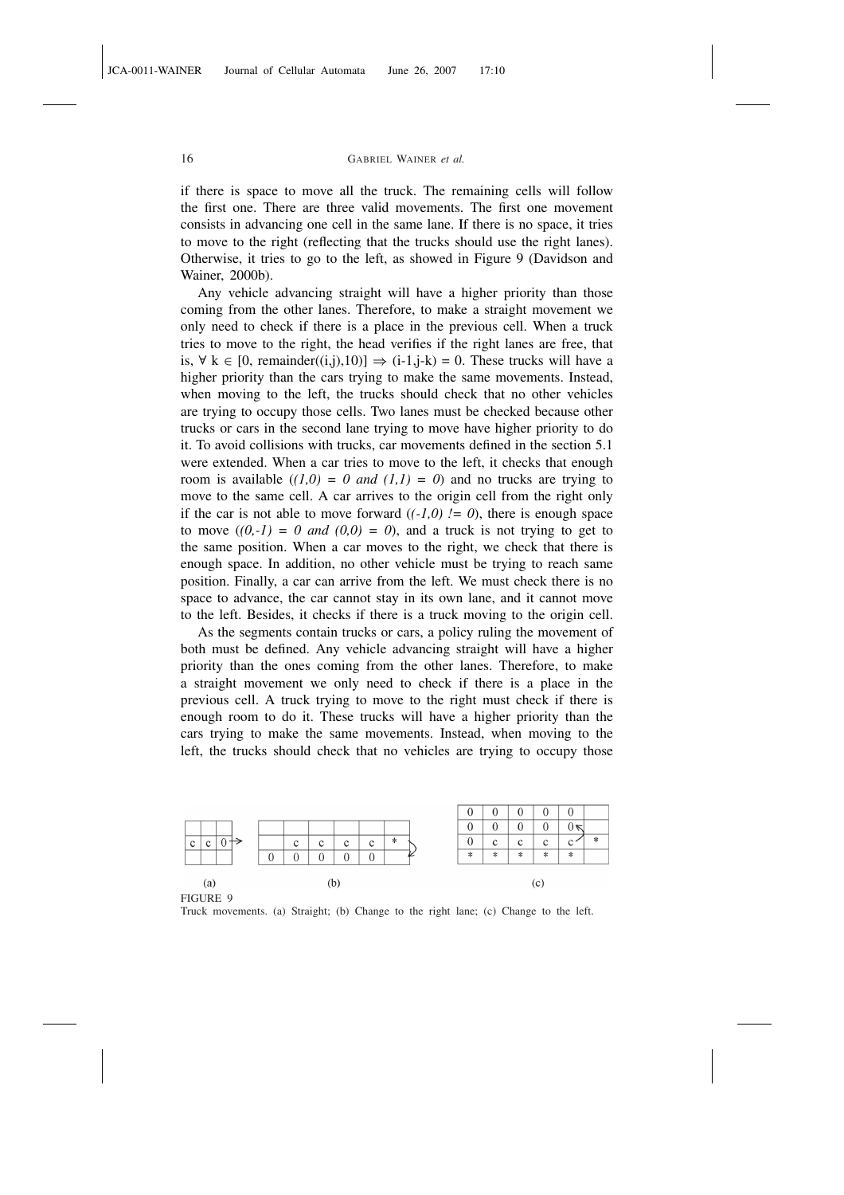if there is space to move all the truck. The remaining cells will follow the first one. There are three valid movements. The first one movement consists in advancing one cell in the same lane. If there is no space, it tries to move to the right (reflecting that the trucks should use the right lanes). Otherwise, it tries to go to the left, as showed in Figure 9 (Davidson and Wainer, 2000b).

Any vehicle advancing straight will have a higher priority than those coming from the other lanes. Therefore, to make a straight movement we only need to check if there is a place in the previous cell. When a truck tries to move to the right, the head verifies if the right lanes are free, that is,  $\forall$  k ∈ [0, remainder((i,j),10)]  $\Rightarrow$  (i-1,j-k) = 0. These trucks will have a higher priority than the cars trying to make the same movements. Instead, when moving to the left, the trucks should check that no other vehicles are trying to occupy those cells. Two lanes must be checked because other trucks or cars in the second lane trying to move have higher priority to do it. To avoid collisions with trucks, car movements defined in the section 5.1 were extended. When a car tries to move to the left, it checks that enough room is available  $((1,0) = 0$  and  $(1,1) = 0$ ) and no trucks are trying to move to the same cell. A car arrives to the origin cell from the right only if the car is not able to move forward  $((-1,0)$   $l = 0)$ , there is enough space to move  $((0,-1) = 0$  and  $(0,0) = 0$ , and a truck is not trying to get to the same position. When a car moves to the right, we check that there is enough space. In addition, no other vehicle must be trying to reach same position. Finally, a car can arrive from the left. We must check there is no space to advance, the car cannot stay in its own lane, and it cannot move to the left. Besides, it checks if there is a truck moving to the origin cell.

As the segments contain trucks or cars, a policy ruling the movement of both must be defined. Any vehicle advancing straight will have a higher priority than the ones coming from the other lanes. Therefore, to make a straight movement we only need to check if there is a place in the previous cell. A truck trying to move to the right must check if there is enough room to do it. These trucks will have a higher priority than the cars trying to make the same movements. Instead, when moving to the left, the trucks should check that no vehicles are trying to occupy those



FIGURE 9

Truck movements. (a) Straight; (b) Change to the right lane; (c) Change to the left.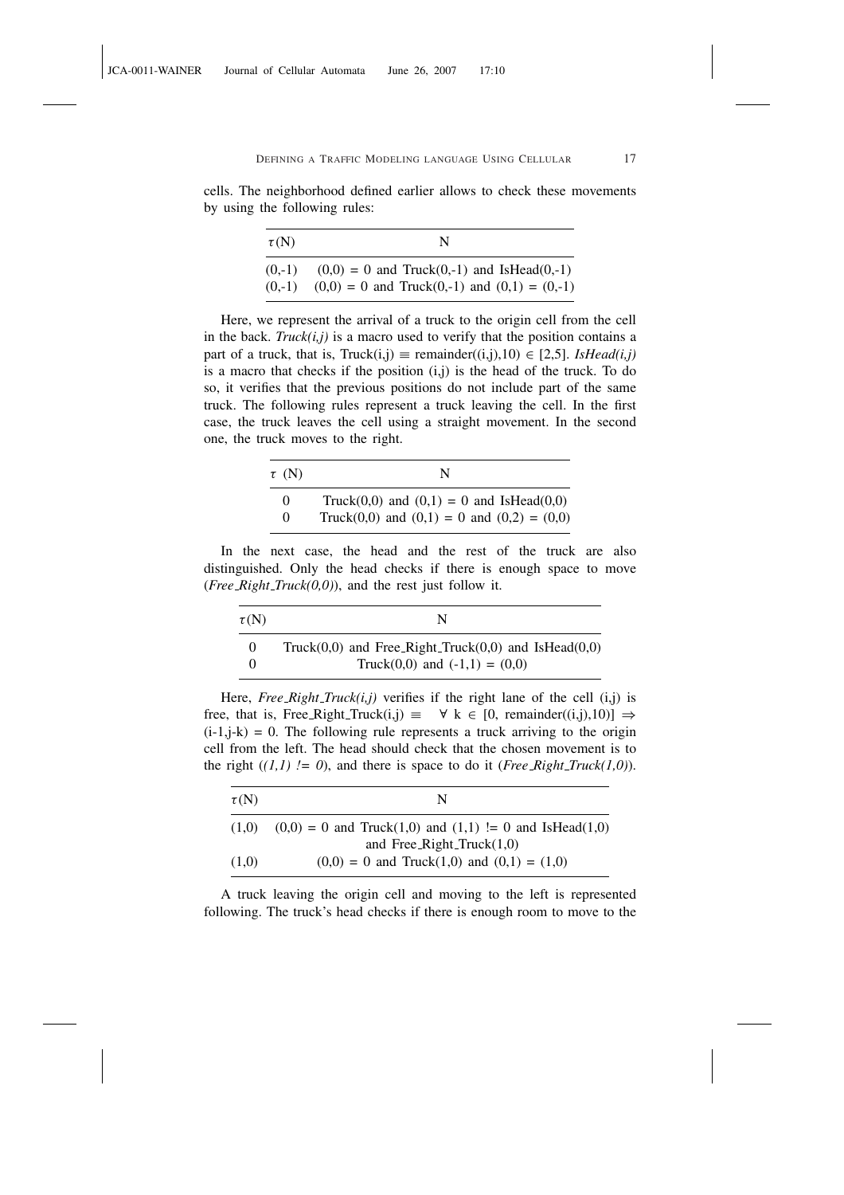cells. The neighborhood defined earlier allows to check these movements by using the following rules:

| $\tau(N)$ | N                                                   |
|-----------|-----------------------------------------------------|
| $(0,-1)$  | $(0,0) = 0$ and Truck $(0,-1)$ and IsHead $(0,-1)$  |
| $(0,-1)$  | $(0,0) = 0$ and Truck $(0,-1)$ and $(0,1) = (0,-1)$ |

Here, we represent the arrival of a truck to the origin cell from the cell in the back. *Truck(i,j)* is a macro used to verify that the position contains a part of a truck, that is,  $Truck(i,j) \equiv remainder((i,j),10) \in [2,5]$ . *IsHead(i,j)* is a macro that checks if the position (i,j) is the head of the truck. To do so, it verifies that the previous positions do not include part of the same truck. The following rules represent a truck leaving the cell. In the first case, the truck leaves the cell using a straight movement. In the second one, the truck moves to the right.

| $\tau$ (N) | N                                                |
|------------|--------------------------------------------------|
| $\Omega$   | Truck $(0,0)$ and $(0,1) = 0$ and IsHead $(0,0)$ |
| $\Omega$   | Truck(0,0) and (0,1) = 0 and (0,2) = (0,0)       |

In the next case, the head and the rest of the truck are also distinguished. Only the head checks if there is enough space to move (*Free\_Right\_Truck(0,0)*), and the rest just follow it.

| $\tau(N)$ | N                                                                                                   |
|-----------|-----------------------------------------------------------------------------------------------------|
| $\theta$  | Truck $(0,0)$ and Free_Right_Truck $(0,0)$ and IsHead $(0,0)$<br>Truck $(0,0)$ and $(-1,1) = (0,0)$ |

Here, *Free\_Right\_Truck(i,j)* verifies if the right lane of the cell (i,j) is free, that is, Free\_Right\_Truck(i,j)  $\equiv \forall k \in [0,$  remainder((i,j),10)]  $\Rightarrow$  $(i-1,j-k) = 0$ . The following rule represents a truck arriving to the origin cell from the left. The head should check that the chosen movement is to the right  $((1,1) := 0)$ , and there is space to do it (*Free Right\_Truck*(1,0)).

| $\tau(N)$ | N                                                                 |
|-----------|-------------------------------------------------------------------|
| (1.0)     | $(0,0) = 0$ and Truck $(1,0)$ and $(1,1) := 0$ and IsHead $(1,0)$ |
|           | and Free_Right_Truck $(1,0)$                                      |
| (1,0)     | $(0,0) = 0$ and Truck $(1,0)$ and $(0,1) = (1,0)$                 |

A truck leaving the origin cell and moving to the left is represented following. The truck's head checks if there is enough room to move to the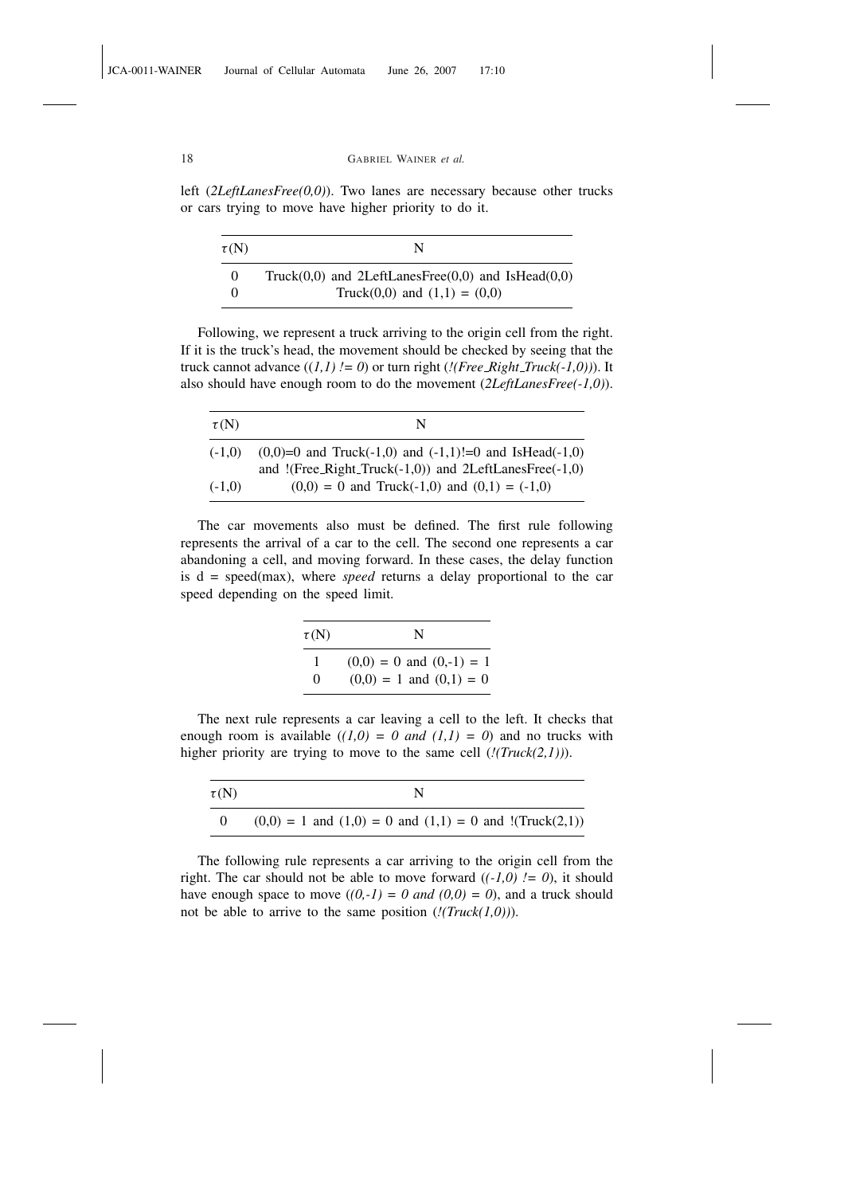left (*2LeftLanesFree(0,0)*). Two lanes are necessary because other trucks or cars trying to move have higher priority to do it.

| $\tau(N)$ | N                                                           |
|-----------|-------------------------------------------------------------|
| $\Omega$  | Truck $(0,0)$ and 2LeftLanesFree $(0,0)$ and IsHead $(0,0)$ |
|           | Truck $(0,0)$ and $(1,1) = (0,0)$                           |

Following, we represent a truck arriving to the origin cell from the right. If it is the truck's head, the movement should be checked by seeing that the truck cannot advance  $((1,1)$   $!= 0)$  or turn right  $((Free\_Right\_Truck(-1,0)))$ . It also should have enough room to do the movement (*2LeftLanesFree(-1,0)*).

| $\tau(N)$ | N                                                         |
|-----------|-----------------------------------------------------------|
| $(-1.0)$  | $(0,0)=0$ and Truck(-1,0) and (-1,1)!=0 and IsHead(-1,0)  |
|           | and $!(Free_Right_Tuck(-1,0))$ and $2LeftLanesFree(-1,0)$ |
| $(-1.0)$  | $(0,0) = 0$ and Truck(-1,0) and $(0,1) = (-1,0)$          |

The car movements also must be defined. The first rule following represents the arrival of a car to the cell. The second one represents a car abandoning a cell, and moving forward. In these cases, the delay function is d = speed(max), where *speed* returns a delay proportional to the car speed depending on the speed limit.

| $\tau(N)$ | N                                                           |
|-----------|-------------------------------------------------------------|
| 0         | $(0,0) = 0$ and $(0,-1) = 1$<br>$(0,0) = 1$ and $(0,1) = 0$ |

The next rule represents a car leaving a cell to the left. It checks that enough room is available  $((1,0) = 0$  and  $(1,1) = 0$ ) and no trucks with higher priority are trying to move to the same cell (*!(Truck(2,1))*).

| $\tau(N)$ |                                                                        |
|-----------|------------------------------------------------------------------------|
|           | $(0,0) = 1$ and $(1,0) = 0$ and $(1,1) = 0$ and $!(\text{Truck}(2,1))$ |

The following rule represents a car arriving to the origin cell from the right. The car should not be able to move forward  $((-1,0)$   $!= 0)$ , it should have enough space to move  $((0,-1) = 0$  and  $(0,0) = 0)$ , and a truck should not be able to arrive to the same position (*!(Truck(1,0))*).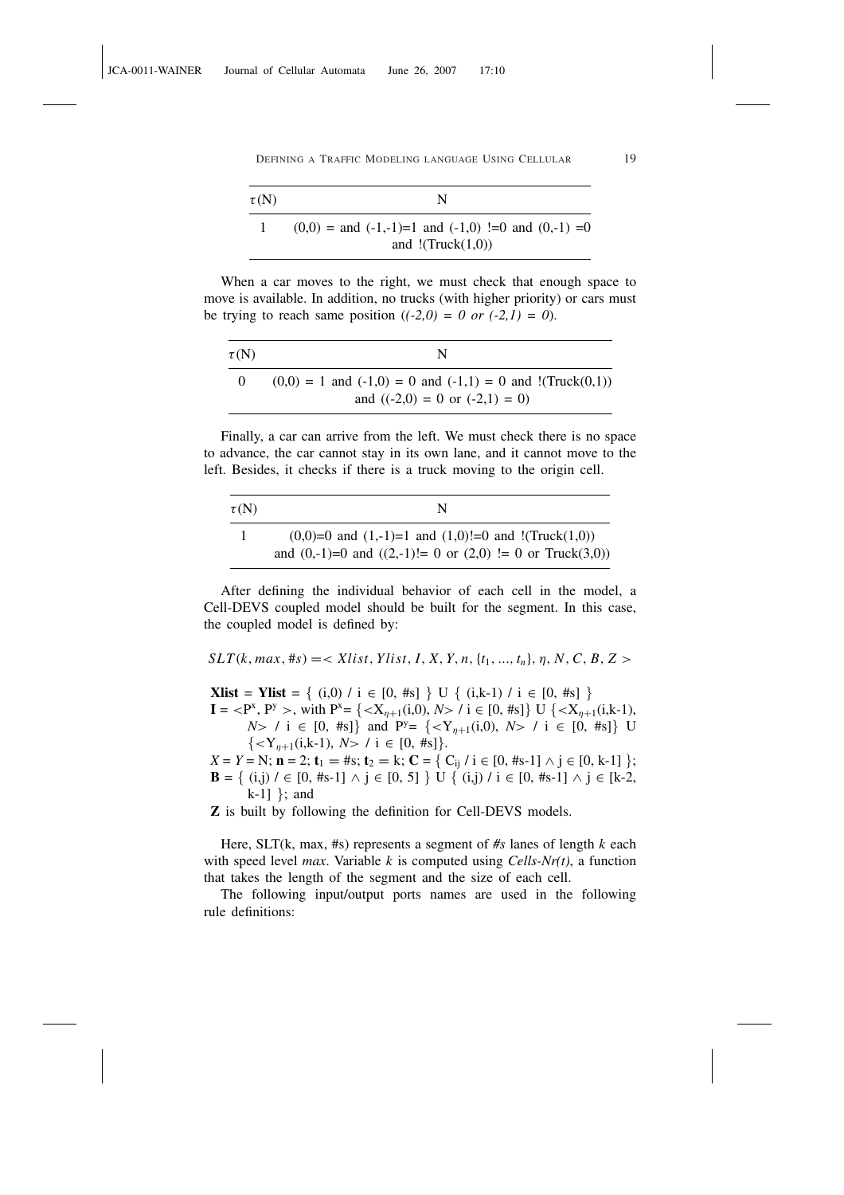| $\tau(N)$ | N                                                                                       |
|-----------|-----------------------------------------------------------------------------------------|
|           | $(0,0) =$ and $(-1,-1)=1$ and $(-1,0) =0$ and $(0,-1) =0$<br>and $!(\text{Truck}(1,0))$ |

When a car moves to the right, we must check that enough space to move is available. In addition, no trucks (with higher priority) or cars must be trying to reach same position  $((-2,0) = 0 \text{ or } (-2,1) = 0)$ .

| $\tau(N)$ | N                                                                        |
|-----------|--------------------------------------------------------------------------|
| $\theta$  | $(0,0) = 1$ and $(-1,0) = 0$ and $(-1,1) = 0$ and $!(\text{Truck}(0,1))$ |
|           | and $((-2,0) = 0$ or $(-2,1) = 0)$                                       |

Finally, a car can arrive from the left. We must check there is no space to advance, the car cannot stay in its own lane, and it cannot move to the left. Besides, it checks if there is a truck moving to the origin cell.

| $\tau(N)$ | N                                                                 |
|-----------|-------------------------------------------------------------------|
|           | $(0,0)=0$ and $(1,-1)=1$ and $(1,0)=0$ and $!(\text{Truck}(1,0))$ |
|           | and $(0,-1)=0$ and $((2,-1)!=0$ or $(2,0)!=0$ or Truck $(3,0)$ )  |

After defining the individual behavior of each cell in the model, a Cell-DEVS coupled model should be built for the segment. In this case, the coupled model is defined by:

 $SLT(k, max, \#s) = \langle Xlist, Ylist, I, X, Y, n, \{t_1, ..., t_n\}, \eta, N, C, B, Z \rangle$ 

**Xlist = Ylist =** { (i,0) / i  $\in$  [0, #s] } U { (i,k-1) / i  $\in$  [0, #s] }  $I = \langle P^x, P^y \rangle$ , with  $P^x = \{ \langle X_{\eta+1}(i,0), N \rangle / i \in [0, \#s] \}$  U  $\{ \langle X_{\eta+1}(i,k-1),$ 

*N*> / i  $\in$  [0, #s]} and P<sup>y</sup>= { < Y<sub>n+1</sub>(i,0), *N*> / i  $\in$  [0, #s]} U  $\{ i \in [0, #s]\}.$ 

 $X = Y = N;$  **n** = 2; **t**<sub>1</sub> = #s; **t**<sub>2</sub> = k; **C** = { C<sub>ij</sub> / **i**  $\in$  [0, #s-1]  $\wedge$  **j**  $\in$  [0, k-1] }; **B** = { (i,j)  $\ell$  ∈ [0, #s-1] ∧ j ∈ [0, 5] } U { (i,j)  $\ell$  i ∈ [0, #s-1] ∧ j ∈ [k-2, k-1] }; and

Z is built by following the definition for Cell-DEVS models.

Here, SLT(k, max, #s) represents a segment of *#s* lanes of length *k* each with speed level *max*. Variable *k* is computed using *Cells-Nr(t)*, a function that takes the length of the segment and the size of each cell.

The following input/output ports names are used in the following rule definitions: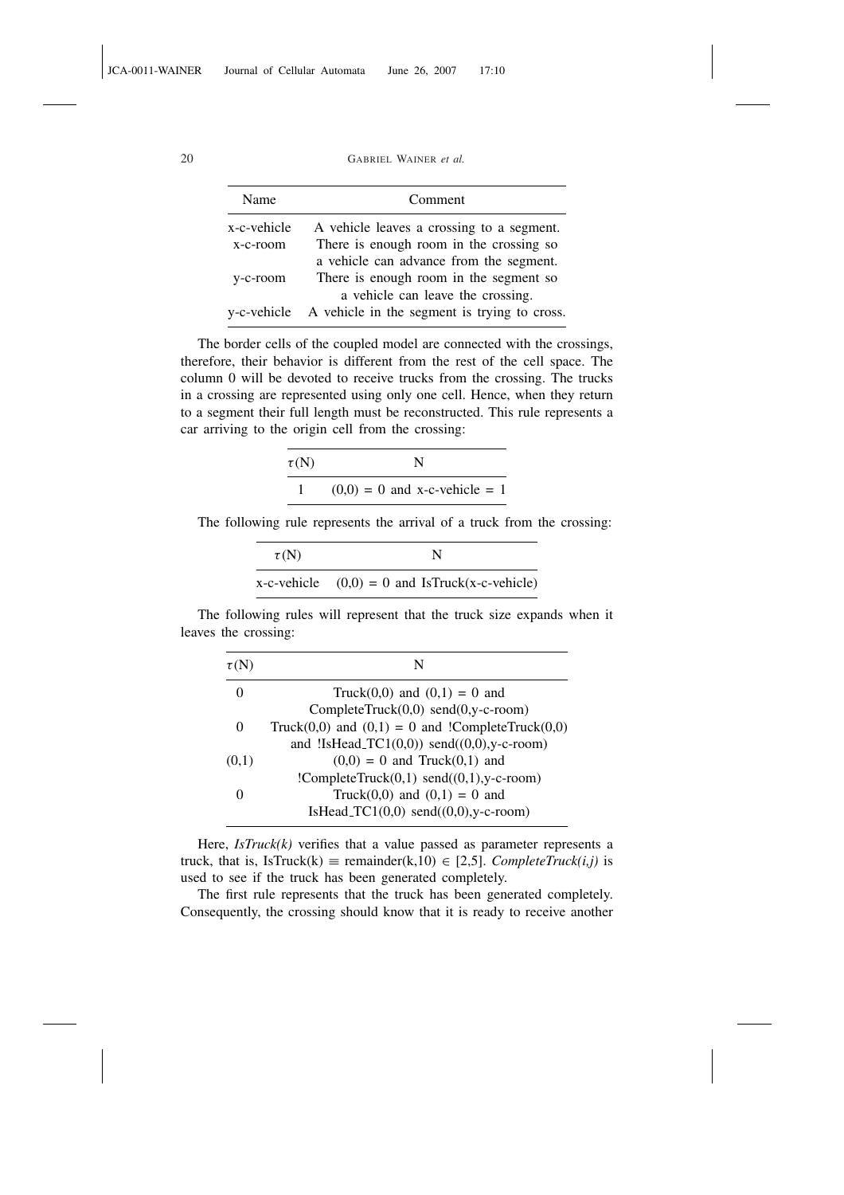| Name        | Comment                                                  |
|-------------|----------------------------------------------------------|
| x-c-vehicle | A vehicle leaves a crossing to a segment.                |
| x-c-room    | There is enough room in the crossing so                  |
|             | a vehicle can advance from the segment.                  |
| y-c-room    | There is enough room in the segment so                   |
|             | a vehicle can leave the crossing.                        |
|             | y-c-vehicle A vehicle in the segment is trying to cross. |

The border cells of the coupled model are connected with the crossings, therefore, their behavior is different from the rest of the cell space. The column 0 will be devoted to receive trucks from the crossing. The trucks in a crossing are represented using only one cell. Hence, when they return to a segment their full length must be reconstructed. This rule represents a car arriving to the origin cell from the crossing:

| $\tau(N)$ | N                               |
|-----------|---------------------------------|
|           | $(0,0) = 0$ and x-c-vehicle = 1 |

The following rule represents the arrival of a truck from the crossing:

| $\tau(N)$ | N                                                |
|-----------|--------------------------------------------------|
|           | x-c-vehicle $(0,0) = 0$ and IsTruck(x-c-vehicle) |

The following rules will represent that the truck size expands when it leaves the crossing:

| $\tau(N)$ | N                                                        |
|-----------|----------------------------------------------------------|
| $\theta$  | Truck $(0,0)$ and $(0,1) = 0$ and                        |
|           | CompleteTruck $(0,0)$ send $(0,y-c$ -room)               |
| $\theta$  | Truck $(0,0)$ and $(0,1) = 0$ and !CompleteTruck $(0,0)$ |
|           | and !IsHead_TC1 $(0,0)$ send $((0,0),y$ -c-room)         |
| (0,1)     | $(0,0) = 0$ and Truck $(0,1)$ and                        |
|           | !CompleteTruck $(0,1)$ send $((0,1),y$ -c-room)          |
|           | Truck(0,0) and $(0,1) = 0$ and                           |
|           | IsHead_TC1 $(0,0)$ send $((0,0),y$ -c-room)              |

Here, *IsTruck(k)* verifies that a value passed as parameter represents a truck, that is, IsTruck(k)  $\equiv$  remainder(k,10)  $\in$  [2,5]. *CompleteTruck(i,j)* is used to see if the truck has been generated completely.

The first rule represents that the truck has been generated completely. Consequently, the crossing should know that it is ready to receive another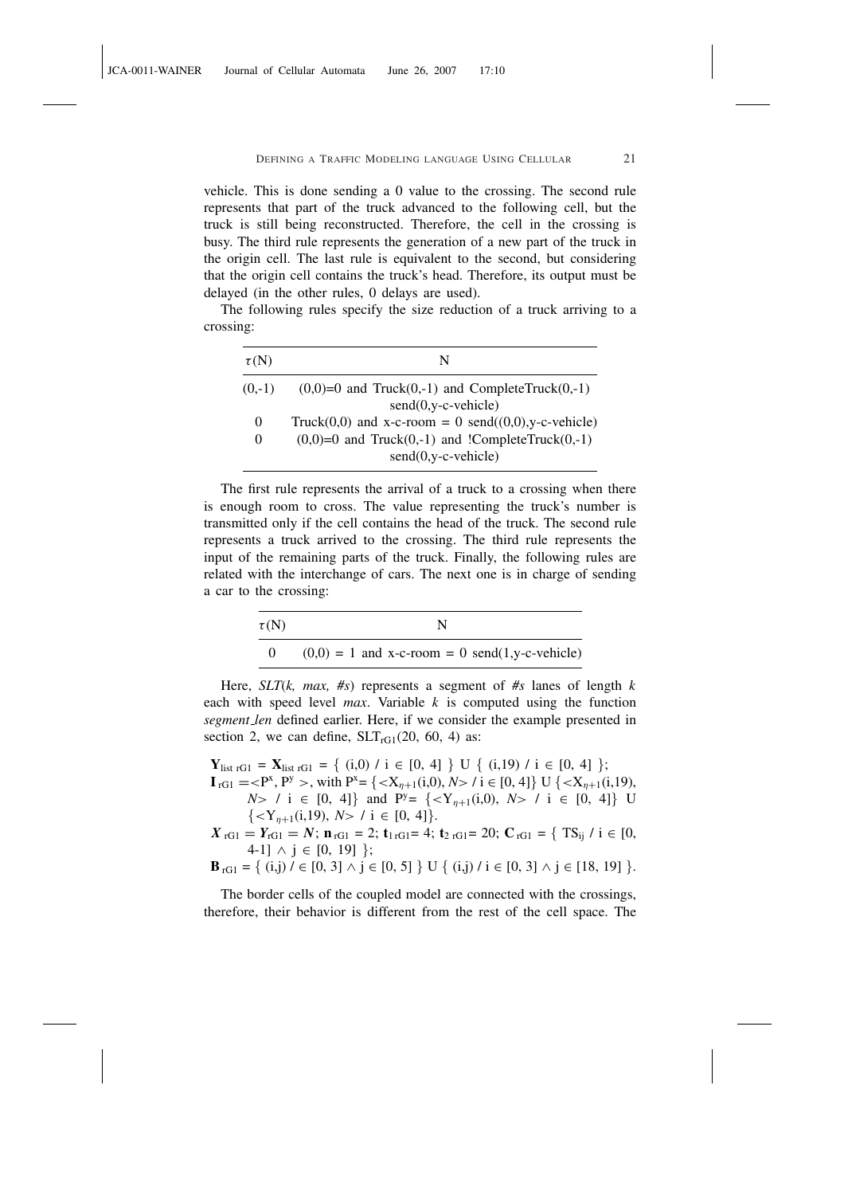vehicle. This is done sending a 0 value to the crossing. The second rule represents that part of the truck advanced to the following cell, but the truck is still being reconstructed. Therefore, the cell in the crossing is busy. The third rule represents the generation of a new part of the truck in the origin cell. The last rule is equivalent to the second, but considering that the origin cell contains the truck's head. Therefore, its output must be delayed (in the other rules, 0 delays are used).

The following rules specify the size reduction of a truck arriving to a crossing:

| $\tau(N)$ | N                                                          |
|-----------|------------------------------------------------------------|
| $(0,-1)$  | $(0,0)=0$ and Truck $(0,-1)$ and CompleteTruck $(0,-1)$    |
|           | $send(0, v-c- vehicle)$                                    |
| $\theta$  | Truck $(0,0)$ and x-c-room = 0 send $((0,0),y$ -c-vehicle) |
| $\theta$  | $(0,0)=0$ and Truck $(0,-1)$ and !CompleteTruck $(0,-1)$   |
|           | $send(0, y-c- vehicle)$                                    |

The first rule represents the arrival of a truck to a crossing when there is enough room to cross. The value representing the truck's number is transmitted only if the cell contains the head of the truck. The second rule represents a truck arrived to the crossing. The third rule represents the input of the remaining parts of the truck. Finally, the following rules are related with the interchange of cars. The next one is in charge of sending a car to the crossing:

| $\tau(N)$      | N                                                |
|----------------|--------------------------------------------------|
| $\overline{0}$ | $(0,0) = 1$ and x-c-room = 0 send(1,y-c-vehicle) |

Here, *SLT*(*k, max, #s*) represents a segment of *#s* lanes of length *k* each with speed level *max*. Variable *k* is computed using the function *segment len* defined earlier. Here, if we consider the example presented in section 2, we can define,  $SLT_{rG1}(20, 60, 4)$  as:

 $\mathbf{Y}_{\text{list rG1}} \,=\, \mathbf{X}_{\text{list rG1}} \,=\, \left\{\begin{array}{l} \left( i,0 \right)\,/\,i \,\in\, [0,\,4] \,\end{array} \right\}\, \text{U} \,\,\left\{\begin{array}{l} \left( i,19 \right)\,/\,i \,\in\, [0,\,4] \,\, \right\};\\ \end{array}$  $I_{rG1} = \langle P^x, P^y \rangle$ , with  $P^x = \{ \langle X_{\eta+1}(i,0), N \rangle / i \in [0, 4] \} \cup \{ \langle X_{\eta+1}(i,19), X \rangle \}$ *N*> / i  $\in$  [0, 4]} and P<sup>y</sup>= {<Y<sub>n+1</sub>(i,0), *N*> / i  $\in$  [0, 4]} U  $\{1 \in [0, 4]\}.$ 

*X*  $_{rG1} = Y_{rG1} = N$ ;  $\mathbf{n}_{rG1} = 2$ ;  $\mathbf{t}_{1rG1} = 4$ ;  $\mathbf{t}_{2rG1} = 20$ ;  $\mathbf{C}_{rG1} = \{ TS_{ij} / i \in [0, 1] \}$ 4-1]  $\land$  j ∈ [0, 19] };

**B**<sub>rG1</sub> = { (i,j) / ∈ [0, 3] ∧ j ∈ [0, 5] } U { (i,j) / i ∈ [0, 3] ∧ j ∈ [18, 19] }.

The border cells of the coupled model are connected with the crossings, therefore, their behavior is different from the rest of the cell space. The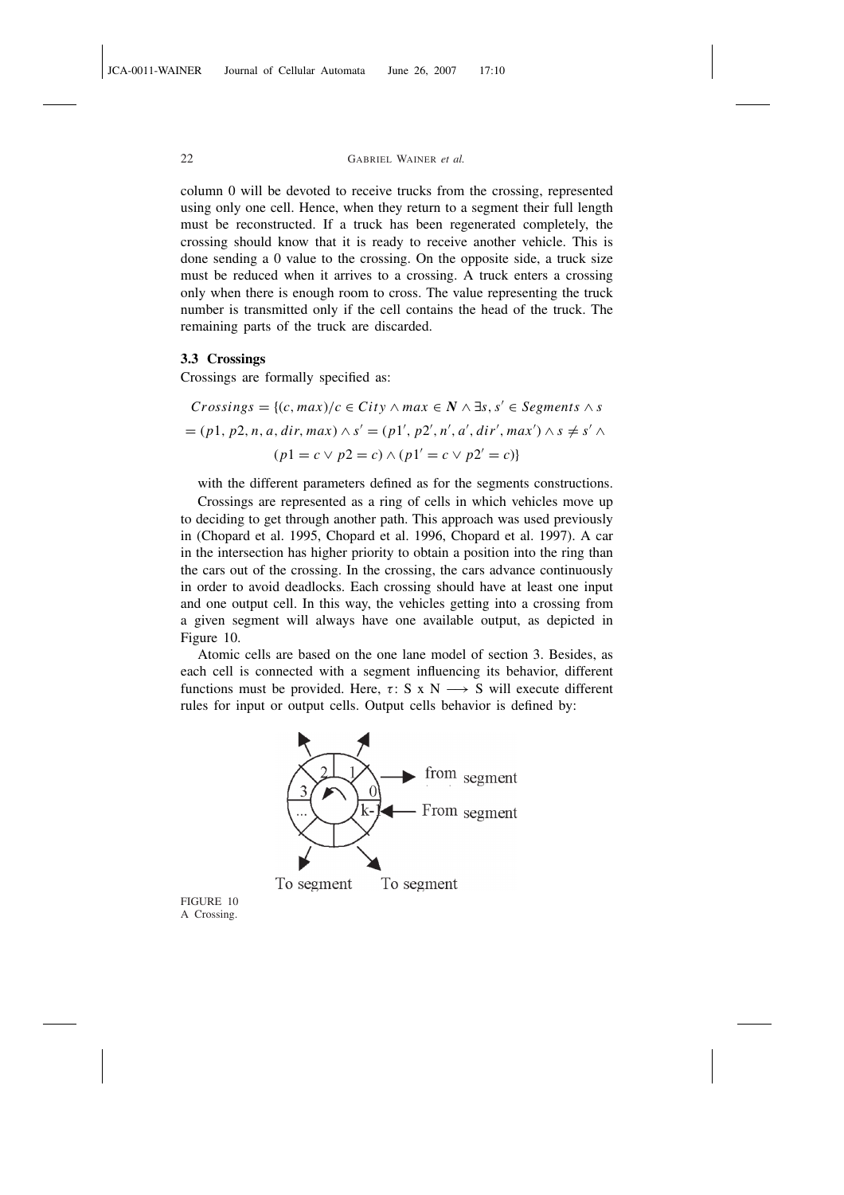column 0 will be devoted to receive trucks from the crossing, represented using only one cell. Hence, when they return to a segment their full length must be reconstructed. If a truck has been regenerated completely, the crossing should know that it is ready to receive another vehicle. This is done sending a 0 value to the crossing. On the opposite side, a truck size must be reduced when it arrives to a crossing. A truck enters a crossing only when there is enough room to cross. The value representing the truck number is transmitted only if the cell contains the head of the truck. The remaining parts of the truck are discarded.

#### 3.3 Crossings

Crossings are formally specified as:

Crossings = {
$$
(c, max)/c \in City \land max \in N \land \exists s, s' \in Segments \land s
$$
  
=  $(p1, p2, n, a, dir, max) \land s' = (p1', p2', n', a', dir', max') \land s \neq s' \land$   
 $(p1 = c \lor p2 = c) \land (p1' = c \lor p2' = c)$ }

with the different parameters defined as for the segments constructions.

Crossings are represented as a ring of cells in which vehicles move up to deciding to get through another path. This approach was used previously in (Chopard et al. 1995, Chopard et al. 1996, Chopard et al. 1997). A car in the intersection has higher priority to obtain a position into the ring than the cars out of the crossing. In the crossing, the cars advance continuously in order to avoid deadlocks. Each crossing should have at least one input and one output cell. In this way, the vehicles getting into a crossing from a given segment will always have one available output, as depicted in Figure 10.

Atomic cells are based on the one lane model of section 3. Besides, as each cell is connected with a segment influencing its behavior, different functions must be provided. Here,  $\tau$ : S x N  $\rightarrow$  S will execute different rules for input or output cells. Output cells behavior is defined by:



FIGURE 10 A Crossing.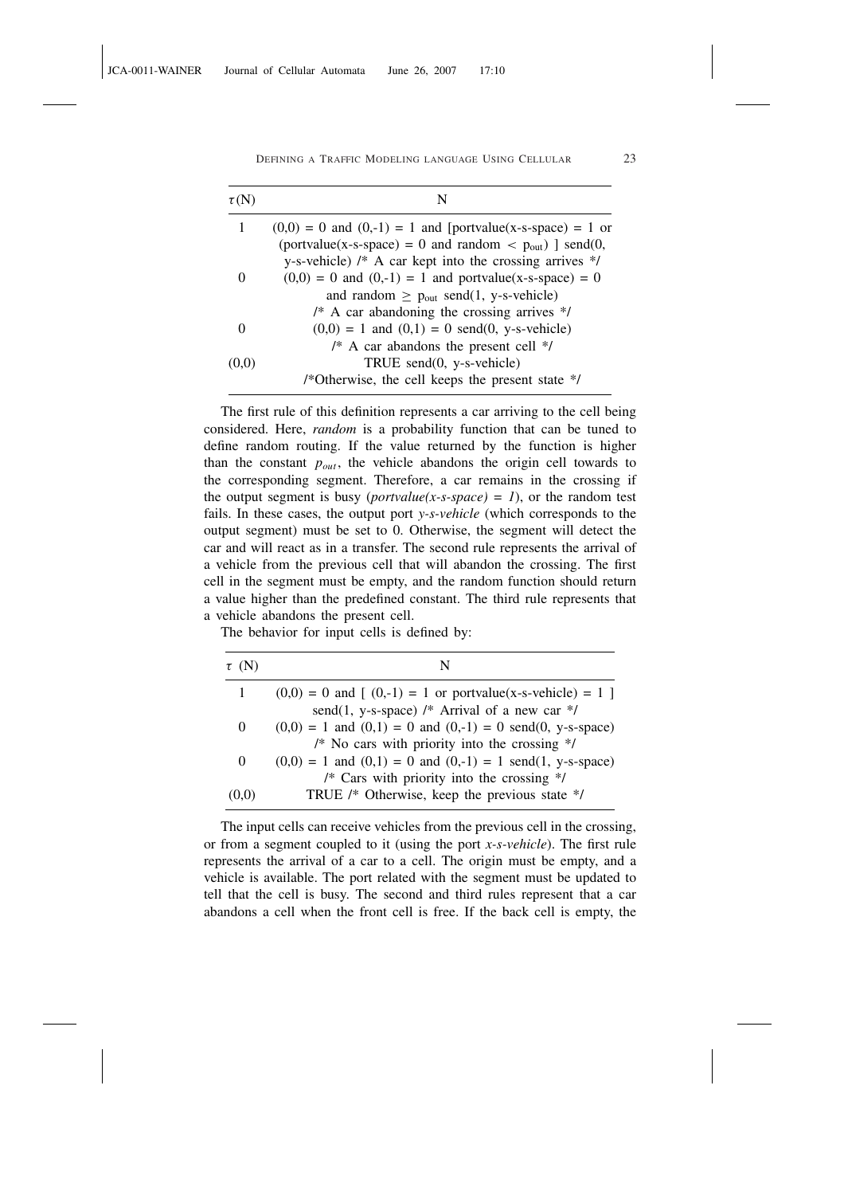| $\tau(N)$ | N                                                                                                                           |
|-----------|-----------------------------------------------------------------------------------------------------------------------------|
| 1         | $(0,0) = 0$ and $(0,-1) = 1$ and [portvalue(x-s-space) = 1 or                                                               |
|           | (portvalue(x-s-space) = 0 and random < $p_{out}$ ) ] send(0,<br>y-s-vehicle) $/*$ A car kept into the crossing arrives $*/$ |
|           | $(0,0) = 0$ and $(0,-1) = 1$ and portvalue(x-s-space) = 0                                                                   |
|           | and random $\geq$ p <sub>out</sub> send(1, y-s-vehicle)                                                                     |
|           | /* A car abandoning the crossing arrives $*/$                                                                               |
|           | $(0,0) = 1$ and $(0,1) = 0$ send $(0, y$ -s-vehicle)                                                                        |
|           | $/*$ A car abandons the present cell $*/$                                                                                   |
| (0,0)     | TRUE send $(0, y$ -s-vehicle)                                                                                               |
|           | /*Otherwise, the cell keeps the present state */                                                                            |

The first rule of this definition represents a car arriving to the cell being considered. Here, *random* is a probability function that can be tuned to define random routing. If the value returned by the function is higher than the constant  $p_{out}$ , the vehicle abandons the origin cell towards to the corresponding segment. Therefore, a car remains in the crossing if the output segment is busy (*portvalue*(*x-s-space*) = 1), or the random test fails. In these cases, the output port *y-s-vehicle* (which corresponds to the output segment) must be set to 0. Otherwise, the segment will detect the car and will react as in a transfer. The second rule represents the arrival of a vehicle from the previous cell that will abandon the crossing. The first cell in the segment must be empty, and the random function should return a value higher than the predefined constant. The third rule represents that a vehicle abandons the present cell.

The behavior for input cells is defined by:

| $\tau$ (N) | N                                                                   |
|------------|---------------------------------------------------------------------|
|            | $(0,0) = 0$ and $(0,-1) = 1$ or portvalue(x-s-vehicle) = 1          |
|            | send(1, y-s-space) /* Arrival of a new car */                       |
| $\theta$   | $(0,0) = 1$ and $(0,1) = 0$ and $(0,-1) = 0$ send $(0, y$ -s-space) |
|            | /* No cars with priority into the crossing $*/$                     |
| $\Omega$   | $(0,0) = 1$ and $(0,1) = 0$ and $(0,-1) = 1$ send(1, y-s-space)     |
|            | /* Cars with priority into the crossing $*/$                        |
| (0,0)      | TRUE /* Otherwise, keep the previous state */                       |

The input cells can receive vehicles from the previous cell in the crossing, or from a segment coupled to it (using the port *x-s-vehicle*). The first rule represents the arrival of a car to a cell. The origin must be empty, and a vehicle is available. The port related with the segment must be updated to tell that the cell is busy. The second and third rules represent that a car abandons a cell when the front cell is free. If the back cell is empty, the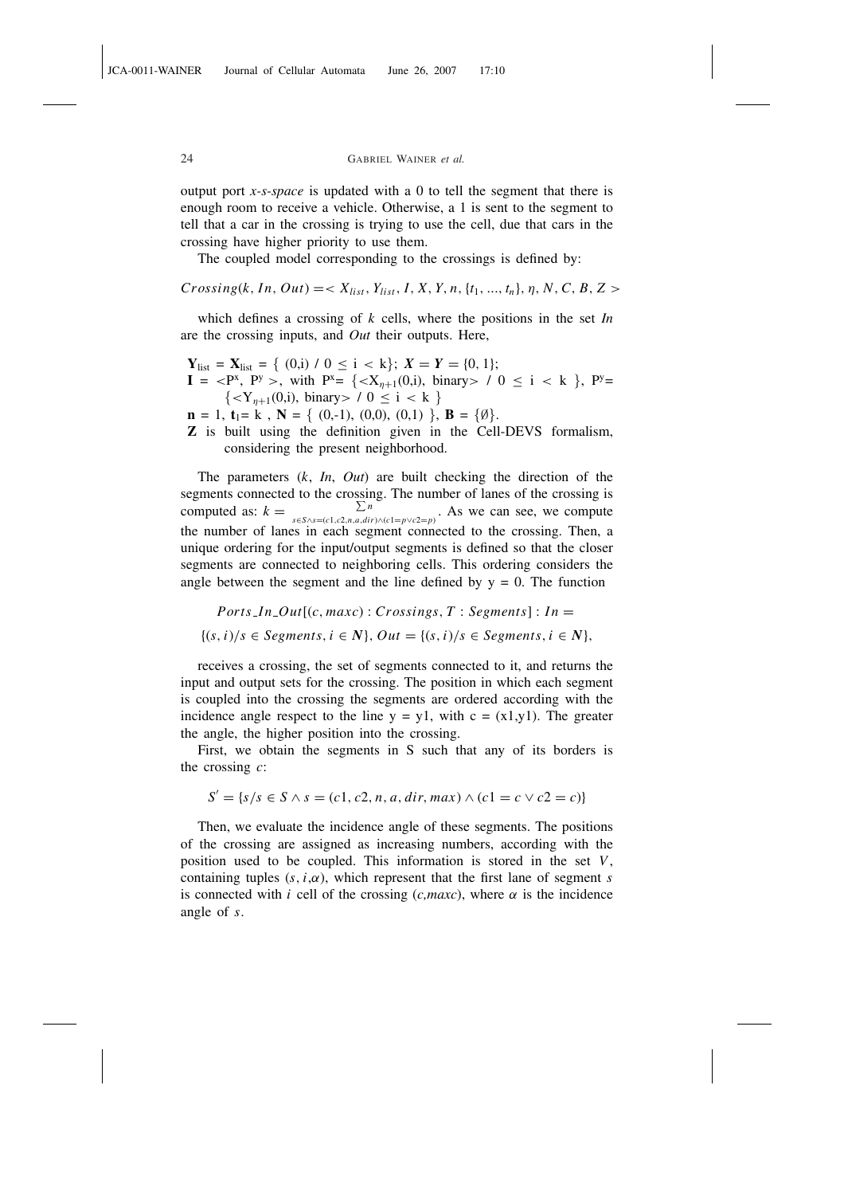output port *x-s-space* is updated with a 0 to tell the segment that there is enough room to receive a vehicle. Otherwise, a 1 is sent to the segment to tell that a car in the crossing is trying to use the cell, due that cars in the crossing have higher priority to use them.

The coupled model corresponding to the crossings is defined by:

 $Crossing(k, In, Out) = \langle X_{list}, Y_{list}, I, X, Y, n, \{t_1, ..., t_n\}, \eta, N, C, B, Z \rangle$ 

which defines a crossing of *k* cells, where the positions in the set *In* are the crossing inputs, and *Out* their outputs. Here,

 $Y_{\text{list}} = X_{\text{list}} = \{ (0,i) / 0 \le i < k \}; X = Y = \{0, 1\};$  $I = \langle P^x, P^y \rangle$ , with  $P^x = \{ \langle X_{\eta+1}(0,i), \text{ binary} \rangle / 0 \le i \le k \}$ ,  $P^y =$  $\{ / 0 \leq i < k \}$  $\mathbf{n} = 1, \mathbf{t}_1 = \mathbf{k}, \ \mathbf{N} = \{ (0,-1), (0,0), (0,1) \}, \ \mathbf{B} = \{ \emptyset \}.$ Z is built using the definition given in the Cell-DEVS formalism,

considering the present neighborhood.

The parameters (*k*, *In*, *Out*) are built checking the direction of the segments connected to the crossing. The number of lanes of the crossing is<br>  $\sum_{n=1}^{\infty}$   $\Lambda_0$  we can see we compute computed as:  $k = \sum_{s \in S \wedge s = (c1, c2, n, a, dir) \wedge (c1 = p \vee c2 = p)}$ . As we can see, we compute the number of lanes in each segment connected to the crossing. Then, a unique ordering for the input/output segments is defined so that the closer segments are connected to neighboring cells. This ordering considers the angle between the segment and the line defined by  $y = 0$ . The function

 $Ports\_In\_Out[(c, maxc): Crossings, T: Segments]: In =$ {(*s*,*i*)/*s* ∈ *Segments*,*i* ∈ *N*}, *Out* = {(*s*,*i*)/*s* ∈ *Segments*,*i* ∈ *N*},

receives a crossing, the set of segments connected to it, and returns the input and output sets for the crossing. The position in which each segment is coupled into the crossing the segments are ordered according with the incidence angle respect to the line  $y = y1$ , with  $c = (x1,y1)$ . The greater the angle, the higher position into the crossing.

First, we obtain the segments in S such that any of its borders is the crossing *c*:

$$
S' = \{s/s \in S \land s = (c1, c2, n, a, dir, max) \land (c1 = c \lor c2 = c)\}
$$

Then, we evaluate the incidence angle of these segments. The positions of the crossing are assigned as increasing numbers, according with the position used to be coupled. This information is stored in the set *V*, containing tuples  $(s, i, \alpha)$ , which represent that the first lane of segment *s* is connected with *i* cell of the crossing  $(c, maxc)$ , where  $\alpha$  is the incidence angle of *s*.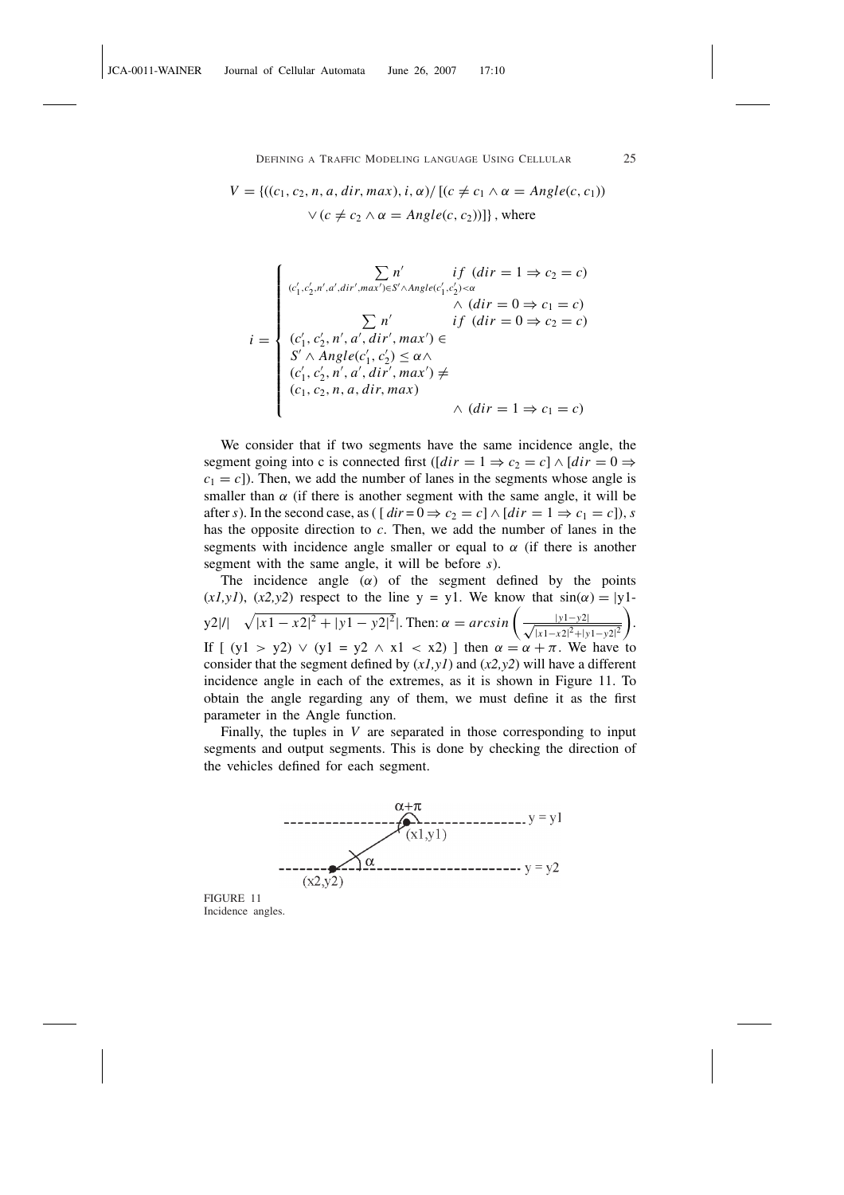# $V = \{((c_1, c_2, n, a, dir, max), i, \alpha) / [(c \neq c_1 \land \alpha = Angle(c, c_1))\}$

 $\vee$  ( $c \neq c_2 \wedge \alpha = Angle(c, c_2)$ )]}, where

$$
i = \begin{cases} \sum_{(c'_1, c'_2, n', d', dir', max') \in S' \land Angle(c'_1, c'_2) < \alpha} \sum_{(c'_1, c'_2, n', d', dir', max') \in S'} \wedge (dir = 0 \Rightarrow c_1 = c) \\ \sum_{(c'_1, c'_2, n', d', dir', max') \in S'} \sum_{(c'_1, c'_2, n', d', dir', max') \in S'} \wedge Angle(c'_1, c'_2) \leq \alpha \wedge \\ (c'_1, c'_2, n', d', dir', max') \neq \\ (c_1, c_2, n, a, dir, max) \wedge (dir = 1 \Rightarrow c_1 = c) \end{cases}
$$

We consider that if two segments have the same incidence angle, the segment going into c is connected first ( $\left[ dir = 1 \Rightarrow c_2 = c \right] \wedge \left[ dir = 0 \Rightarrow \right]$  $c_1 = c$ ]). Then, we add the number of lanes in the segments whose angle is smaller than  $\alpha$  (if there is another segment with the same angle, it will be after *s*). In the second case, as (  $\left[ \text{dir} = 0 \Rightarrow c_2 = c \right] \wedge \left[ \text{dir} = 1 \Rightarrow c_1 = c \right]$ ), *s* has the opposite direction to *c*. Then, we add the number of lanes in the segments with incidence angle smaller or equal to  $\alpha$  (if there is another segment with the same angle, it will be before *s*).

The incidence angle  $(\alpha)$  of the segment defined by the points  $(x1,y1)$ ,  $(x2,y2)$  respect to the line y = y1. We know that  $sin(\alpha) = |y|$ y2|/|  $\overline{\phantom{a}}$  $\frac{|x^2-y^2|}{|x^2-y^2|^2}$ . Then:  $\alpha = \arcsin\left(\frac{|y^2-y^2|}{|x^2-y^2|^2}\right)$ . Then:  $\alpha = \arcsin\left(\frac{|y^2-y^2|}{|x^2-y^2|^2}\right)$ |*x*1−*x*2| <sup>2</sup>+|*y*1−*y*2| 2 . If  $[y1 > y2] \vee (y1 = y2 \wedge x1 < x2)$  l then  $\alpha = \alpha + \pi$ . We have to consider that the segment defined by  $(x1, y1)$  and  $(x2, y2)$  will have a different incidence angle in each of the extremes, as it is shown in Figure 11. To obtain the angle regarding any of them, we must define it as the first parameter in the Angle function.

Finally, the tuples in *V* are separated in those corresponding to input segments and output segments. This is done by checking the direction of the vehicles defined for each segment.



FIGURE 11 Incidence angles.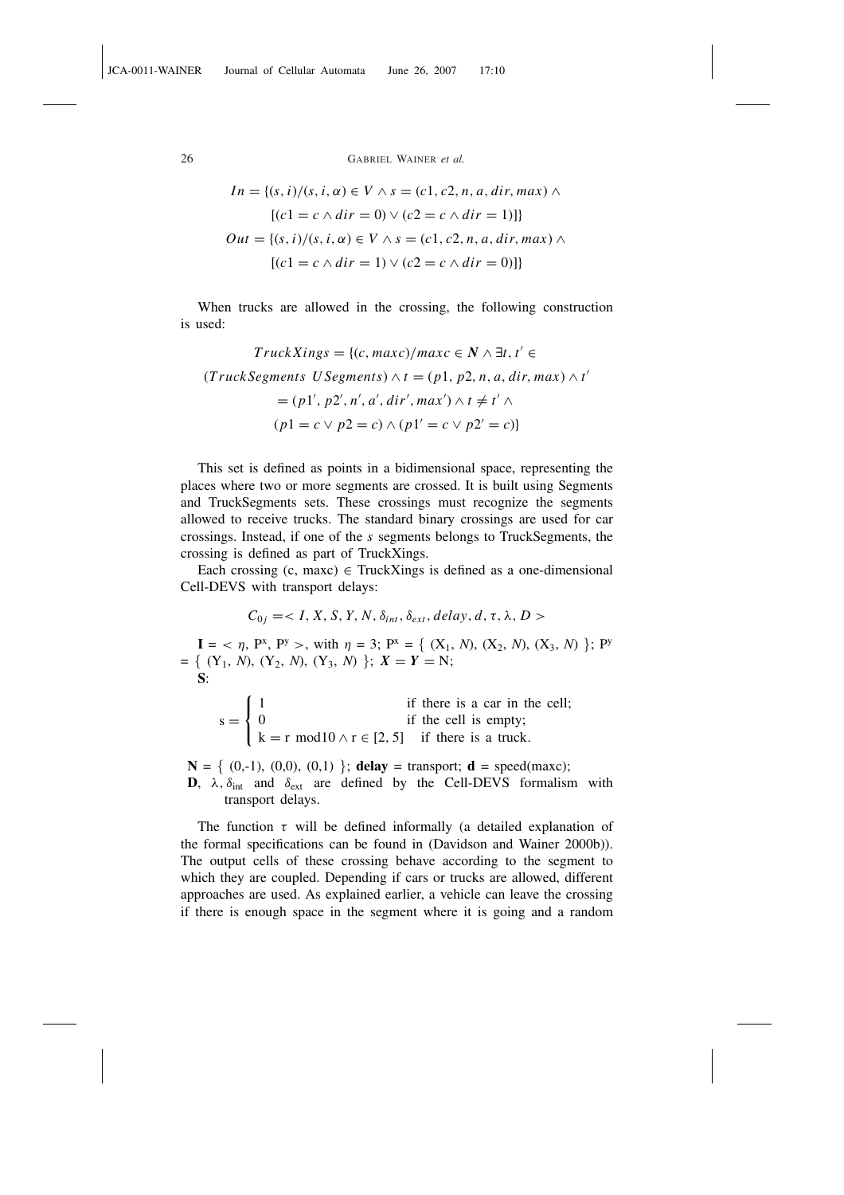$$
In = \{(s, i) / (s, i, \alpha) \in V \land s = (c1, c2, n, a, dir, max) \land
$$

$$
[(c1 = c \land dir = 0) \lor (c2 = c \land dir = 1)]\}
$$

$$
Out = \{(s, i) / (s, i, \alpha) \in V \land s = (c1, c2, n, a, dir, max) \land
$$

$$
[(c1 = c \land dir = 1) \lor (c2 = c \land dir = 0)]\}
$$

When trucks are allowed in the crossing, the following construction is used:

$$
TruckXings = \{(c, maxc)/maxc \in N \land \exists t, t' \in
$$

$$
(TruckSegments \cup Segments) \land t = (p1, p2, n, a, dir, max) \land t
$$

$$
= (p1', p2', n', a', dir', max') \land t \neq t' \land
$$

$$
(p1 = c \lor p2 = c) \land (p1' = c \lor p2' = c)\}
$$

 $\overline{\phantom{a}}$ 

This set is defined as points in a bidimensional space, representing the places where two or more segments are crossed. It is built using Segments and TruckSegments sets. These crossings must recognize the segments allowed to receive trucks. The standard binary crossings are used for car crossings. Instead, if one of the *s* segments belongs to TruckSegments, the crossing is defined as part of TruckXings.

Each crossing  $(c, maxc) \in TruckXings$  is defined as a one-dimensional Cell-DEVS with transport delays:

$$
C_{0j} =
$$

 $I = \langle \eta, P^x, P^y \rangle$ , with  $\eta = 3$ ;  $P^x = \{ (X_1, N), (X_2, N), (X_3, N) \}$ ;  $P^y$  $= \{ (Y_1, N), (Y_2, N), (Y_3, N) \}; X = Y = N;$  $\overline{\mathbf{S}}$ :

$$
s = \begin{cases} 1 & \text{if there is a car in the cell;} \\ 0 & \text{if the cell is empty;} \\ k = r \mod 10 \land r \in [2, 5] & \text{if there is a truck.} \end{cases}
$$

 $N = \{ (0,-1), (0,0), (0,1) \}$ ; delay = transport; d = speed(maxc); **D**,  $\lambda$ ,  $\delta_{int}$  and  $\delta_{ext}$  are defined by the Cell-DEVS formalism with transport delays.

The function  $\tau$  will be defined informally (a detailed explanation of the formal specifications can be found in (Davidson and Wainer 2000b)). The output cells of these crossing behave according to the segment to which they are coupled. Depending if cars or trucks are allowed, different approaches are used. As explained earlier, a vehicle can leave the crossing if there is enough space in the segment where it is going and a random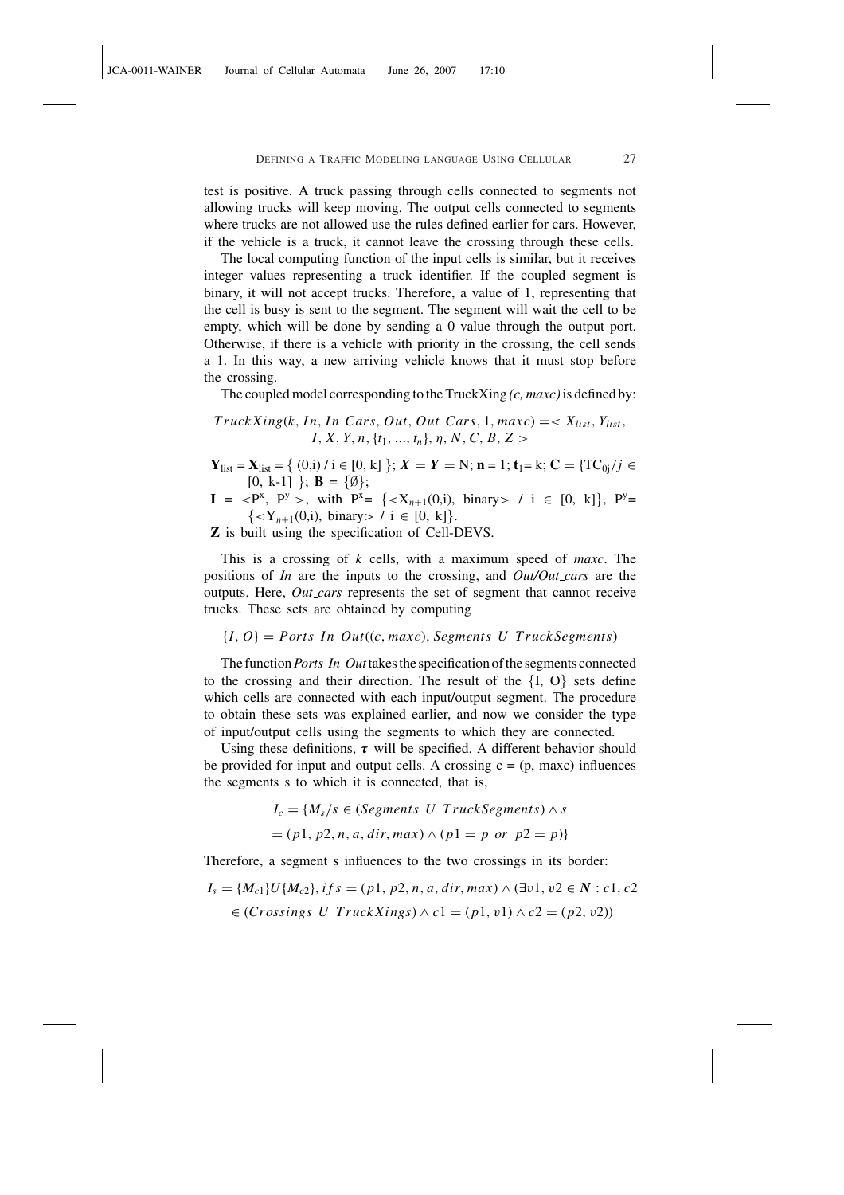test is positive. A truck passing through cells connected to segments not allowing trucks will keep moving. The output cells connected to segments where trucks are not allowed use the rules defined earlier for cars. However, if the vehicle is a truck, it cannot leave the crossing through these cells.

The local computing function of the input cells is similar, but it receives integer values representing a truck identifier. If the coupled segment is binary, it will not accept trucks. Therefore, a value of 1, representing that the cell is busy is sent to the segment. The segment will wait the cell to be empty, which will be done by sending a 0 value through the output port. Otherwise, if there is a vehicle with priority in the crossing, the cell sends a 1. In this way, a new arriving vehicle knows that it must stop before the crossing.

The coupled model corresponding to the TruckXing *(c, maxc)*is defined by:

 $TruckXing(k, In, In{\textsc{Lars}}, Out, Out{\textsc{Lars}}, 1, maxc) =  $X_{list}, Y_{list}$$ *I*, *X*, *Y*, *n*,{*t*1, ..., *tn*}, η, *N*,*C*, *B*, *Z* >

- $Y_{\text{list}} = X_{\text{list}} = \{ (0,i) / i \in [0, k] \}; X = Y = N; n = 1; t_1 = k; C = \{ TC_{0i} / j \in$  $[0, k-1]$  }; **B** = { $\emptyset$ };
- $I = \langle P^x, P^y \rangle$ , with  $P^x = \{ \langle X_{\eta+1}(0,i), \text{ binary} \rangle / i \in [0, k] \}$ ,  $P^y =$  $\{ / i \in [0, k]\}.$

Z is built using the specification of Cell-DEVS.

This is a crossing of *k* cells, with a maximum speed of *maxc*. The positions of *In* are the inputs to the crossing, and *Out/Out cars* are the outputs. Here, *Out cars* represents the set of segment that cannot receive trucks. These sets are obtained by computing

 ${I, O} =$  *Ports\_In\_Out*((*c*, *maxc*), *Segments U TruckSegments*)

The function*Ports In Out*takes the specification of the segments connected to the crossing and their direction. The result of the  ${I, O}$  sets define which cells are connected with each input/output segment. The procedure to obtain these sets was explained earlier, and now we consider the type of input/output cells using the segments to which they are connected.

Using these definitions,  $\tau$  will be specified. A different behavior should be provided for input and output cells. A crossing  $c = (p, maxc)$  influences the segments s to which it is connected, that is,

 $I_c = \{M_s/s \in (Segments \ U \ Truck Segments) \wedge s$ 

$$
= (p1, p2, n, a, dir, max) \land (p1 = p \text{ or } p2 = p)
$$

Therefore, a segment s influences to the two crossings in its border:

$$
I_s = \{M_{c1}\}U\{M_{c2}\}, \, if \, s = (p1, p2, n, a, dir, max) \land (\exists v1, v2 \in N : c1, c2 \in (Crossings \, U \, \text{TruckXings}) \land c1 = (p1, v1) \land c2 = (p2, v2))
$$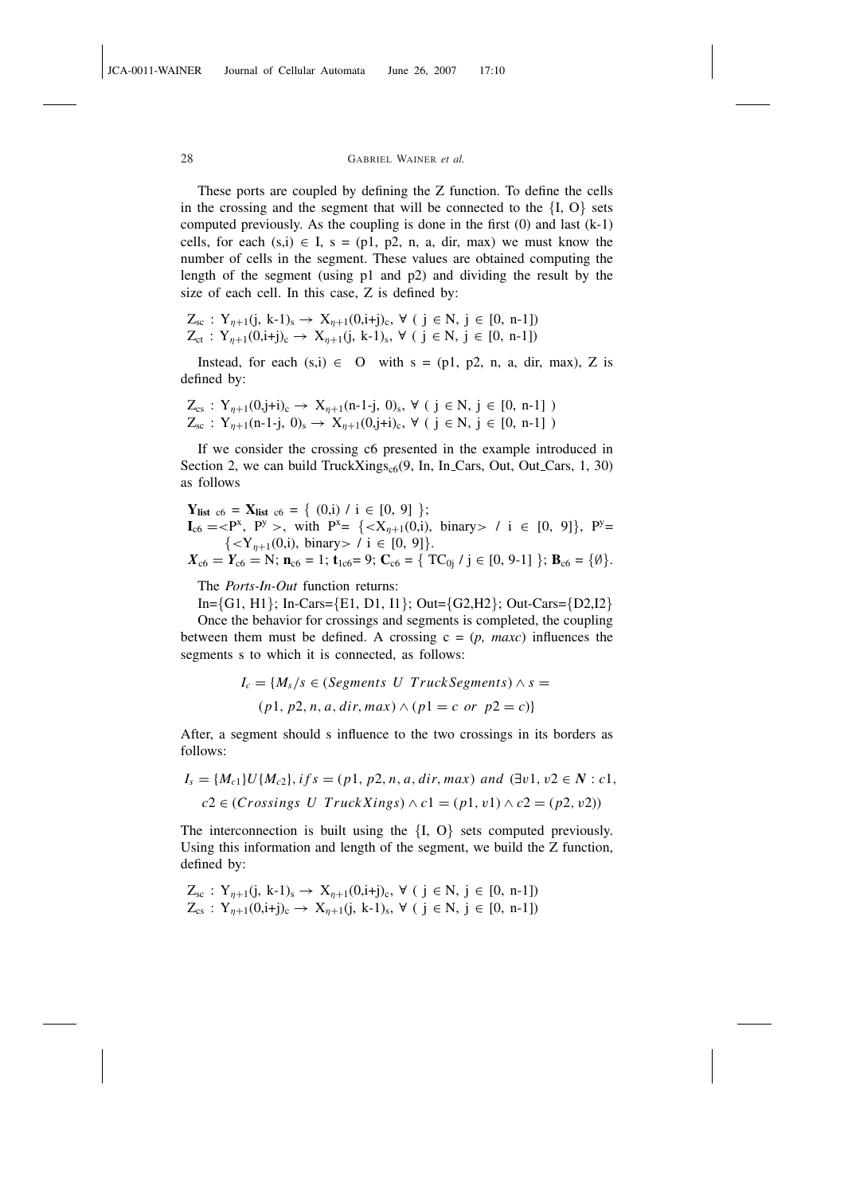These ports are coupled by defining the Z function. To define the cells in the crossing and the segment that will be connected to the  ${I, O}$  sets computed previously. As the coupling is done in the first (0) and last (k-1) cells, for each  $(s,i) \in I$ ,  $s = (p1, p2, n, a, dir, max)$  we must know the number of cells in the segment. These values are obtained computing the length of the segment (using p1 and p2) and dividing the result by the size of each cell. In this case, Z is defined by:

$$
Z_{sc} : Y_{\eta+1}(j, k-1)_{s} \to X_{\eta+1}(0, i+j)_{c}, \forall (j \in N, j \in [0, n-1])
$$
  

$$
Z_{ct} : Y_{\eta+1}(0, i+j)_{c} \to X_{\eta+1}(j, k-1)_{s}, \forall (j \in N, j \in [0, n-1])
$$

Instead, for each  $(s,i) \in O$  with  $s = (p1, p2, n, a, dir, max)$ , Z is defined by:

$$
Z_{cs}: Y_{\eta+1}(0,j+i)_{c} \to X_{\eta+1}(n-1-j, 0)_{s}, \forall (j \in N, j \in [0, n-1])
$$
  

$$
Z_{sc}: Y_{\eta+1}(n-1-j, 0)_{s} \to X_{\eta+1}(0,j+i)_{c}, \forall (j \in N, j \in [0, n-1])
$$

If we consider the crossing c6 presented in the example introduced in Section 2, we can build TruckXings<sub>c6</sub> $(9, \text{In, In\_Cars}, \text{Out\_Cars}, 1, 30)$ as follows

**Y**<sub>list c6</sub> = **X**<sub>list c6</sub> = { (0,i) / i ∈ [0, 9] };  
\n**I**<sub>c6</sub> = 
$$
\langle
$$
 P<sup>x</sup>, P<sup>y</sup> >, with P<sup>x</sup> = { $\langle$ X<sub>η+1</sub>(0,i), binary> / i ∈ [0, 9]}, P<sup>y</sup> = { $\langle$ Y<sub>η+1</sub>(0,i), binary> / i ∈ [0, 9]}.  
\n**X**<sub>c6</sub> = **Y**<sub>c6</sub> = N; **n**<sub>c6</sub> = 1; **t**<sub>1c6</sub> = 9; **C**<sub>c6</sub> = { **TC**<sub>0j</sub> / j ∈ [0, 9-1] }; **B**<sub>c6</sub> = { $\emptyset$ }.

The *Ports-In-Out* function returns:

In={G1, H1}; In-Cars={E1, D1, I1}; Out={G2,H2}; Out-Cars={D2,I2} Once the behavior for crossings and segments is completed, the coupling between them must be defined. A crossing  $c = (p, maxc)$  influences the segments s to which it is connected, as follows:

$$
I_c = \{M_s/s \in (Segments U Truck Segments) \land s =
$$
  
(p1, p2, n, a, dir, max)  $\land$  (p1 = c or p2 = c)\}

After, a segment should s influence to the two crossings in its borders as follows:

$$
I_s = \{M_{c1}\}U\{M_{c2}\}, if s = (p1, p2, n, a, dir, max) \text{ and } (\exists v1, v2 \in N : c1, c2 \in (Crossings \ U \text{ TruckXings}) \land c1 = (p1, v1) \land c2 = (p2, v2))
$$

The interconnection is built using the  ${I, O}$  sets computed previously. Using this information and length of the segment, we build the Z function, defined by:

$$
Z_{sc} : Y_{\eta+1}(j, k-1)_{s} \to X_{\eta+1}(0, i+j)_{c}, \forall (j \in N, j \in [0, n-1])
$$
  

$$
Z_{cs} : Y_{\eta+1}(0, i+j)_{c} \to X_{\eta+1}(j, k-1)_{s}, \forall (j \in N, j \in [0, n-1])
$$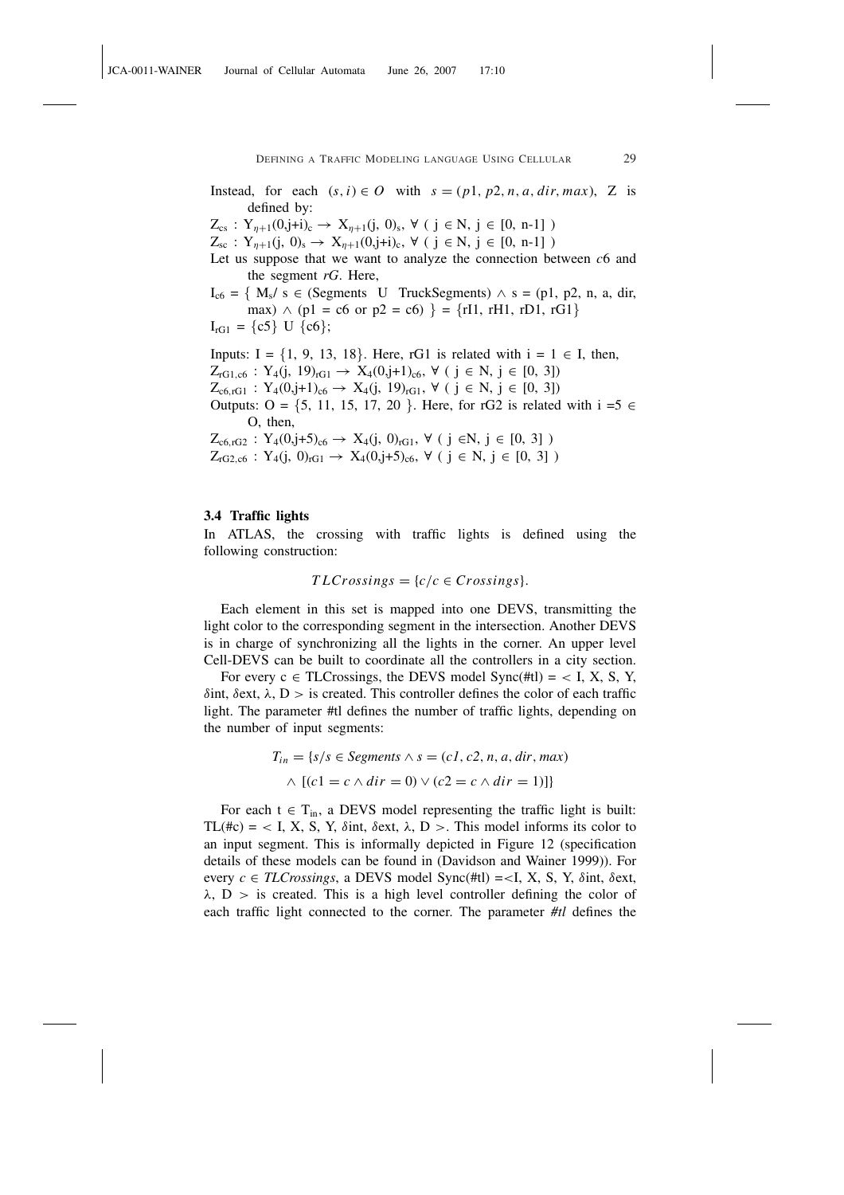Instead, for each  $(s, i) \in O$  with  $s = (p1, p2, n, a, dir, max)$ , Z is defined by:

 $Z_{cs}$ :  $Y_{\eta+1}(0,j+i)_{c} \to X_{\eta+1}(j, 0)_{s}, \forall (j \in N, j \in [0, n-1])$ 

 $Z_{\rm sc}$ :  $Y_{n+1}$ (j, 0)<sub>s</sub>  $\rightarrow$   $X_{n+1}$ (0,j+i)<sub>c</sub>,  $\forall$  (j  $\in$  N, j  $\in$  [0, n-1])

- Let us suppose that we want to analyze the connection between *c*6 and the segment *rG*. Here,
- $I_{\rm c6} = \{ M_s / s \in$  (Segments U TruckSegments)  $\wedge$  s = (p1, p2, n, a, dir, max)  $\land$  (p1 = c6 or p2 = c6) } = {rI1, rH1, rD1, rG1}  $I_{rG1} = \{c5\}$  U  $\{c6\};$

Inputs: I =  $\{1, 9, 13, 18\}$ . Here, rG1 is related with  $i = 1 \in I$ , then,  $Z_{rG1,c6}$  : Y<sub>4</sub>(j, 19)<sub>rG1</sub> → X<sub>4</sub>(0,j+1)<sub>c6</sub>,  $\forall$  ( j ∈ N, j ∈ [0, 3])  $Z_{c6, rG1}$  :  $Y_4(0,j+1)_{c6} \rightarrow X_4(j, 19)_{rG1}, \forall (j \in N, j \in [0, 3])$ Outputs: O =  $\{5, 11, 15, 17, 20\}$ . Here, for rG2 is related with  $i = 5 \in$ O, then,  $Z_{c6, rG2}$  :  $Y_4(0,j+5)_{c6} \rightarrow X_4(j, 0)_{rG1}, \forall (j \in N, j \in [0, 3])$ 

 $Z_{rG2,c6}$ :  $Y_4(j, 0)_{rG1} \rightarrow X_4(0,j+5)_{c6}$ ,  $\forall$  ( $j \in N$ ,  $j \in [0, 3]$ )

#### 3.4 Traffic lights

In ATLAS, the crossing with traffic lights is defined using the following construction:

$$
TLCrossings = \{c/c \in Crossings\}.
$$

Each element in this set is mapped into one DEVS, transmitting the light color to the corresponding segment in the intersection. Another DEVS is in charge of synchronizing all the lights in the corner. An upper level Cell-DEVS can be built to coordinate all the controllers in a city section.

For every  $c \in TLCrossings$ , the DEVS model Sync(#tl) = < I, X, S, Y, δint, δext, λ, D > is created. This controller defines the color of each traffic light. The parameter #tl defines the number of traffic lights, depending on the number of input segments:

$$
T_{in} = \{s/s \in Segments \land s = (c1, c2, n, a, dir, max)
$$

$$
\land \left[ (c1 = c \land dir = 0) \lor (c2 = c \land dir = 1) \right] \}
$$

For each  $t \in T_{in}$ , a DEVS model representing the traffic light is built: TL(#c) = < I, X, S, Y,  $\delta$ int,  $\delta$ ext,  $\lambda$ , D >. This model informs its color to an input segment. This is informally depicted in Figure 12 (specification details of these models can be found in (Davidson and Wainer 1999)). For every  $c \in TLCrossings$ , a DEVS model Sync(#tl) = <I, X, S, Y,  $\delta$ int,  $\delta$ ext,  $\lambda$ ,  $D >$  is created. This is a high level controller defining the color of each traffic light connected to the corner. The parameter *#tl* defines the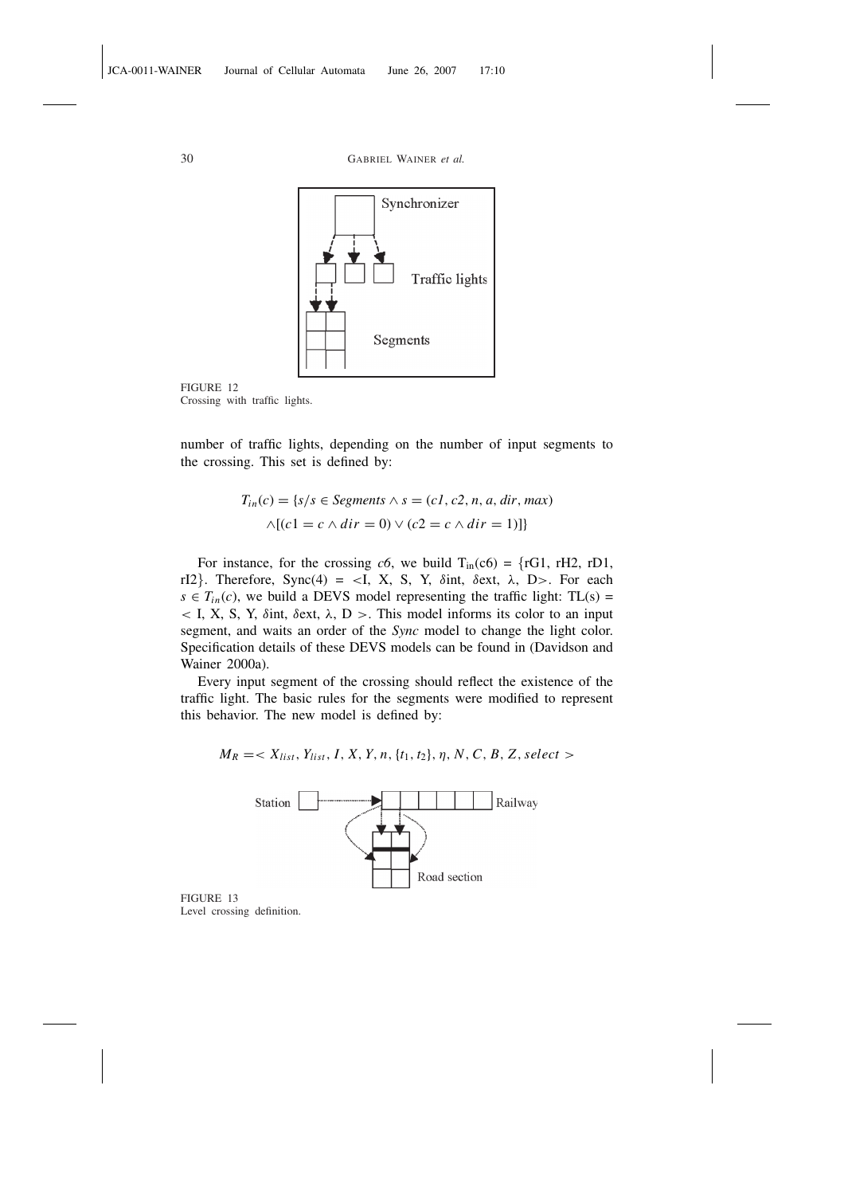

FIGURE 12 Crossing with traffic lights.

number of traffic lights, depending on the number of input segments to the crossing. This set is defined by:

$$
T_{in}(c) = \{s/s \in Segments \land s = (c1, c2, n, a, dir, max)
$$

$$
\land [(c1 = c \land dir = 0) \lor (c2 = c \land dir = 1)]
$$

For instance, for the crossing  $c6$ , we build  $T_{in}(c6) = \{rG1, rH2, rD1,$ rI2}. Therefore, Sync(4) = <I, X, S, Y,  $\delta$ int,  $\delta$ ext,  $\lambda$ , D>. For each  $s \in T_{in}(c)$ , we build a DEVS model representing the traffic light: TL(s) =  $\langle$  I, X, S, Y,  $\delta$ int,  $\delta$ ext,  $\lambda$ , D  $>$ . This model informs its color to an input segment, and waits an order of the *Sync* model to change the light color. Specification details of these DEVS models can be found in (Davidson and Wainer 2000a).

Every input segment of the crossing should reflect the existence of the traffic light. The basic rules for the segments were modified to represent this behavior. The new model is defined by:

 $M_R$  =<  $X_{list}$ ,  $Y_{list}$ ,  $I$ ,  $X$ ,  $Y$ ,  $n$ ,  $\{t_1, t_2\}$ ,  $\eta$ ,  $N$ ,  $C$ ,  $B$ ,  $Z$ , select >



FIGURE 13 Level crossing definition.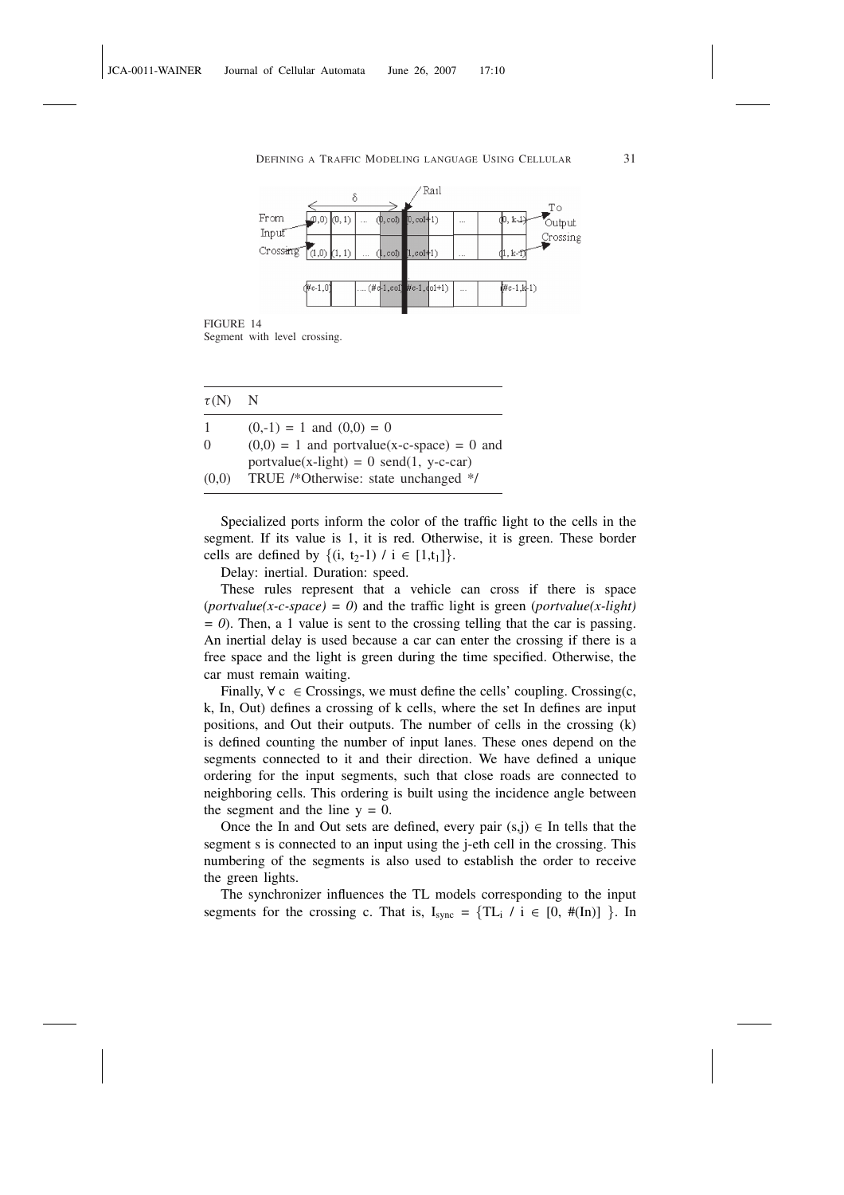

FIGURE 14

Segment with level crossing.

| $\tau(N)$ N |                                                                                   |
|-------------|-----------------------------------------------------------------------------------|
| 1           | $(0,-1) = 1$ and $(0,0) = 0$                                                      |
| 0           | $(0,0) = 1$ and portvalue(x-c-space) = 0 and                                      |
| (0,0)       | $portvalue(x-light) = 0 send(1, y-c-car)$<br>TRUE /*Otherwise: state unchanged */ |

Specialized ports inform the color of the traffic light to the cells in the segment. If its value is 1, it is red. Otherwise, it is green. These border cells are defined by  $\{(i, t_2-1) / i \in [1,t_1]\}.$ 

Delay: inertial. Duration: speed.

These rules represent that a vehicle can cross if there is space (*portvalue(x-c-space) = 0*) and the traffic light is green (*portvalue(x-light) = 0*). Then, a 1 value is sent to the crossing telling that the car is passing. An inertial delay is used because a car can enter the crossing if there is a free space and the light is green during the time specified. Otherwise, the car must remain waiting.

Finally,  $\forall c \in Crossings$ , we must define the cells' coupling. Crossing(c, k, In, Out) defines a crossing of k cells, where the set In defines are input positions, and Out their outputs. The number of cells in the crossing (k) is defined counting the number of input lanes. These ones depend on the segments connected to it and their direction. We have defined a unique ordering for the input segments, such that close roads are connected to neighboring cells. This ordering is built using the incidence angle between the segment and the line  $y = 0$ .

Once the In and Out sets are defined, every pair  $(s,j) \in$  In tells that the segment s is connected to an input using the j-eth cell in the crossing. This numbering of the segments is also used to establish the order to receive the green lights.

The synchronizer influences the TL models corresponding to the input segments for the crossing c. That is,  $I_{sync} = \{TL_i / i \in [0, \#(In)] \}$ . In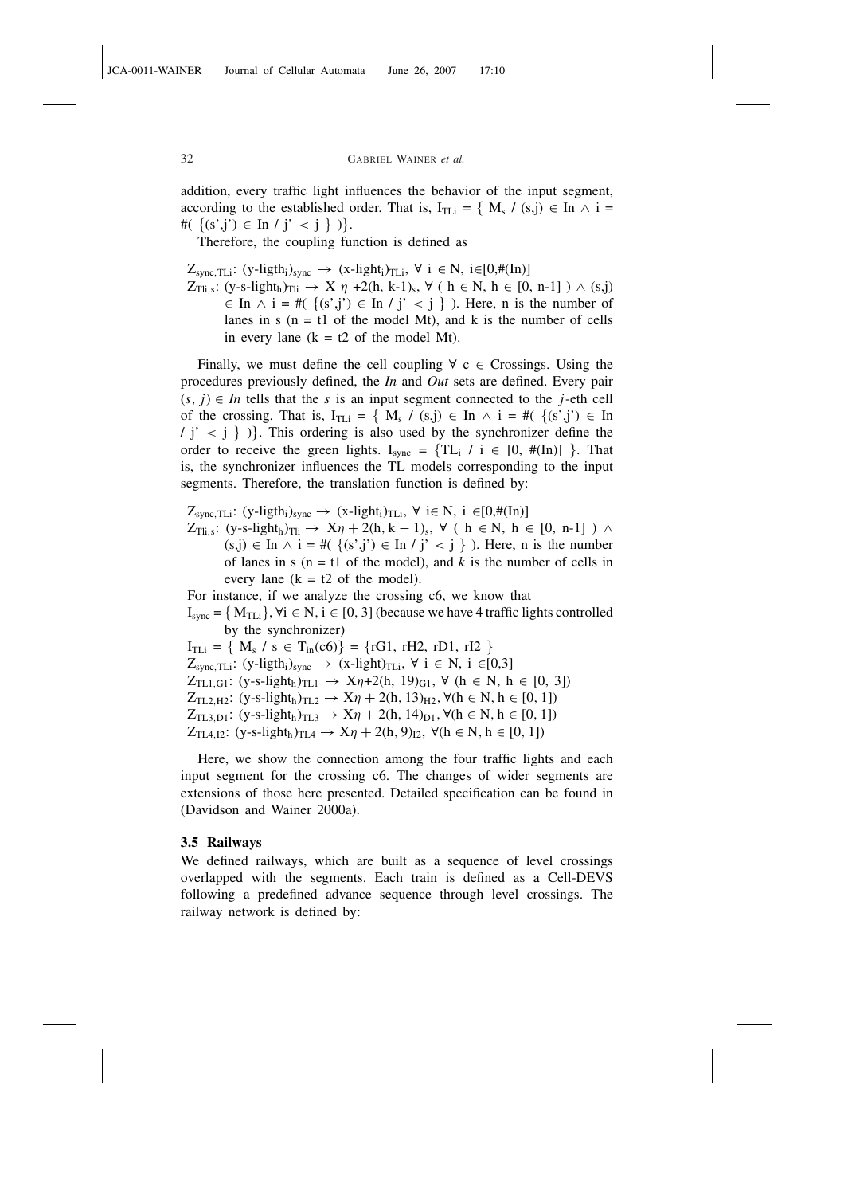addition, every traffic light influences the behavior of the input segment, according to the established order. That is,  $I_{TLi} = \{ M_s / (s,j) \in In \land i =$ # $({ (s',j') \in \text{In } / j' < j })$ .

Therefore, the coupling function is defined as

 $Z_{sync, TLi}:$  (y-ligth<sub>i</sub>)<sub>sync</sub> → (x-light<sub>i</sub>)<sub>TLi</sub>,  $\forall i \in N$ , i∈[0,#(In)]

 $Z_{\text{Ti},s}$ : (y-s-light<sub>h</sub>)<sub>Tli</sub>  $\rightarrow X$   $\eta$  +2(h, k-1)<sub>s</sub>,  $\forall$  ( h  $\in$  N, h  $\in$  [0, n-1])  $\land$  (s,j)  $\in$  In  $\land$  i = #( {(s',j')  $\in$  In / j' < j } ). Here, n is the number of lanes in s  $(n = t1$  of the model Mt), and k is the number of cells in every lane  $(k = t2$  of the model Mt).

Finally, we must define the cell coupling  $\forall c \in C$  cossings. Using the procedures previously defined, the *In* and *Out* sets are defined. Every pair  $(s, j) \in In$  tells that the *s* is an input segment connected to the *j*-eth cell of the crossing. That is,  $I_{TLi} = \{ M_s / (s,j) \in In \land i = #(\{(s',j') \in In \}$  $\{j' < j \}$ ). This ordering is also used by the synchronizer define the order to receive the green lights.  $I_{sync} = \{TL_i / i \in [0, \#(In)] \}$ . That is, the synchronizer influences the TL models corresponding to the input segments. Therefore, the translation function is defined by:

 $Z_{sync, TLi}: (y-light<sub>i</sub>)<sub>sync</sub> \rightarrow (x-light<sub>i</sub>)<sub>TLi</sub>, \forall i \in N, i \in [0, \#(In)]$ 

 $Z_{\text{Ti},s}$ :  $(y$ -s-light<sub>h</sub>)<sub>Tli</sub>  $\rightarrow X\eta + 2(h, k - 1)_s$ ,  $\forall$  (  $h \in N$ ,  $h \in [0, n-1]$  )  $\land$  $(s,j) \in \text{In } \wedge i = \#(\{(s',j') \in \text{In } j' < j\})$ . Here, n is the number of lanes in s ( $n = t1$  of the model), and k is the number of cells in every lane  $(k = t2$  of the model).

For instance, if we analyze the crossing c6, we know that

 $I_{sync} = \{ M_{TLi} \}, \forall i \in N, i \in [0, 3]$  (because we have 4 traffic lights controlled by the synchronizer)

 $I_{TLi} = \{ M_s / s \in T_{in}(c6) \} = \{ rG1, rH2, rD1, rI2 \}$ 

 $Z_{sync, TLi}:$  (y-ligth<sub>i</sub>)<sub>sync</sub>  $\rightarrow$  (x-light)<sub>TLi</sub>,  $\forall$  i  $\in$  N, i  $\in$ [0,3]

 $Z_{\text{TL1},\text{G1}}$ : (y-s-light<sub>h</sub>)<sub>TL1</sub>  $\rightarrow$  X $\eta$ +2(h, 19)<sub>G1</sub>,  $\forall$  (h  $\in$  N, h  $\in$  [0, 3])

 $Z_{TL2,H2}$ : (y-s-light<sub>h</sub>)<sub>TL2</sub> →  $X\eta$  + 2(h, 13)<sub>H2</sub>,  $\forall$ (h ∈ N, h ∈ [0, 1])

 $Z_{\text{TL3},\text{D1}}$ : (y-s-light<sub>h</sub>)<sub>TL3</sub>  $\rightarrow X\eta + 2(h, 14)_{\text{D1}}$ ,  $\forall (h \in N, h \in [0, 1])$ 

 $Z_{TL4, I2}:$  (y-s-light<sub>h</sub>)<sub>TL4</sub>  $\rightarrow X\eta + 2(h, 9)_{I2}$ ,  $\forall (h \in N, h \in [0, 1])$ 

Here, we show the connection among the four traffic lights and each input segment for the crossing c6. The changes of wider segments are extensions of those here presented. Detailed specification can be found in (Davidson and Wainer 2000a).

#### 3.5 Railways

We defined railways, which are built as a sequence of level crossings overlapped with the segments. Each train is defined as a Cell-DEVS following a predefined advance sequence through level crossings. The railway network is defined by: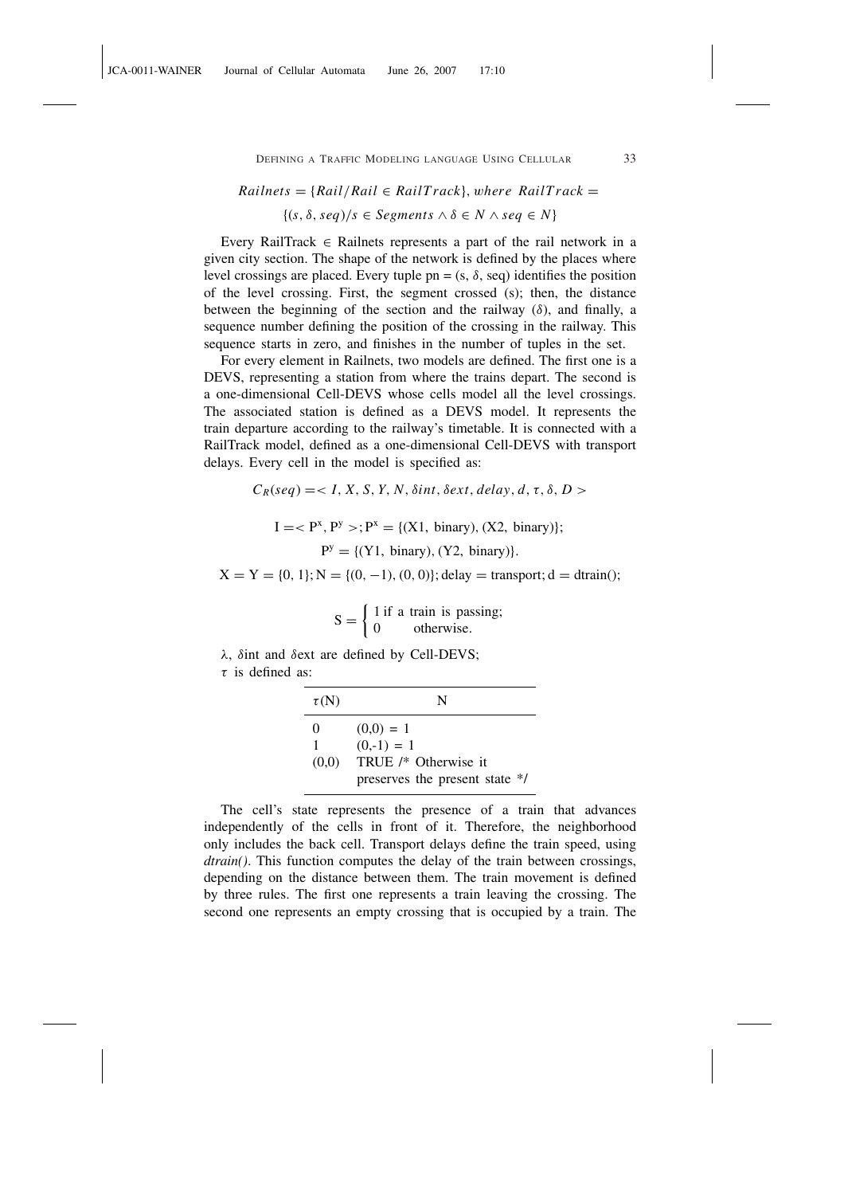#### $Rainets = {Rail/Rail \in RailTrack}$ , where  $RailTrack$

# $\{(s, \delta, \text{seq})/s \in Segments \land \delta \in N \land \text{seq} \in N\}$

Every RailTrack  $\in$  Railnets represents a part of the rail network in a given city section. The shape of the network is defined by the places where level crossings are placed. Every tuple  $pn = (s, \delta, seq)$  identifies the position of the level crossing. First, the segment crossed (s); then, the distance between the beginning of the section and the railway  $(\delta)$ , and finally, a sequence number defining the position of the crossing in the railway. This sequence starts in zero, and finishes in the number of tuples in the set.

For every element in Railnets, two models are defined. The first one is a DEVS, representing a station from where the trains depart. The second is a one-dimensional Cell-DEVS whose cells model all the level crossings. The associated station is defined as a DEVS model. It represents the train departure according to the railway's timetable. It is connected with a RailTrack model, defined as a one-dimensional Cell-DEVS with transport delays. Every cell in the model is specified as:

$$
C_R(seq) = < I, X, S, Y, N, \delta int, \delta ext, delay, d, \tau, \delta, D>
$$
  

$$
I = < P^x, P^y >; P^x = \{(X1, \text{ binary}), (X2, \text{ binary})\};
$$
  

$$
P^y = \{(Y1, \text{ binary}), (Y2, \text{ binary})\}.
$$
  

$$
X = Y = \{0, 1\}; N = \{(0, -1), (0, 0)\}; \text{delay} = \text{transport}; d = \text{drain}();
$$

$$
S = \begin{cases} 1 \text{ if a train is passing;} \\ 0 \text{ otherwise.} \end{cases}
$$

λ, δint and δext are defined by Cell-DEVS;

 $\tau$  is defined as:

| $\tau(N)$    | N                              |
|--------------|--------------------------------|
| $\mathbf{0}$ | $(0,0) = 1$                    |
|              | $(0,-1) = 1$                   |
| (0,0)        | TRUE /* Otherwise it           |
|              | preserves the present state */ |

The cell's state represents the presence of a train that advances independently of the cells in front of it. Therefore, the neighborhood only includes the back cell. Transport delays define the train speed, using *dtrain()*. This function computes the delay of the train between crossings, depending on the distance between them. The train movement is defined by three rules. The first one represents a train leaving the crossing. The second one represents an empty crossing that is occupied by a train. The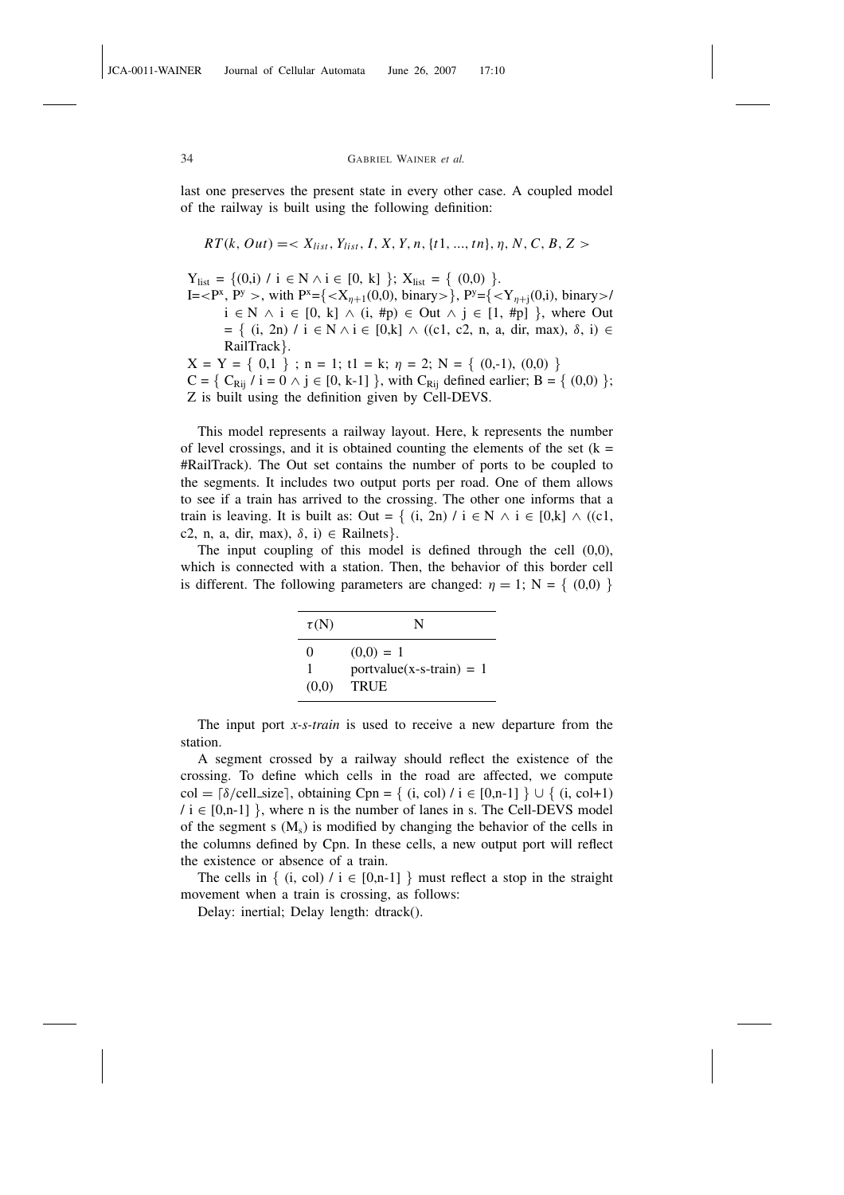last one preserves the present state in every other case. A coupled model of the railway is built using the following definition:

$$
RT(k, Out) = < X_{list}, Y_{list}, I, X, Y, n, \{t1, ..., tn\}, \eta, N, C, B, Z>
$$

 $Y_{list} = \{(0,i) / i \in N \land i \in [0, k] \}; X_{list} = \{(0,0)\}.$ 

JCA-0011-WAINER Journal of Cellular Automata June 26, 2007 17:10

I =  $\langle P^x, P^y \rangle$ , with  $P^x = \{ \langle X_{\eta+1}(0,0), \text{binary} \rangle \}, P^y = \{ \langle Y_{\eta+1}(0,0), \text{ binary} \rangle \}$  $i \in N \land i \in [0, k] \land (i, \#p) \in Out \land j \in [1, \#p]$ , where Out  $= \{ (i, 2n) / i \in N \land i \in [0, k] \land ((c1, c2, n, a, dir, max), δ, i) \in$ RailTrack}.

 $X = Y = \{ 0,1 \}$ ; n = 1; t1 = k;  $\eta = 2$ ; N = { (0,-1), (0,0) }  $C = \{ C_{\text{Rii}} / i = 0 \land j \in [0, k-1] \}$ , with  $C_{\text{Rii}}$  defined earlier;  $B = \{ (0,0) \}$ ; Z is built using the definition given by Cell-DEVS.

This model represents a railway layout. Here, k represents the number of level crossings, and it is obtained counting the elements of the set  $(k =$ #RailTrack). The Out set contains the number of ports to be coupled to the segments. It includes two output ports per road. One of them allows to see if a train has arrived to the crossing. The other one informs that a train is leaving. It is built as: Out = { (i, 2n) / i  $\in$  N  $\wedge$  i  $\in$  [0,k]  $\wedge$  ((c1, c2, n, a, dir, max),  $\delta$ , i)  $\in$  Railnets }.

The input coupling of this model is defined through the cell (0,0), which is connected with a station. Then, the behavior of this border cell is different. The following parameters are changed:  $\eta = 1$ ; N = { (0,0) }

| $\tau(N)$                  | N                                                        |
|----------------------------|----------------------------------------------------------|
| $\mathbf{\Omega}$<br>(0,0) | $(0,0) = 1$<br>$portvalue(x-s-train) = 1$<br><b>TRUE</b> |

The input port *x-s-train* is used to receive a new departure from the station.

A segment crossed by a railway should reflect the existence of the crossing. To define which cells in the road are affected, we compute col =  $\lceil \delta/\text{cell\_size} \rceil$ , obtaining Cpn = { (i, col) / i ∈ [0,n-1] } ∪ { (i, col+1)  $\ell$  i  $\in$  [0,n-1] }, where n is the number of lanes in s. The Cell-DEVS model of the segment s  $(M_s)$  is modified by changing the behavior of the cells in the columns defined by Cpn. In these cells, a new output port will reflect the existence or absence of a train.

The cells in  $\{$  (i, col)  $\ell$  i  $\in$  [0,n-1]  $\}$  must reflect a stop in the straight movement when a train is crossing, as follows:

Delay: inertial; Delay length: dtrack().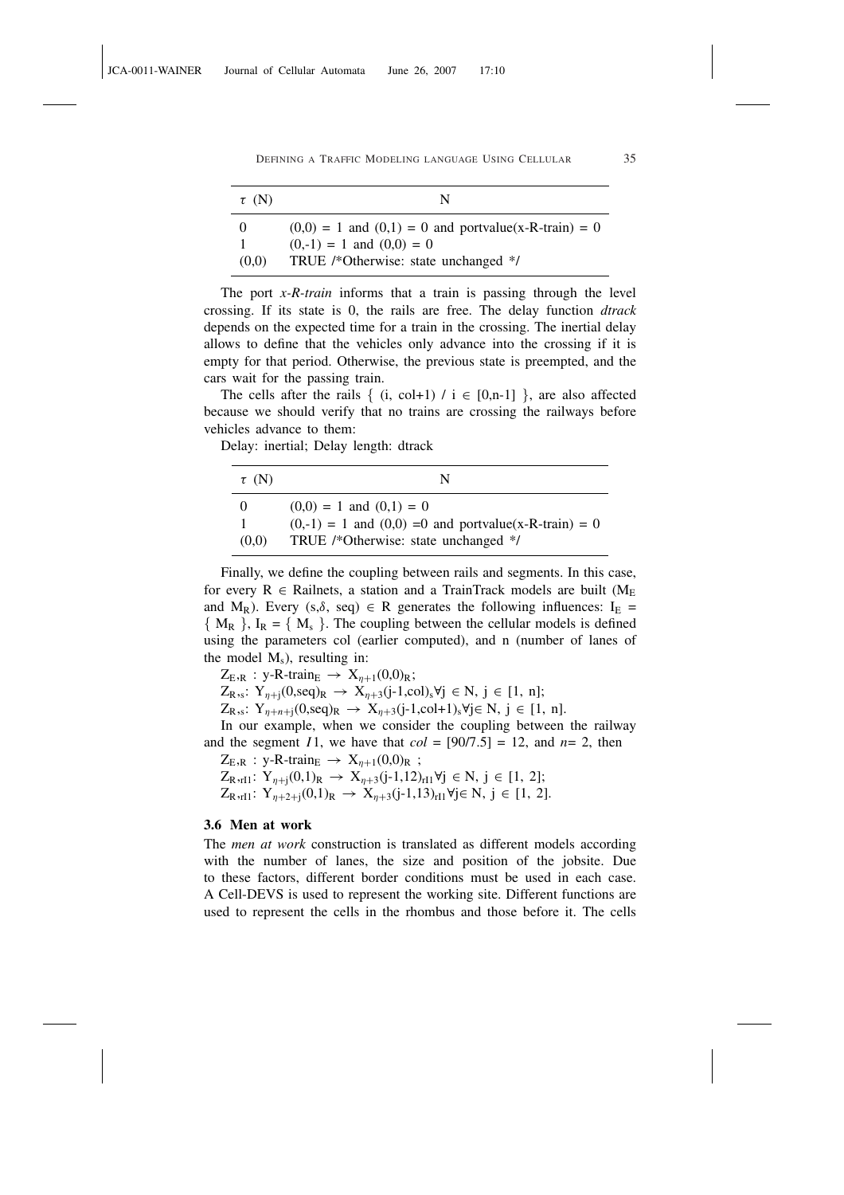| $\tau$ (N)   | N                                                                                                                                |
|--------------|----------------------------------------------------------------------------------------------------------------------------------|
| - 0<br>(0,0) | $(0,0) = 1$ and $(0,1) = 0$ and portvalue(x-R-train) = 0<br>$(0,-1) = 1$ and $(0,0) = 0$<br>TRUE /*Otherwise: state unchanged */ |

The port *x-R-train* informs that a train is passing through the level crossing. If its state is 0, the rails are free. The delay function *dtrack* depends on the expected time for a train in the crossing. The inertial delay allows to define that the vehicles only advance into the crossing if it is empty for that period. Otherwise, the previous state is preempted, and the cars wait for the passing train.

The cells after the rails  $\{$  (i, col+1) / i  $\in$  [0,n-1]  $\}$ , are also affected because we should verify that no trains are crossing the railways before vehicles advance to them:

Delay: inertial; Delay length: dtrack

| $\tau$ (N) | N                                                         |
|------------|-----------------------------------------------------------|
| $\theta$   | $(0,0) = 1$ and $(0,1) = 0$                               |
|            | $(0,-1) = 1$ and $(0,0) = 0$ and portvalue(x-R-train) = 0 |
| (0,0)      | TRUE /*Otherwise: state unchanged */                      |

Finally, we define the coupling between rails and segments. In this case, for every  $R \in$  Railnets, a station and a TrainTrack models are built ( $M_E$ and M<sub>R</sub>). Every (s, $\delta$ , seq)  $\in$  R generates the following influences: I<sub>E</sub> =  ${M_R}$ ,  ${I_R} = {M_s}$ . The coupling between the cellular models is defined using the parameters col (earlier computed), and n (number of lanes of the model  $M_s$ ), resulting in:

 $Z_{E,R}$ : y-R-train<sub>E</sub>  $\rightarrow$   $X_{n+1}(0,0)_R$ ;

 $Z_{R,s}: Y_{\eta+1}(0, \text{seq})_R \rightarrow X_{\eta+3}(j-1, \text{col})_s \forall j \in N, j \in [1, n];$ 

 $Z_{R,s}: Y_{\eta+n+j}(0, \text{seq})_R → X_{\eta+3}(j-1, \text{col}+1)_s \forall j \in N, j \in [1, n].$ 

In our example, when we consider the coupling between the railway and the segment *I* 1, we have that  $col = [90/7.5] = 12$ , and  $n = 2$ , then

 $Z_{E,R}$  : y-R-train<sub>E</sub>  $\rightarrow$   $X_{\eta+1}(0,0)_R$ ;

 $Z_{R,rI1}: Y_{\eta+j}(0,1)_R → X_{\eta+3}(j-1,12)_{rI1} \forall j \in N, j \in [1, 2];$  $Z_{R,rI1}: Y_{\eta+2+j}(0,1)_R → X_{\eta+3}(j-1,13)_{rI1} \forall j \in N, j \in [1, 2].$ 

# 3.6 Men at work

The *men at work* construction is translated as different models according with the number of lanes, the size and position of the jobsite. Due to these factors, different border conditions must be used in each case. A Cell-DEVS is used to represent the working site. Different functions are used to represent the cells in the rhombus and those before it. The cells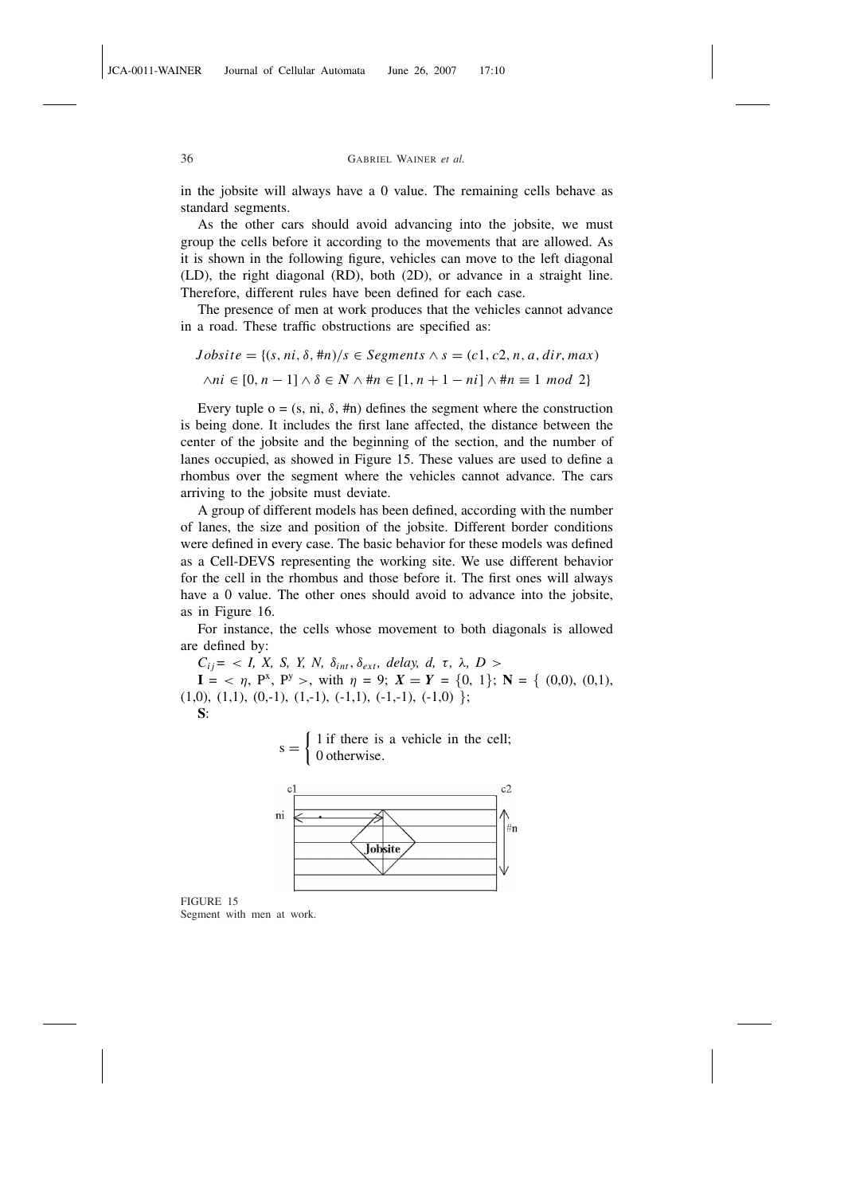JCA-0011-WAINER Journal of Cellular Automata June 26, 2007 17:10

in the jobsite will always have a 0 value. The remaining cells behave as standard segments.

As the other cars should avoid advancing into the jobsite, we must group the cells before it according to the movements that are allowed. As it is shown in the following figure, vehicles can move to the left diagonal (LD), the right diagonal (RD), both (2D), or advance in a straight line. Therefore, different rules have been defined for each case.

The presence of men at work produces that the vehicles cannot advance in a road. These traffic obstructions are specified as:

 $Jobsite = \{(s, ni, \delta, \text{#}n)/s \in Segments \land s = (c1, c2, n, a, dir, max)\}$ ∧*ni* ∈ [0, *n* − 1] ∧ δ ∈ *N* ∧ #*n* ∈ [1, *n* + 1 − *ni*] ∧ #*n* ≡ 1 *mod* 2}

Every tuple  $o = (s, ni, \delta, \text{#n})$  defines the segment where the construction is being done. It includes the first lane affected, the distance between the center of the jobsite and the beginning of the section, and the number of lanes occupied, as showed in Figure 15. These values are used to define a rhombus over the segment where the vehicles cannot advance. The cars arriving to the jobsite must deviate.

A group of different models has been defined, according with the number of lanes, the size and position of the jobsite. Different border conditions were defined in every case. The basic behavior for these models was defined as a Cell-DEVS representing the working site. We use different behavior for the cell in the rhombus and those before it. The first ones will always have a 0 value. The other ones should avoid to advance into the jobsite, as in Figure 16.

For instance, the cells whose movement to both diagonals is allowed are defined by:

 $C_{ij}$ *=* < *I, X, S, Y, N,*  $\delta_{int}, \delta_{ext},$  *delay, d, τ, λ, D >* 

 $I = \langle \eta, P^x, P^y \rangle$ , with  $\eta = 9$ ;  $X = Y = \{0, 1\}$ ;  $N = \{(0,0), (0,1),$  $(1,0), (1,1), (0,-1), (1,-1), (-1,1), (-1,-1), (-1,0)$ 

S:





FIGURE 15 Segment with men at work.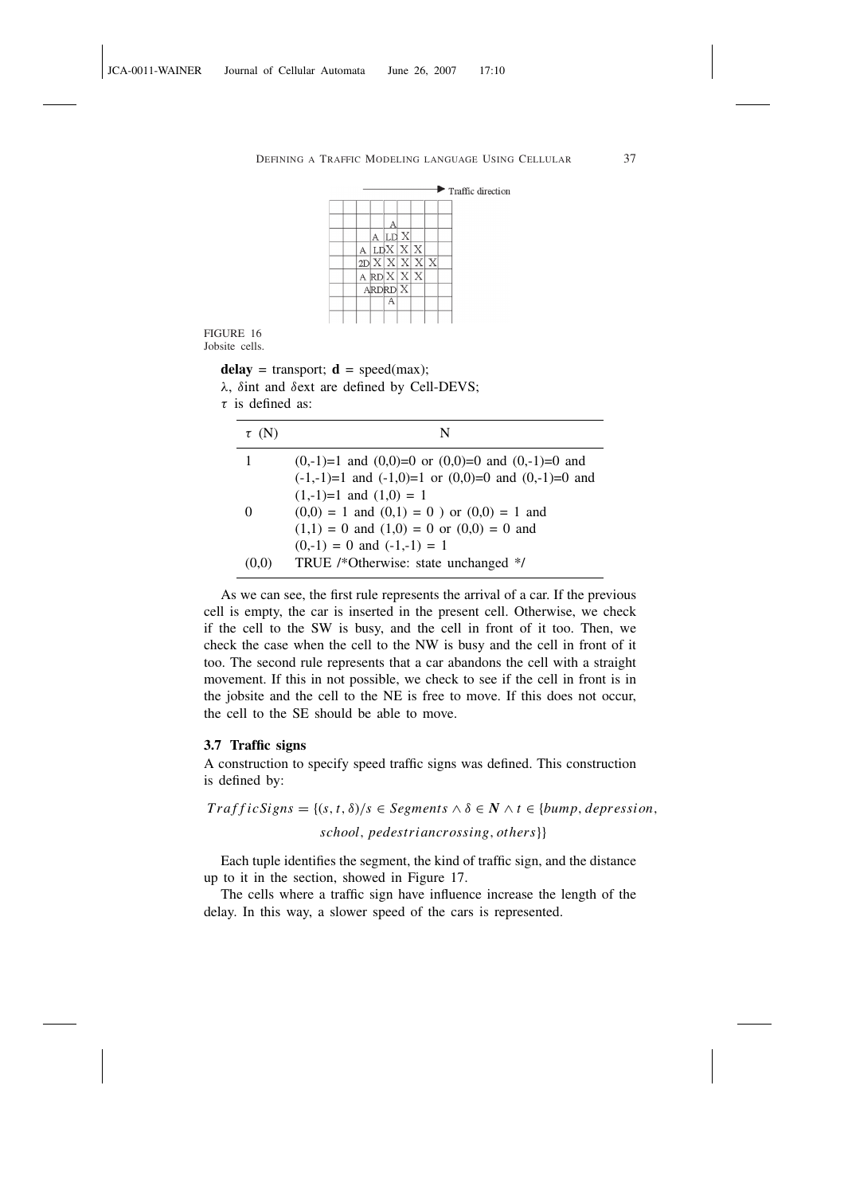

FIGURE 16 Jobsite cells.

delay = transport;  $\mathbf{d}$  = speed(max);

λ, δint and δext are defined by Cell-DEVS;

```
\tau is defined as:
```

| $\tau$ (N) | N                                                          |
|------------|------------------------------------------------------------|
|            | $(0,-1)=1$ and $(0,0)=0$ or $(0,0)=0$ and $(0,-1)=0$ and   |
|            | $(-1,-1)=1$ and $(-1,0)=1$ or $(0,0)=0$ and $(0,-1)=0$ and |
|            | $(1,-1)=1$ and $(1,0)=1$                                   |
| $\theta$   | $(0,0) = 1$ and $(0,1) = 0$ ) or $(0,0) = 1$ and           |
|            | $(1,1) = 0$ and $(1,0) = 0$ or $(0,0) = 0$ and             |
|            | $(0,-1) = 0$ and $(-1,-1) = 1$                             |
|            | TRUE /*Otherwise: state unchanged */                       |

As we can see, the first rule represents the arrival of a car. If the previous cell is empty, the car is inserted in the present cell. Otherwise, we check if the cell to the SW is busy, and the cell in front of it too. Then, we check the case when the cell to the NW is busy and the cell in front of it too. The second rule represents that a car abandons the cell with a straight movement. If this in not possible, we check to see if the cell in front is in the jobsite and the cell to the NE is free to move. If this does not occur, the cell to the SE should be able to move.

# 3.7 Traffic signs

A construction to specify speed traffic signs was defined. This construction is defined by:

 $T \nrightarrow T \nrightarrow T \n s = \{(s, t, \delta)/s \in Segments \land \delta \in N \land t \in \{\text{bump}, \text{depression}, \text{dipression}\}$ 

*school*, *pedestriancrossing*, *others*}}

Each tuple identifies the segment, the kind of traffic sign, and the distance up to it in the section, showed in Figure 17.

The cells where a traffic sign have influence increase the length of the delay. In this way, a slower speed of the cars is represented.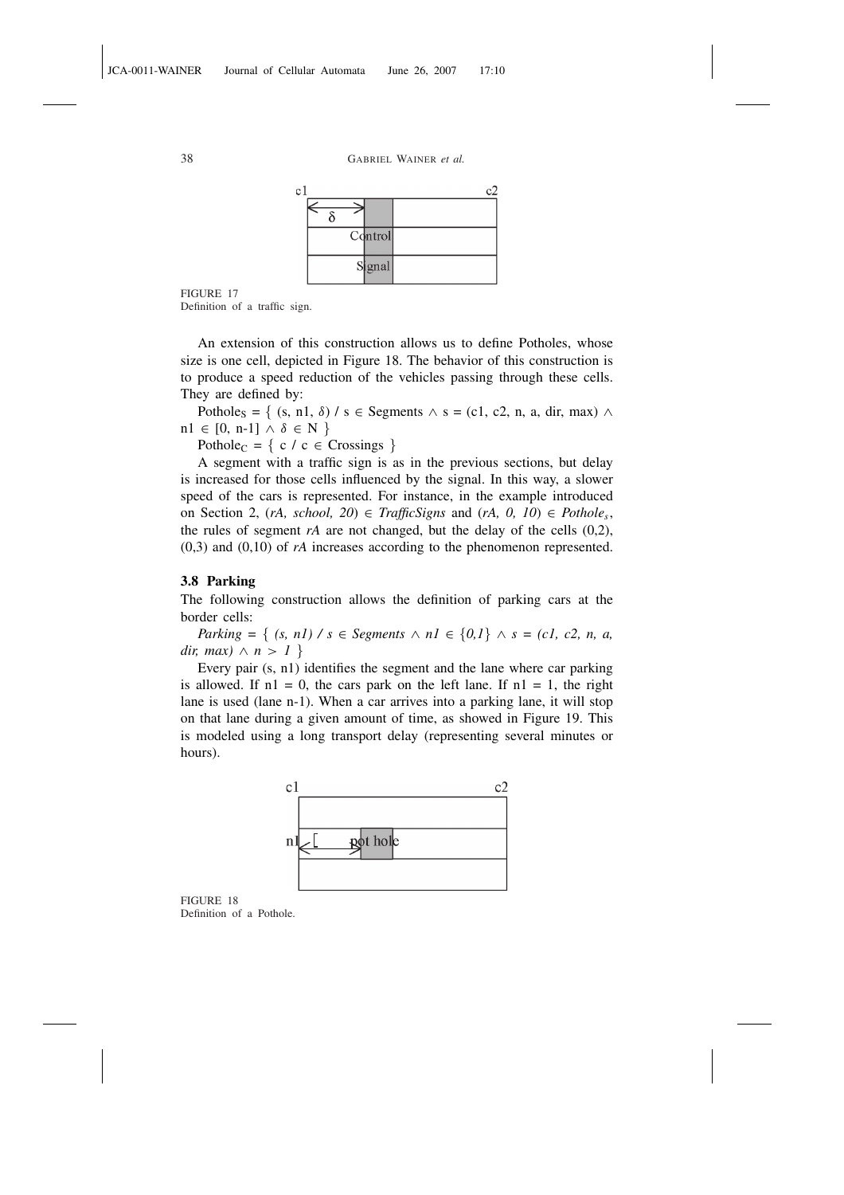FIGURE 17

Definition of a traffic sign.

An extension of this construction allows us to define Potholes, whose size is one cell, depicted in Figure 18. The behavior of this construction is to produce a speed reduction of the vehicles passing through these cells. They are defined by:

Pothole<sub>S</sub> = { (s, n1,  $\delta$ ) / s  $\in$  Segments  $\wedge$  s = (c1, c2, n, a, dir, max)  $\wedge$  $n1 \in [0, n-1] \wedge \delta \in N$ 

Pothole<sub>C</sub> = { c / c  $\in$  Crossings }

A segment with a traffic sign is as in the previous sections, but delay is increased for those cells influenced by the signal. In this way, a slower speed of the cars is represented. For instance, in the example introduced on Section 2,  $(rA, school, 20)$  ∈ *TrafficSigns* and  $(rA, 0, 10)$  ∈ *Pothole<sub>s</sub>*, the rules of segment *rA* are not changed, but the delay of the cells (0,2), (0,3) and (0,10) of *rA* increases according to the phenomenon represented.

# 3.8 Parking

The following construction allows the definition of parking cars at the border cells:

*Parking* = { *(s, n1) / s* ∈ *Segments* ∧ *n1* ∈ {0,1} ∧ *s* = *(c1, c2, n, a, dir, max*)  $\land$  *n* > *1* }

Every pair (s, n1) identifies the segment and the lane where car parking is allowed. If  $nl = 0$ , the cars park on the left lane. If  $nl = 1$ , the right lane is used (lane n-1). When a car arrives into a parking lane, it will stop on that lane during a given amount of time, as showed in Figure 19. This is modeled using a long transport delay (representing several minutes or hours).



FIGURE 18 Definition of a Pothole.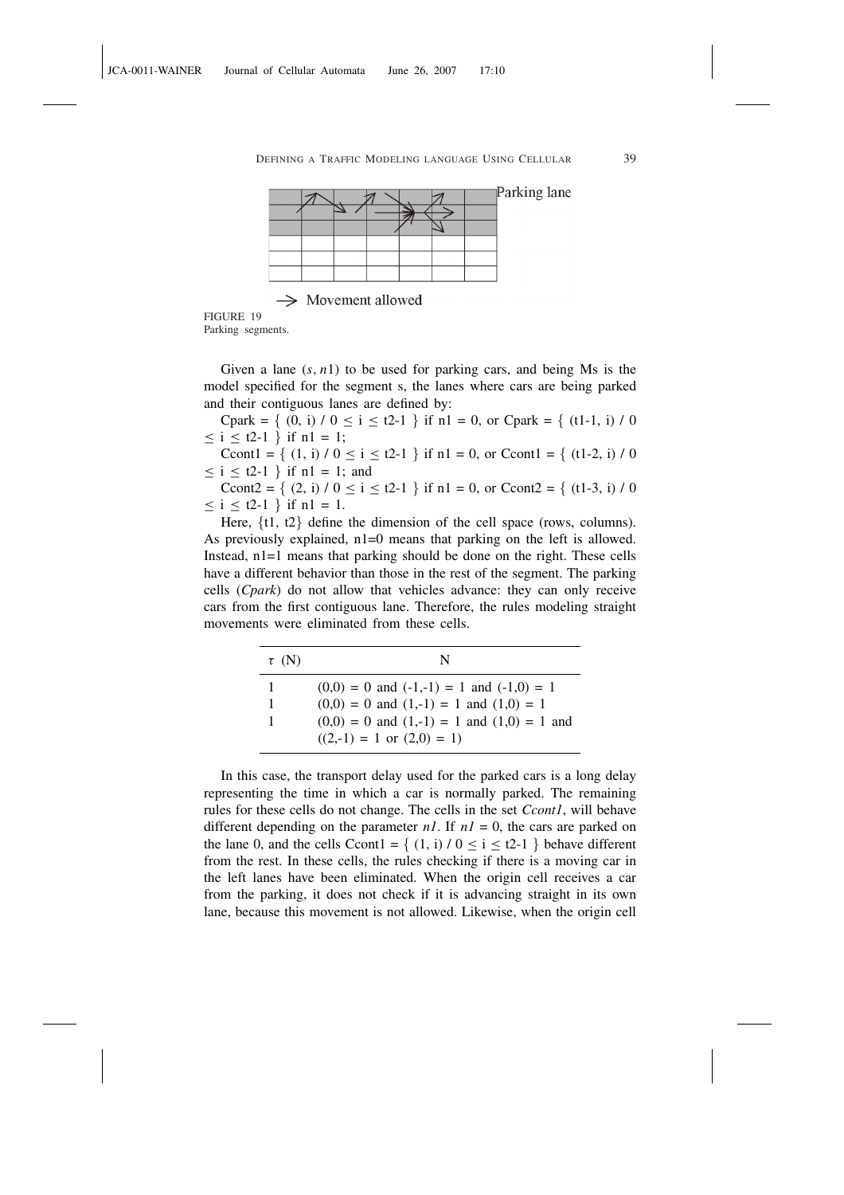

FIGURE 19 Parking segments.

Given a lane  $(s, n1)$  to be used for parking cars, and being Ms is the model specified for the segment s, the lanes where cars are being parked and their contiguous lanes are defined by:

Cpark =  $\{(0, i) / 0 \le i \le t^2-1\}$  if n1 = 0, or Cpark =  $\{(t1-1, i) / 0$  $\le i \le 1$  ∤ if n1 = 1;

Ccont1 = { (1, i) /  $0 \le i \le 12-1$  } if n1 = 0, or Ccont1 = { (t1-2, i) / 0  $\leq i \leq t$ 2-1 } if n1 = 1; and

Ccont2 = { (2, i) /  $0 \le i \le t2-1$  } if n1 = 0, or Ccont2 = { (t1-3, i) / 0  $\le i \le 1$  } if n1 = 1.

Here, {t1, t2} define the dimension of the cell space (rows, columns). As previously explained,  $n1=0$  means that parking on the left is allowed. Instead, n1=1 means that parking should be done on the right. These cells have a different behavior than those in the rest of the segment. The parking cells (*Cpark*) do not allow that vehicles advance: they can only receive cars from the first contiguous lane. Therefore, the rules modeling straight movements were eliminated from these cells.

| $\tau$ (N) | N                                                |
|------------|--------------------------------------------------|
| 1          | $(0,0) = 0$ and $(-1,-1) = 1$ and $(-1,0) = 1$   |
| 1          | $(0,0) = 0$ and $(1,-1) = 1$ and $(1,0) = 1$     |
|            | $(0,0) = 0$ and $(1,-1) = 1$ and $(1,0) = 1$ and |
|            | $((2,-1) = 1 \text{ or } (2,0) = 1)$             |

In this case, the transport delay used for the parked cars is a long delay representing the time in which a car is normally parked. The remaining rules for these cells do not change. The cells in the set *Ccont1*, will behave different depending on the parameter  $nI$ . If  $nI = 0$ , the cars are parked on the lane 0, and the cells Ccont1 = {  $(1, i) / 0 \le i \le 2-1$  } behave different from the rest. In these cells, the rules checking if there is a moving car in the left lanes have been eliminated. When the origin cell receives a car from the parking, it does not check if it is advancing straight in its own lane, because this movement is not allowed. Likewise, when the origin cell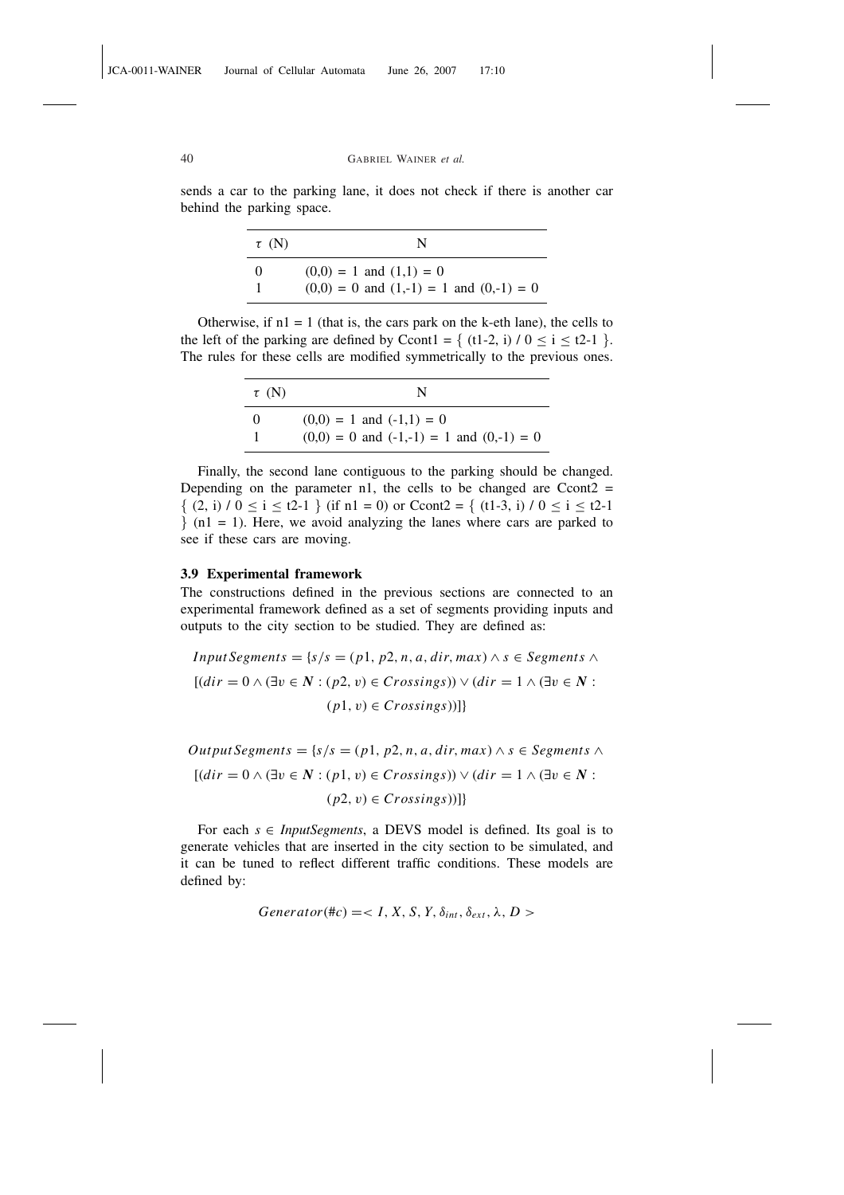sends a car to the parking lane, it does not check if there is another car behind the parking space.

| $\tau$ (N) | N                                             |
|------------|-----------------------------------------------|
| $\theta$   | $(0,0) = 1$ and $(1,1) = 0$                   |
|            | $(0,0) = 0$ and $(1,-1) = 1$ and $(0,-1) = 0$ |

Otherwise, if  $nl = 1$  (that is, the cars park on the k-eth lane), the cells to the left of the parking are defined by Ccont1 = {  $(t1-2, i) / 0 \le i \le t2-1$  }. The rules for these cells are modified symmetrically to the previous ones.

| $\tau$ (N) | N                                              |
|------------|------------------------------------------------|
| 0          | $(0,0) = 1$ and $(-1,1) = 0$                   |
|            | $(0,0) = 0$ and $(-1,-1) = 1$ and $(0,-1) = 0$ |

Finally, the second lane contiguous to the parking should be changed. Depending on the parameter n1, the cells to be changed are  $Ccont2 =$  $\{(2, i) / 0 \le i \le t^2-1\}$  (if n1 = 0) or Ccont2 =  $\{(t1-3, i) / 0 \le i \le t^2-1\}$  $\{ (n1 = 1)$ . Here, we avoid analyzing the lanes where cars are parked to see if these cars are moving.

# 3.9 Experimental framework

The constructions defined in the previous sections are connected to an experimental framework defined as a set of segments providing inputs and outputs to the city section to be studied. They are defined as:

$$
Input Segments = \{s/s = (p1, p2, n, a, dir, max) \land s \in Segments \land
$$

$$
[(dir = 0 \land (\exists v \in N : (p2, v) \in Crossings)) \lor (dir = 1 \land (\exists v \in N : (p1, v) \in Crossings))]\}
$$

*Output Segments* = { $s/s$  = ( $p1$ ,  $p2$ ,  $n$ ,  $a$ ,  $dir$ ,  $max$ ) ∧  $s$  ∈ *Segments* ∧ [(*dir* = 0 ∧ (∃v ∈ *N* : (*p*1, v) ∈ *Crossings*)) ∨ (*dir* = 1 ∧ (∃v ∈ *N* :  $(p2, v) \in Crossings)]$ 

For each  $s \in InputSegments$ , a DEVS model is defined. Its goal is to generate vehicles that are inserted in the city section to be simulated, and it can be tuned to reflect different traffic conditions. These models are defined by:

$$
Generator(\#c) =
$$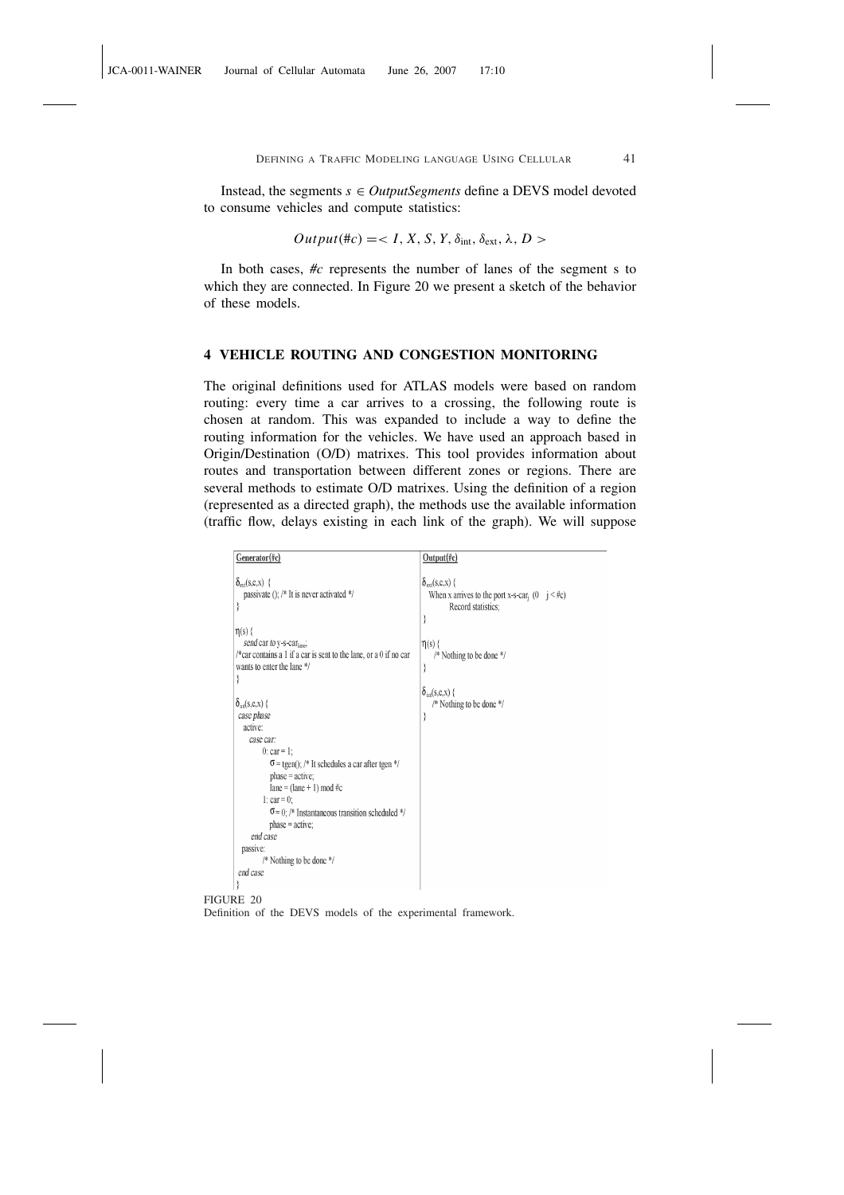Instead, the segments  $s \in OutputSegments$  define a DEVS model devoted to consume vehicles and compute statistics:

$$
Output(\#c) =
$$

In both cases, *#c* represents the number of lanes of the segment s to which they are connected. In Figure 20 we present a sketch of the behavior of these models.

# 4 VEHICLE ROUTING AND CONGESTION MONITORING

The original definitions used for ATLAS models were based on random routing: every time a car arrives to a crossing, the following route is chosen at random. This was expanded to include a way to define the routing information for the vehicles. We have used an approach based in Origin/Destination (O/D) matrixes. This tool provides information about routes and transportation between different zones or regions. There are several methods to estimate O/D matrixes. Using the definition of a region (represented as a directed graph), the methods use the available information (traffic flow, delays existing in each link of the graph). We will suppose

| Generator(#c)                                                                                                                                                                                                                                                                                                                                                                                                                                                                                                                                                                                                              | Output(#c)                                                                                                                                                                                                                                                         |
|----------------------------------------------------------------------------------------------------------------------------------------------------------------------------------------------------------------------------------------------------------------------------------------------------------------------------------------------------------------------------------------------------------------------------------------------------------------------------------------------------------------------------------------------------------------------------------------------------------------------------|--------------------------------------------------------------------------------------------------------------------------------------------------------------------------------------------------------------------------------------------------------------------|
| $\delta_{\text{ext}}(s, e, x)$ {<br>passivate (); /* It is never activated */<br>∤<br>$\eta(s)$ {<br>send car to y-s-car <sub>lane</sub> ,<br>/*car contains a 1 if a car is sent to the lane, or a 0 if no car<br>wants to enter the lane */<br>₹<br>$\delta_{\text{int}}(s,e,x)$ {<br>case phase<br>active:<br>case car:<br>0: $car = 1$ ;<br>$\sigma$ = tgen(); /* It schedules a car after tgen */<br>$phase = active;$<br>$lane = (lane + 1) mod #c$<br>1: $car = 0$ ;<br>$\sigma$ = 0; /* Instantaneous transition scheduled */<br>$phase = active;$<br>end case<br>passive:<br>/* Nothing to be done */<br>end case | $\delta_{\text{ext}}(s, e, x)$ {<br>When x arrives to the port x-s-car <sub>i</sub> $(0 \text{ } j \leq \text{\#c})$<br>Record statistics;<br>₹<br>$\eta(s)$ {<br>/* Nothing to be done */<br>∤<br>$\delta_{\text{int}}(s,e,x)$ {<br>/* Nothing to be done */<br>₹ |

FIGURE 20 Definition of the DEVS models of the experimental framework.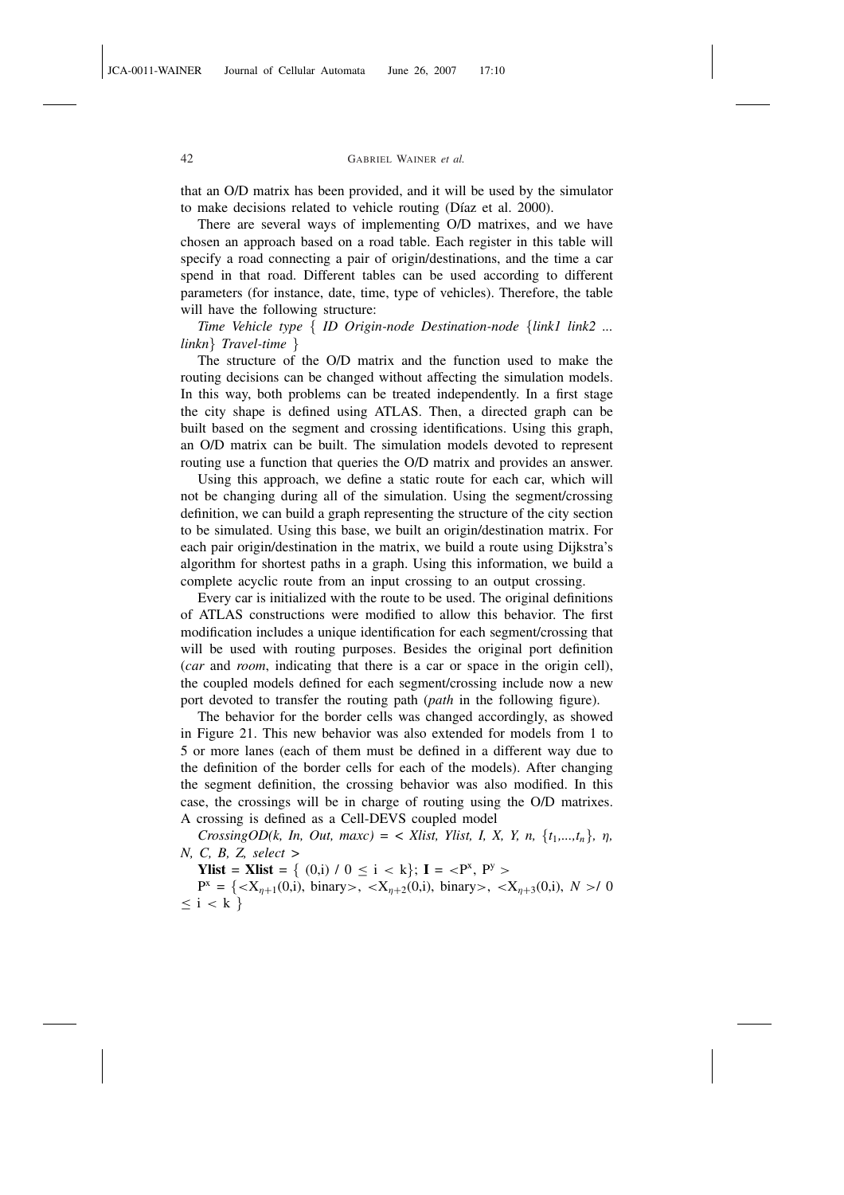that an O/D matrix has been provided, and it will be used by the simulator to make decisions related to vehicle routing (Díaz et al. 2000).

There are several ways of implementing O/D matrixes, and we have chosen an approach based on a road table. Each register in this table will specify a road connecting a pair of origin/destinations, and the time a car spend in that road. Different tables can be used according to different parameters (for instance, date, time, type of vehicles). Therefore, the table will have the following structure:

*Time Vehicle type* { *ID Origin-node Destination-node* {*link1 link2 ... linkn*} *Travel-time* }

The structure of the O/D matrix and the function used to make the routing decisions can be changed without affecting the simulation models. In this way, both problems can be treated independently. In a first stage the city shape is defined using ATLAS. Then, a directed graph can be built based on the segment and crossing identifications. Using this graph, an O/D matrix can be built. The simulation models devoted to represent routing use a function that queries the O/D matrix and provides an answer.

Using this approach, we define a static route for each car, which will not be changing during all of the simulation. Using the segment/crossing definition, we can build a graph representing the structure of the city section to be simulated. Using this base, we built an origin/destination matrix. For each pair origin/destination in the matrix, we build a route using Dijkstra's algorithm for shortest paths in a graph. Using this information, we build a complete acyclic route from an input crossing to an output crossing.

Every car is initialized with the route to be used. The original definitions of ATLAS constructions were modified to allow this behavior. The first modification includes a unique identification for each segment/crossing that will be used with routing purposes. Besides the original port definition (*car* and *room*, indicating that there is a car or space in the origin cell), the coupled models defined for each segment/crossing include now a new port devoted to transfer the routing path (*path* in the following figure).

The behavior for the border cells was changed accordingly, as showed in Figure 21. This new behavior was also extended for models from 1 to 5 or more lanes (each of them must be defined in a different way due to the definition of the border cells for each of the models). After changing the segment definition, the crossing behavior was also modified. In this case, the crossings will be in charge of routing using the O/D matrixes. A crossing is defined as a Cell-DEVS coupled model

*CrossingOD(k, In, Out, maxc) = < Xlist, Ylist, I, X, Y, n,*  $\{t_1, ..., t_n\}$ *, n, N, C, B, Z, select >*

Ylist = Xlist =  $\{(0,i) / 0 \le i < k\};$  I =  $\langle P^x, P^y \rangle$ 

 $P^x = \{ \langle X_{\eta+1}(0,i), \text{ binary} \rangle, \langle X_{\eta+2}(0,i), \text{ binary} \rangle, \langle X_{\eta+3}(0,i), \langle N \rangle \}$  $\leq i < k$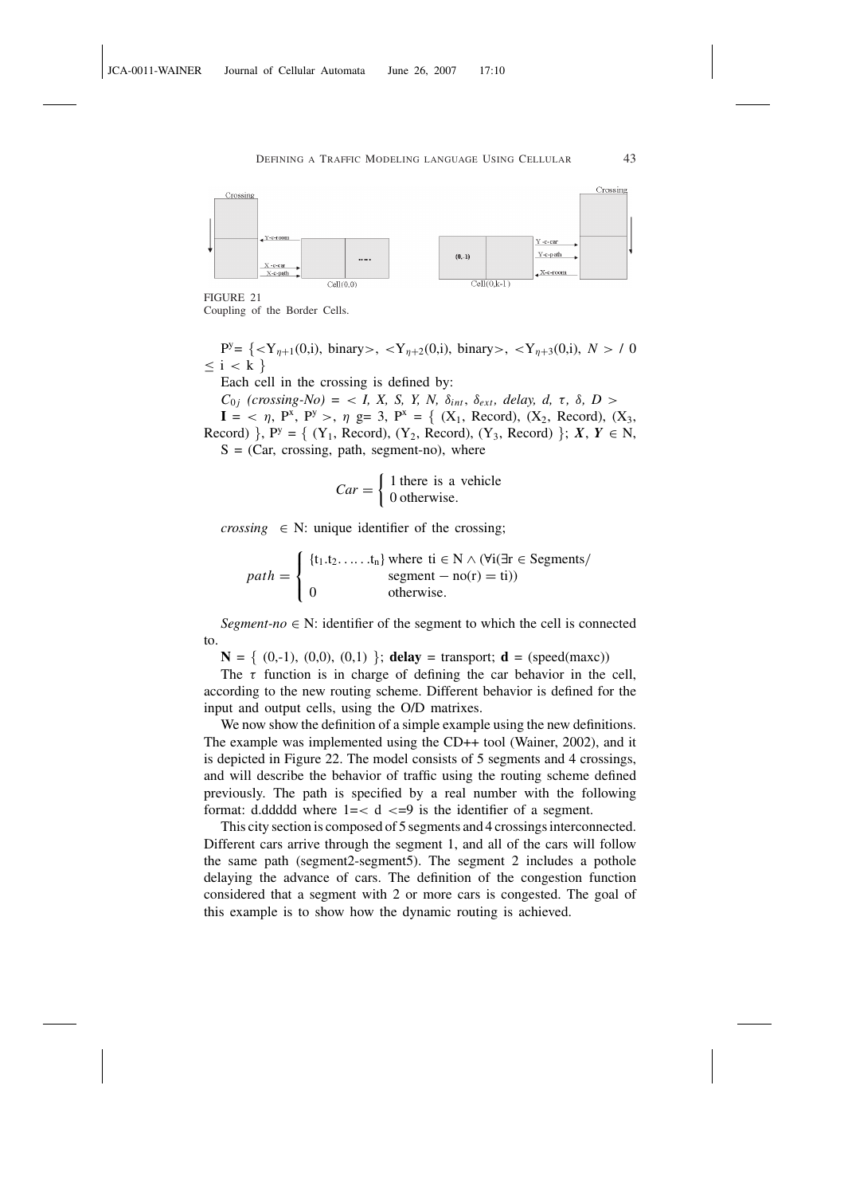

FIGURE 21

Coupling of the Border Cells.

 $P^{y} = \{ \langle Y_{\eta+1}(0,i), \text{ binary} \rangle, \langle Y_{\eta+2}(0,i), \text{ binary} \rangle, \langle Y_{\eta+3}(0,i), \mathbb{N} \rangle \}$  (0.1)  $\leq$ i $<$ k $\}$ 

Each cell in the crossing is defined by:

 $C_{0j}$  (crossing-No) = < *I, X, S, Y, N,*  $\delta_{int}, \delta_{ext},$  *delay, d,*  $\tau$ *,*  $\delta$ *,*  $D$  *>*  $I = \langle \eta, P^x, P^y \rangle, \eta \text{ g} = 3, P^x = \{ (X_1, \text{ Record}), (X_2, \text{Record}), (X_3, \text{S}) \}$ Record)  $\}$ ,  $P^y = \{ (Y_1, Record), (Y_2, Record), (Y_3, Record) \}$ ; *X*, *Y*  $\in$  N,  $S = (Car, crossing, path, segment-no)$ , where

$$
Car = \begin{cases} 1 \text{ there is a vehicle} \\ 0 \text{ otherwise.} \end{cases}
$$

*crossing*  $\in$  N: unique identifier of the crossing;

$$
path = \begin{cases} \{t_1.t_2.\dots.t_n\} \text{ where } \text{ti} \in N \land (\forall i(\exists r \in Segments/ \text{ segments}/ \text{ segment} - \text{no}(r) = \text{ti})) \\ 0 \qquad \qquad \text{otherwise.} \end{cases}
$$

*Segment-no*  $\in$  N: identifier of the segment to which the cell is connected to.

 $N = \{ (0,-1), (0,0), (0,1) \}$ ; delay = transport; d = (speed(maxc))

The  $\tau$  function is in charge of defining the car behavior in the cell, according to the new routing scheme. Different behavior is defined for the input and output cells, using the O/D matrixes.

We now show the definition of a simple example using the new definitions. The example was implemented using the CD++ tool (Wainer, 2002), and it is depicted in Figure 22. The model consists of 5 segments and 4 crossings, and will describe the behavior of traffic using the routing scheme defined previously. The path is specified by a real number with the following format: d.ddddd where  $1 = < d < 9$  is the identifier of a segment.

This city section is composed of 5 segments and 4 crossings interconnected. Different cars arrive through the segment 1, and all of the cars will follow the same path (segment2-segment5). The segment 2 includes a pothole delaying the advance of cars. The definition of the congestion function considered that a segment with 2 or more cars is congested. The goal of this example is to show how the dynamic routing is achieved.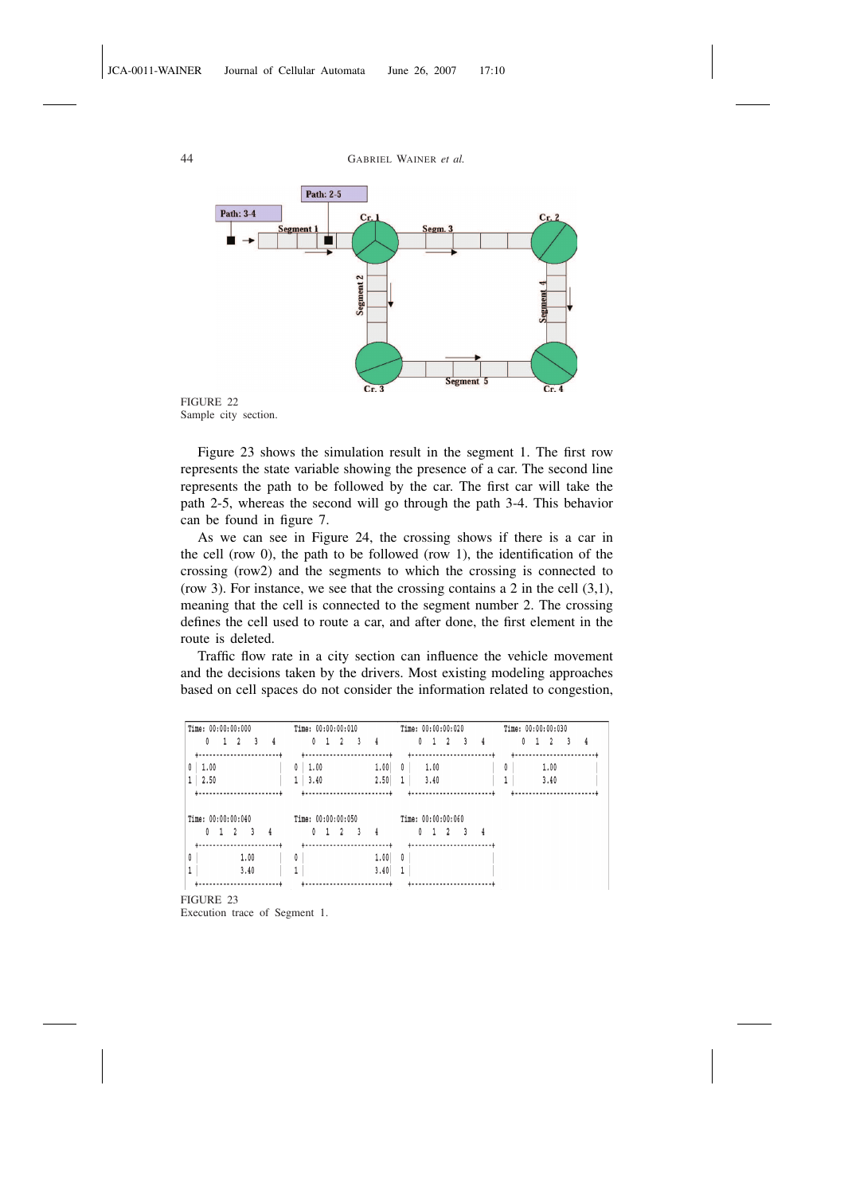

Sample city section.

Figure 23 shows the simulation result in the segment 1. The first row represents the state variable showing the presence of a car. The second line represents the path to be followed by the car. The first car will take the path 2-5, whereas the second will go through the path 3-4. This behavior can be found in figure 7.

As we can see in Figure 24, the crossing shows if there is a car in the cell (row 0), the path to be followed (row 1), the identification of the crossing (row2) and the segments to which the crossing is connected to (row 3). For instance, we see that the crossing contains a 2 in the cell  $(3,1)$ , meaning that the cell is connected to the segment number 2. The crossing defines the cell used to route a car, and after done, the first element in the route is deleted.

Traffic flow rate in a city section can influence the vehicle movement and the decisions taken by the drivers. Most existing modeling approaches based on cell spaces do not consider the information related to congestion,

| Time: 00:00:00:000 | Time: 00:00:00:010   | Time: 00:00:00:020 | Time: 00:00:00:030 |
|--------------------|----------------------|--------------------|--------------------|
| 0<br>3<br>4        | 0<br>4<br>٩          | 3<br>4             | 0<br>4             |
| ÷--                |                      |                    |                    |
| 1.00<br>0          | 1.00<br>1.00<br>0    | 1.00<br>0          | 0<br>1.00          |
| 1<br>2.50          | 1<br>2.50<br>3.40    | 3.40               | 3.40               |
|                    |                      | .                  |                    |
| Time: 00:00:00:040 | Time: $00:00:00:050$ | Time: 00:00:00:060 |                    |
|                    |                      |                    |                    |
| 0<br>3<br>4<br>2   | 0<br>२<br>4          | 0<br>२<br>4        |                    |
|                    |                      |                    |                    |
| 0<br>1.00          | 0<br>1.00            | 0                  |                    |
| 3.40               | 3.40                 |                    |                    |

FIGURE 23

Execution trace of Segment 1.

44 GABRIEL WAINER *et al.*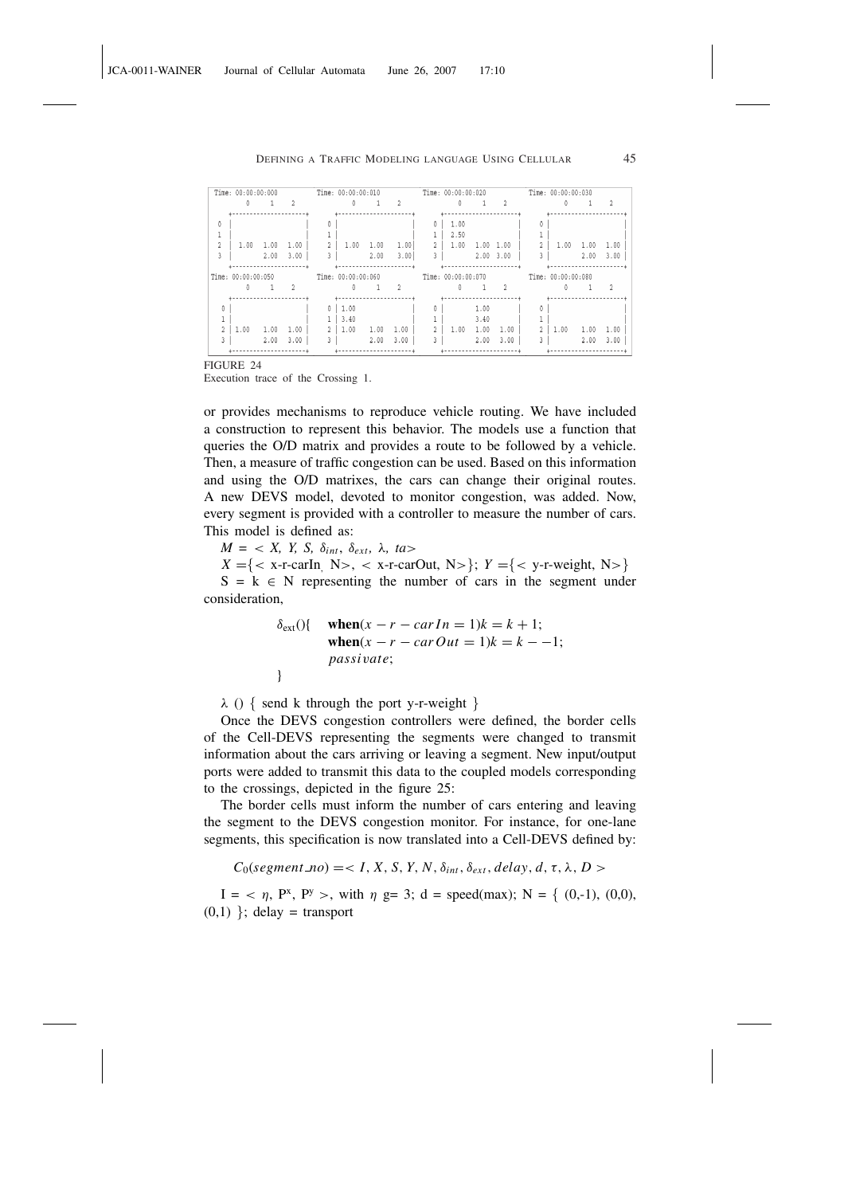|          | Time: 00:00:00:000 |      |                |              | Time: 00:00:00:010   |      |      |                | Time: 00:00:00:020 |               |                |                | Time: 00:00:00:030 |      |      |
|----------|--------------------|------|----------------|--------------|----------------------|------|------|----------------|--------------------|---------------|----------------|----------------|--------------------|------|------|
|          |                    |      |                |              |                      |      |      |                |                    |               | $\overline{2}$ |                |                    |      |      |
|          |                    |      |                |              |                      |      |      |                |                    |               |                |                |                    |      |      |
| n        |                    |      |                |              |                      |      |      | 0              | 1.00               |               |                | 0              |                    |      |      |
|          |                    |      |                |              |                      |      |      |                | 2.50               |               |                |                |                    |      |      |
|          | 1.00               | 1.00 | 1.00           |              | 1.00                 | 1.00 | 1.00 | $2^{\circ}$    | 1.00               | 1.00 1.00     |                | $\hat{z}$      | 1.00               | 1.00 | 1.00 |
|          |                    | 2.00 | 3.00           |              |                      | 2.00 | 3.00 | 3              |                    | $2.00$ $3.00$ |                |                |                    | 2.00 | 3.00 |
|          |                    |      |                |              |                      |      |      |                |                    |               |                |                |                    |      |      |
|          | Time: 00:00:00:050 |      |                |              | Time: 00:00:00:060   |      |      |                | Time: 00:00:00:070 |               |                |                | Time: 00:00:00:080 |      |      |
|          |                    | 1.   | $\overline{2}$ |              | $\ddot{\phantom{0}}$ |      | 2    |                |                    |               | $\overline{2}$ |                |                    |      |      |
|          |                    | .    |                |              | <u>1</u>             |      |      |                |                    |               |                |                |                    |      |      |
| $\theta$ |                    |      |                | 0            | 1.00                 |      |      | Λ.             |                    | 1.00          |                |                |                    |      |      |
|          |                    |      |                |              | 3.40                 |      |      |                |                    | 3.40          |                |                |                    |      |      |
|          | 1.00               | 1.00 | 1.00           |              | 1.00                 | 1.00 | 1.00 | $\mathfrak{Z}$ | 1.00               | 1.00          | 1.00           | $\overline{2}$ | 1.00               | 1.00 | 1.00 |
| 3        |                    | 2.00 | 3.00           | $\mathbf{r}$ |                      | 2.00 | 3.00 | 3              |                    | 2.00          | 3.00           | 3              |                    | 2.00 | 3.00 |
|          |                    |      |                |              |                      |      |      |                |                    |               |                |                |                    |      |      |

FIGURE 24

Execution trace of the Crossing 1.

or provides mechanisms to reproduce vehicle routing. We have included a construction to represent this behavior. The models use a function that queries the O/D matrix and provides a route to be followed by a vehicle. Then, a measure of traffic congestion can be used. Based on this information and using the O/D matrixes, the cars can change their original routes. A new DEVS model, devoted to monitor congestion, was added. Now, every segment is provided with a controller to measure the number of cars. This model is defined as:

 $M = \langle X, Y, S, \delta_{int}, \delta_{ext}, \lambda, ta \rangle$ 

 $X = \{ \langle x - r \cdot \text{cardn} \rangle \mid N \rangle, \langle x - r \cdot \text{cardout} \rangle, \langle N \rangle \}$ ;  $Y = \{ \langle y - r \cdot \text{weight} \rangle, \langle N \rangle \}$ 

 $S = k \in N$  representing the number of cars in the segment under consideration,

$$
\delta_{ext}() \{ \begin{array}{ll} \textbf{when}(x - r - carIn = 1)k = k + 1; \\ \textbf{when}(x - r - carOut = 1)k = k - -1; \\ \textbf{passivate;} \end{array} \}
$$

 $\lambda$  () { send k through the port y-r-weight }

Once the DEVS congestion controllers were defined, the border cells of the Cell-DEVS representing the segments were changed to transmit information about the cars arriving or leaving a segment. New input/output ports were added to transmit this data to the coupled models corresponding to the crossings, depicted in the figure 25:

The border cells must inform the number of cars entering and leaving the segment to the DEVS congestion monitor. For instance, for one-lane segments, this specification is now translated into a Cell-DEVS defined by:

 $C_0$ (*segment\_no*) = < *I*, *X*, *S*, *Y*, *N*,  $\delta_{int}$ ,  $\delta_{ext}$ , *delay*, *d*,  $\tau$ ,  $\lambda$ , *D* >

 $I = \langle \eta, P^x, P^y \rangle$ , with  $\eta$  g= 3; d = speed(max); N = { (0,-1), (0,0),  $(0,1)$  }; delay = transport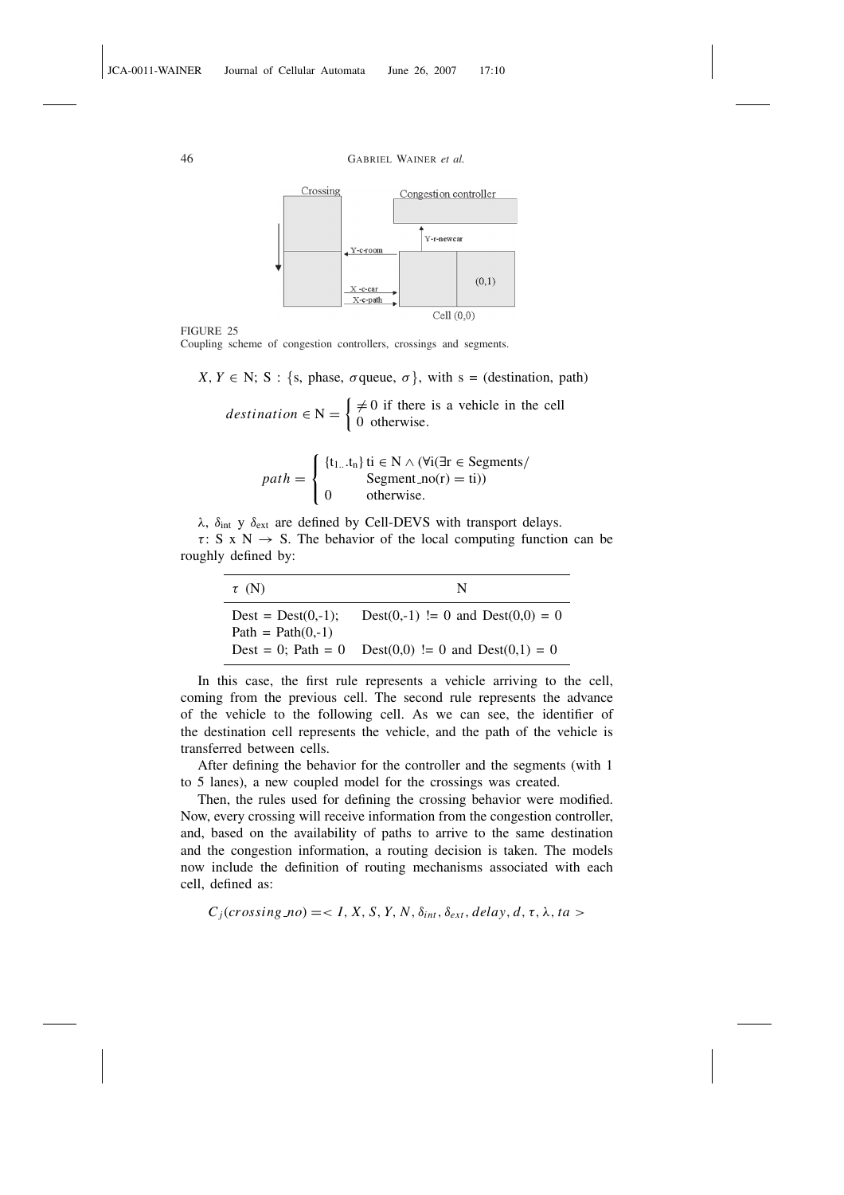

FIGURE 25

Coupling scheme of congestion controllers, crossings and segments.

 $X, Y \in N$ ; S : {s, phase,  $\sigma$  queue,  $\sigma$ }, with s = (destination, path)

 $d$ *estination*  $\in$  N  $=$  $\neq 0$  if there is a vehicle in the cell 0 otherwise.

$$
path = \begin{cases} \{t_{1...}t_n\} \text{ ti } \in N \land (\forall i(\exists r \in Segments/ \text{Segment} \_n)(r) = \text{ti})) \\ 0 \qquad \text{otherwise.} \end{cases}
$$

λ,  $\delta_{int}$  y  $\delta_{ext}$  are defined by Cell-DEVS with transport delays.  $\tau$ : S x N  $\rightarrow$  S. The behavior of the local computing function can be roughly defined by:

| $\tau$ (N)                                  | N                                 |
|---------------------------------------------|-----------------------------------|
| $Dest = Dest(0,-1);$<br>$Path = Path(0,-1)$ | Dest(0,-1) != 0 and Dest(0,0) = 0 |
| Dest = 0; Path = $0$                        | Dest(0,0) != 0 and Dest(0,1) = 0  |

In this case, the first rule represents a vehicle arriving to the cell, coming from the previous cell. The second rule represents the advance of the vehicle to the following cell. As we can see, the identifier of the destination cell represents the vehicle, and the path of the vehicle is transferred between cells.

After defining the behavior for the controller and the segments (with 1 to 5 lanes), a new coupled model for the crossings was created.

Then, the rules used for defining the crossing behavior were modified. Now, every crossing will receive information from the congestion controller, and, based on the availability of paths to arrive to the same destination and the congestion information, a routing decision is taken. The models now include the definition of routing mechanisms associated with each cell, defined as:

 $C_j(crossing no) = < I, X, S, Y, N, \delta_{int}, \delta_{ext}, delay, d, \tau, \lambda, ta >$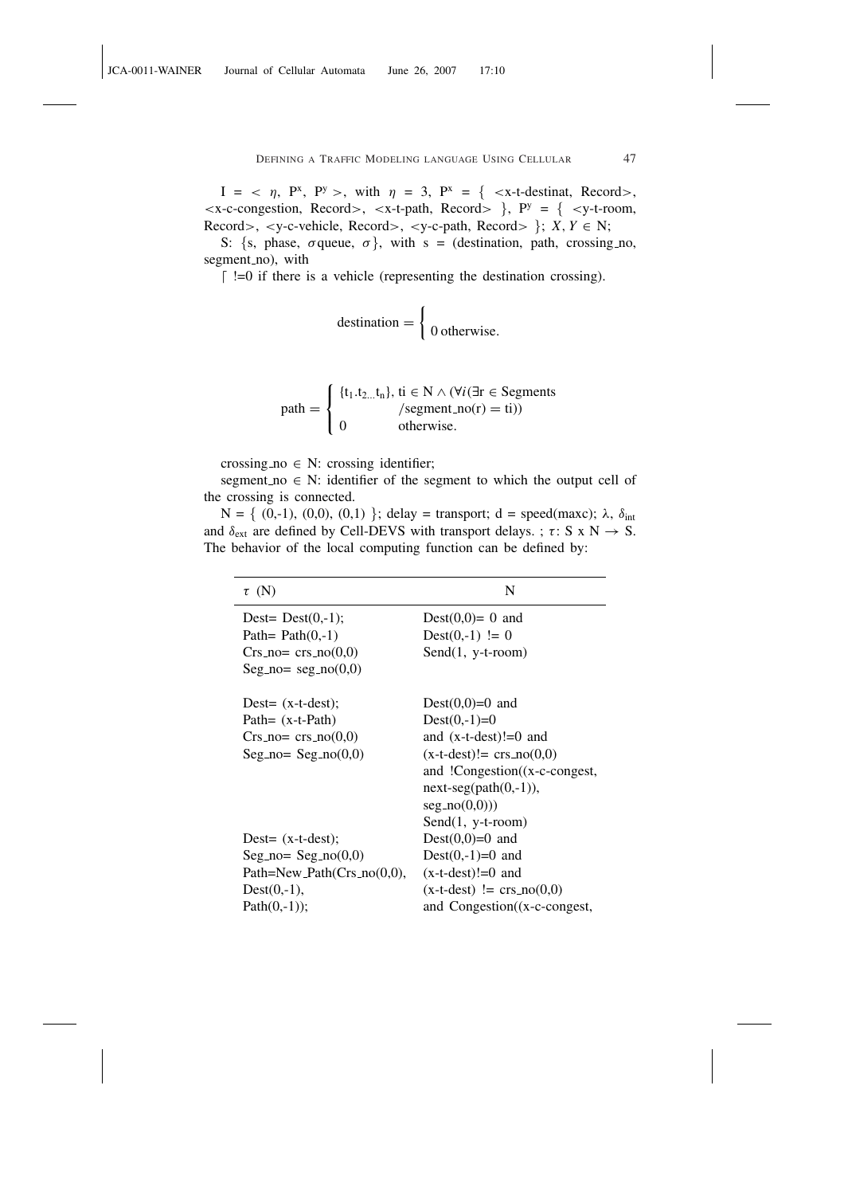$I = \langle \eta, P^x, P^y \rangle$ , with  $\eta = 3$ ,  $P^x = \{ \langle x - t \rangle - d \rangle$  Records,  $\langle x-c\text{-congestion}, \text{Record}\rangle, \langle x-t\text{-path}, \text{Record}\rangle$  },  $P^y = \{ \langle y-t\text{-room}, y\rangle, \langle x-y\rangle, \langle x-y\rangle, \langle x-y\rangle, \langle x-y\rangle, \langle y\rangle, \langle y\rangle, \langle y\rangle, \langle y\rangle, \langle y\rangle, \langle y\rangle, \langle y\rangle, \langle y\rangle, \langle y\rangle, \langle y\rangle, \langle y\rangle, \langle y\rangle, \langle y\rangle, \langle y\rangle, \langle y\rangle, \langle y\rangle, \langle y\rangle, \langle y\rangle, \langle y\rangle, \langle y\rangle, \langle y\rangle, \langle y\rangle, \langle$ Record>, <y-c-vehicle, Record>, <y-c-path, Record>  $\}$ ; *X*, *Y*  $\in$  N;

S: {s, phase,  $\sigma$  queue,  $\sigma$ }, with s = (destination, path, crossing no, segment\_no), with

 $\lceil$  !=0 if there is a vehicle (representing the destination crossing).

$$
d
$$

$$
path = \begin{cases} \{t_1.t_{2...}t_n\}, \, ti \in N \land (\forall i (\exists r \in Segments \land \text{segment\_no}(r) = ti)) \\ 0 \qquad \text{otherwise.} \end{cases}
$$

crossing no  $\in$  N: crossing identifier;

segment no  $\in$  N: identifier of the segment to which the output cell of the crossing is connected.

N = { (0,-1), (0,0), (0,1) }; delay = transport; d = speed(maxc); λ,  $δ<sub>int</sub>$ and  $\delta_{ext}$  are defined by Cell-DEVS with transport delays. ;  $\tau$ : S x N  $\rightarrow$  S. The behavior of the local computing function can be defined by:

| $\tau$ (N)                        | N                                     |
|-----------------------------------|---------------------------------------|
| Dest= $Dest(0,-1);$               | Dest $(0,0)=0$ and                    |
| Path= $Path(0,-1)$                | $Dest(0,-1) != 0$                     |
| $Crs\_no= crs\_no(0,0)$           | $Send(1, y-t-room)$                   |
| $Seg\_no = seg\_no(0,0)$          |                                       |
| Dest= $(x-t-dest)$ ;              | Dest $(0,0)=0$ and                    |
| Path= $(x-t-Path)$                | $Dest(0,-1)=0$                        |
| $Crs.no= crs.no(0,0)$             | and $(x-t-test)!=0$ and               |
| $Seg\_no = Seg.no(0,0)$           | $(x-t-dest)! = crs.no(0,0)$           |
|                                   | and $!Congestion((x-c-congest,$       |
|                                   | $next-seg(path(0, -1)),$              |
|                                   | seg.no(0,0))                          |
|                                   | $Send(1, y-t-room)$                   |
| Dest= $(x-t-dest)$ ;              | Dest $(0,0)=0$ and                    |
| $Seg\_no = Seg.no(0,0)$           | $Dest(0,-1)=0$ and                    |
| Path=New_Path( $Crs_{.}no(0,0)$ , | $(x-t-dest)!=0$ and                   |
| $Dest(0,-1),$                     | $(x-t-dest) := crs.no(0,0)$           |
| $Path(0,-1));$                    | and Congestion $(x-c\text{-congest},$ |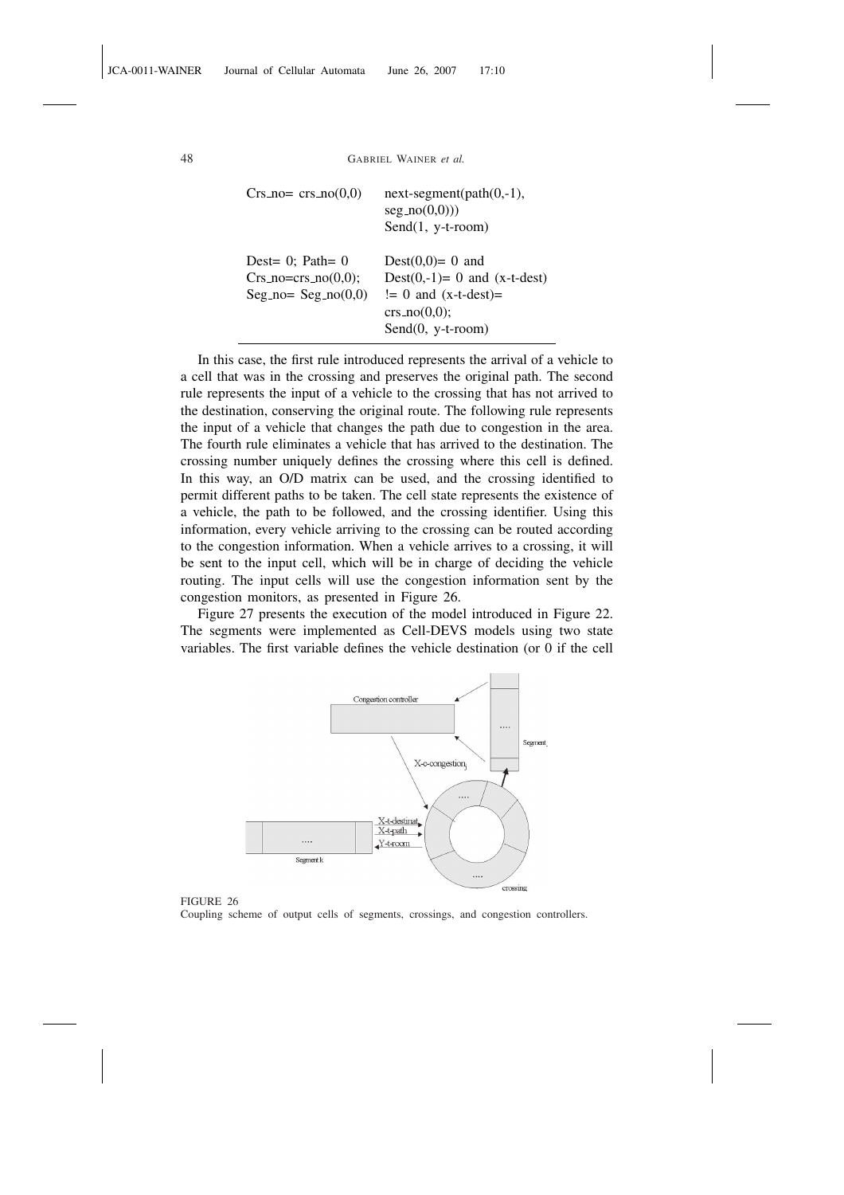```
48 GABRIEL WAINER et al.
```

| $Crs\_no = crs\_no(0,0)$ | $next-segment(path(0, -1),$<br>seg.no(0,0))<br>Send $(1, y-t$ -room) |
|--------------------------|----------------------------------------------------------------------|
| Dest= $0$ ; Path= $0$    | Dest $(0,0)=0$ and                                                   |
| $Crs\_no=crs\_no(0,0);$  | Dest $(0,-1)= 0$ and $(x-t-dest)$                                    |
| $Seg.no = Seg.no(0,0)$   | $!= 0$ and $(x-t-dest)=$<br>crs.no(0,0);                             |
|                          |                                                                      |
|                          | Send(0, y-t-room)                                                    |

In this case, the first rule introduced represents the arrival of a vehicle to a cell that was in the crossing and preserves the original path. The second rule represents the input of a vehicle to the crossing that has not arrived to the destination, conserving the original route. The following rule represents the input of a vehicle that changes the path due to congestion in the area. The fourth rule eliminates a vehicle that has arrived to the destination. The crossing number uniquely defines the crossing where this cell is defined. In this way, an O/D matrix can be used, and the crossing identified to permit different paths to be taken. The cell state represents the existence of a vehicle, the path to be followed, and the crossing identifier. Using this information, every vehicle arriving to the crossing can be routed according to the congestion information. When a vehicle arrives to a crossing, it will be sent to the input cell, which will be in charge of deciding the vehicle routing. The input cells will use the congestion information sent by the congestion monitors, as presented in Figure 26.

Figure 27 presents the execution of the model introduced in Figure 22. The segments were implemented as Cell-DEVS models using two state variables. The first variable defines the vehicle destination (or 0 if the cell



FIGURE 26

Coupling scheme of output cells of segments, crossings, and congestion controllers.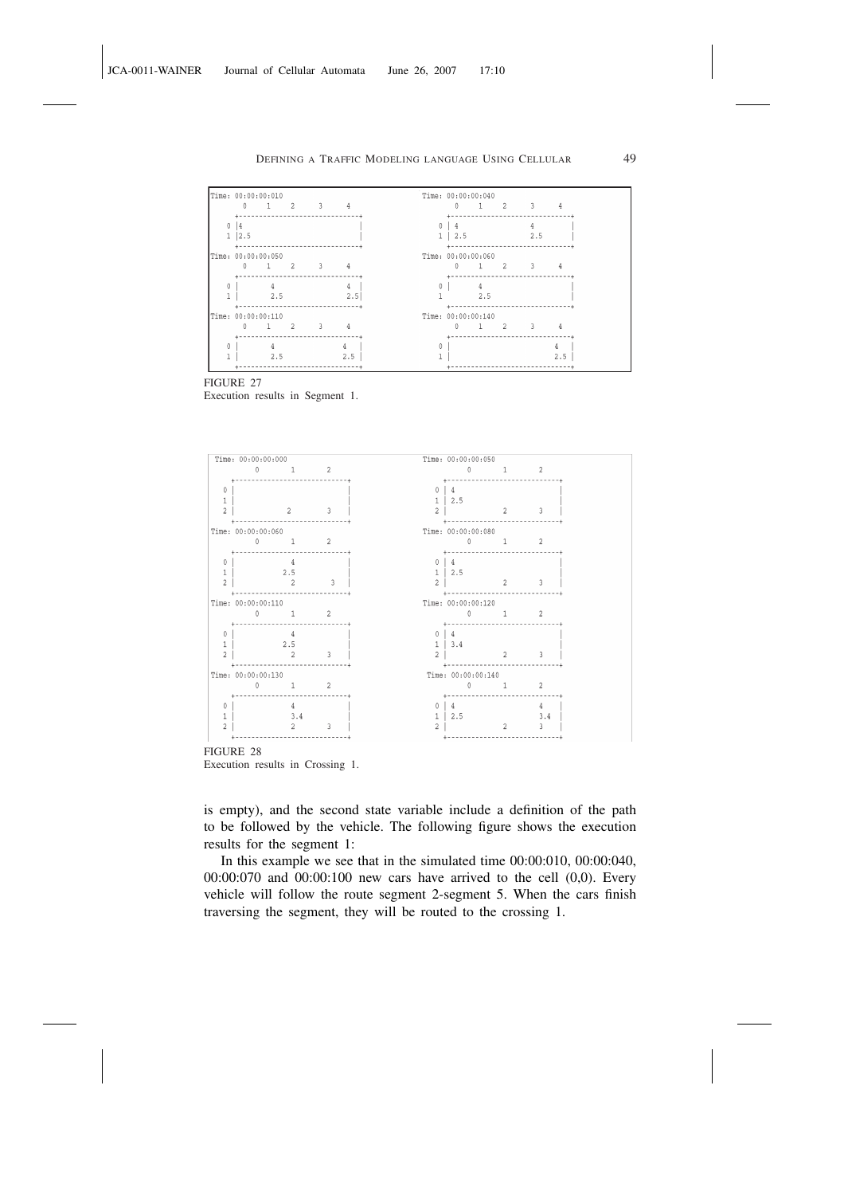

FIGURE 27 Execution results in Segment 1.



Execution results in Crossing 1.

is empty), and the second state variable include a definition of the path to be followed by the vehicle. The following figure shows the execution results for the segment 1:

In this example we see that in the simulated time 00:00:010, 00:00:040, 00:00:070 and 00:00:100 new cars have arrived to the cell (0,0). Every vehicle will follow the route segment 2-segment 5. When the cars finish traversing the segment, they will be routed to the crossing 1.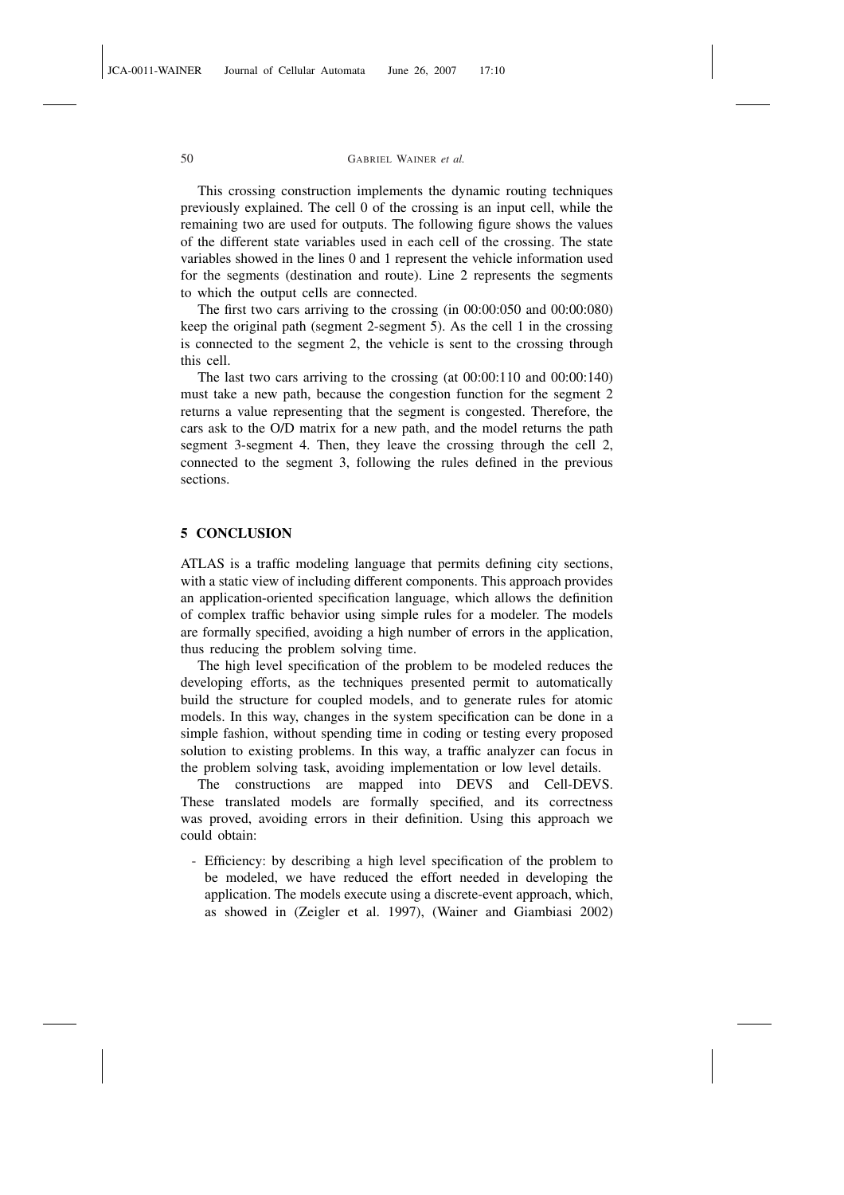This crossing construction implements the dynamic routing techniques previously explained. The cell 0 of the crossing is an input cell, while the remaining two are used for outputs. The following figure shows the values of the different state variables used in each cell of the crossing. The state variables showed in the lines 0 and 1 represent the vehicle information used for the segments (destination and route). Line 2 represents the segments to which the output cells are connected.

The first two cars arriving to the crossing (in 00:00:050 and 00:00:080) keep the original path (segment 2-segment 5). As the cell 1 in the crossing is connected to the segment 2, the vehicle is sent to the crossing through this cell.

The last two cars arriving to the crossing (at 00:00:110 and 00:00:140) must take a new path, because the congestion function for the segment 2 returns a value representing that the segment is congested. Therefore, the cars ask to the O/D matrix for a new path, and the model returns the path segment 3-segment 4. Then, they leave the crossing through the cell 2, connected to the segment 3, following the rules defined in the previous sections.

# 5 CONCLUSION

ATLAS is a traffic modeling language that permits defining city sections, with a static view of including different components. This approach provides an application-oriented specification language, which allows the definition of complex traffic behavior using simple rules for a modeler. The models are formally specified, avoiding a high number of errors in the application, thus reducing the problem solving time.

The high level specification of the problem to be modeled reduces the developing efforts, as the techniques presented permit to automatically build the structure for coupled models, and to generate rules for atomic models. In this way, changes in the system specification can be done in a simple fashion, without spending time in coding or testing every proposed solution to existing problems. In this way, a traffic analyzer can focus in the problem solving task, avoiding implementation or low level details.

The constructions are mapped into DEVS and Cell-DEVS. These translated models are formally specified, and its correctness was proved, avoiding errors in their definition. Using this approach we could obtain:

- Efficiency: by describing a high level specification of the problem to be modeled, we have reduced the effort needed in developing the application. The models execute using a discrete-event approach, which, as showed in (Zeigler et al. 1997), (Wainer and Giambiasi 2002)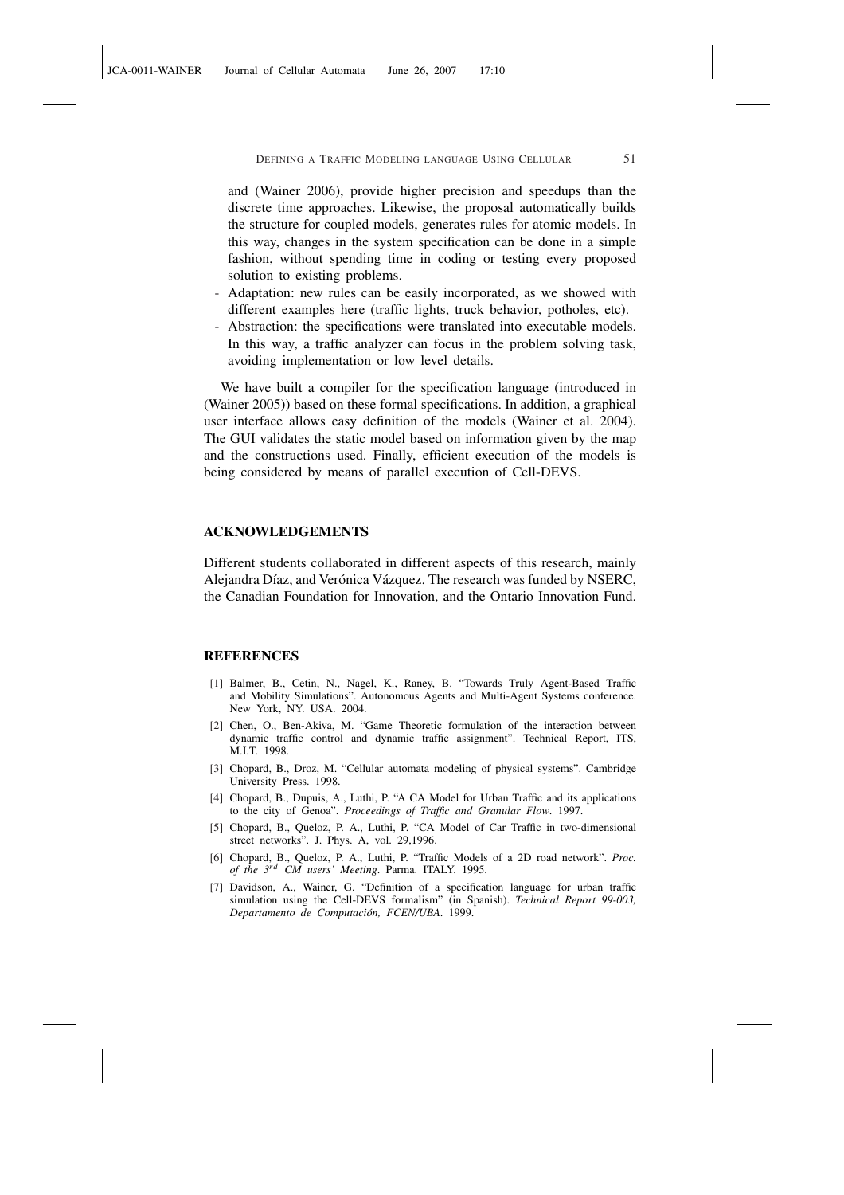and (Wainer 2006), provide higher precision and speedups than the discrete time approaches. Likewise, the proposal automatically builds the structure for coupled models, generates rules for atomic models. In this way, changes in the system specification can be done in a simple fashion, without spending time in coding or testing every proposed solution to existing problems.

- Adaptation: new rules can be easily incorporated, as we showed with different examples here (traffic lights, truck behavior, potholes, etc).
- Abstraction: the specifications were translated into executable models. In this way, a traffic analyzer can focus in the problem solving task, avoiding implementation or low level details.

We have built a compiler for the specification language (introduced in (Wainer 2005)) based on these formal specifications. In addition, a graphical user interface allows easy definition of the models (Wainer et al. 2004). The GUI validates the static model based on information given by the map and the constructions used. Finally, efficient execution of the models is being considered by means of parallel execution of Cell-DEVS.

# ACKNOWLEDGEMENTS

Different students collaborated in different aspects of this research, mainly Alejandra Díaz, and Verónica Vázquez. The research was funded by NSERC, the Canadian Foundation for Innovation, and the Ontario Innovation Fund.

#### REFERENCES

- [1] Balmer, B., Cetin, N., Nagel, K., Raney, B. "Towards Truly Agent-Based Traffic and Mobility Simulations". Autonomous Agents and Multi-Agent Systems conference. New York, NY. USA. 2004.
- [2] Chen, O., Ben-Akiva, M. "Game Theoretic formulation of the interaction between dynamic traffic control and dynamic traffic assignment". Technical Report, ITS, M.I.T. 1998.
- [3] Chopard, B., Droz, M. "Cellular automata modeling of physical systems". Cambridge University Press. 1998.
- [4] Chopard, B., Dupuis, A., Luthi, P. "A CA Model for Urban Traffic and its applications to the city of Genoa". *Proceedings of Traffic and Granular Flow*. 1997.
- [5] Chopard, B., Queloz, P. A., Luthi, P. "CA Model of Car Traffic in two-dimensional street networks". J. Phys. A, vol. 29,1996.
- [6] Chopard, B., Queloz, P. A., Luthi, P. "Traffic Models of a 2D road network". *Proc. of the 3rd CM users' Meeting*. Parma. ITALY. 1995.
- [7] Davidson, A., Wainer, G. "Definition of a specification language for urban traffic simulation using the Cell-DEVS formalism" (in Spanish). *Technical Report 99-003, Departamento de Computación, FCEN/UBA*. 1999.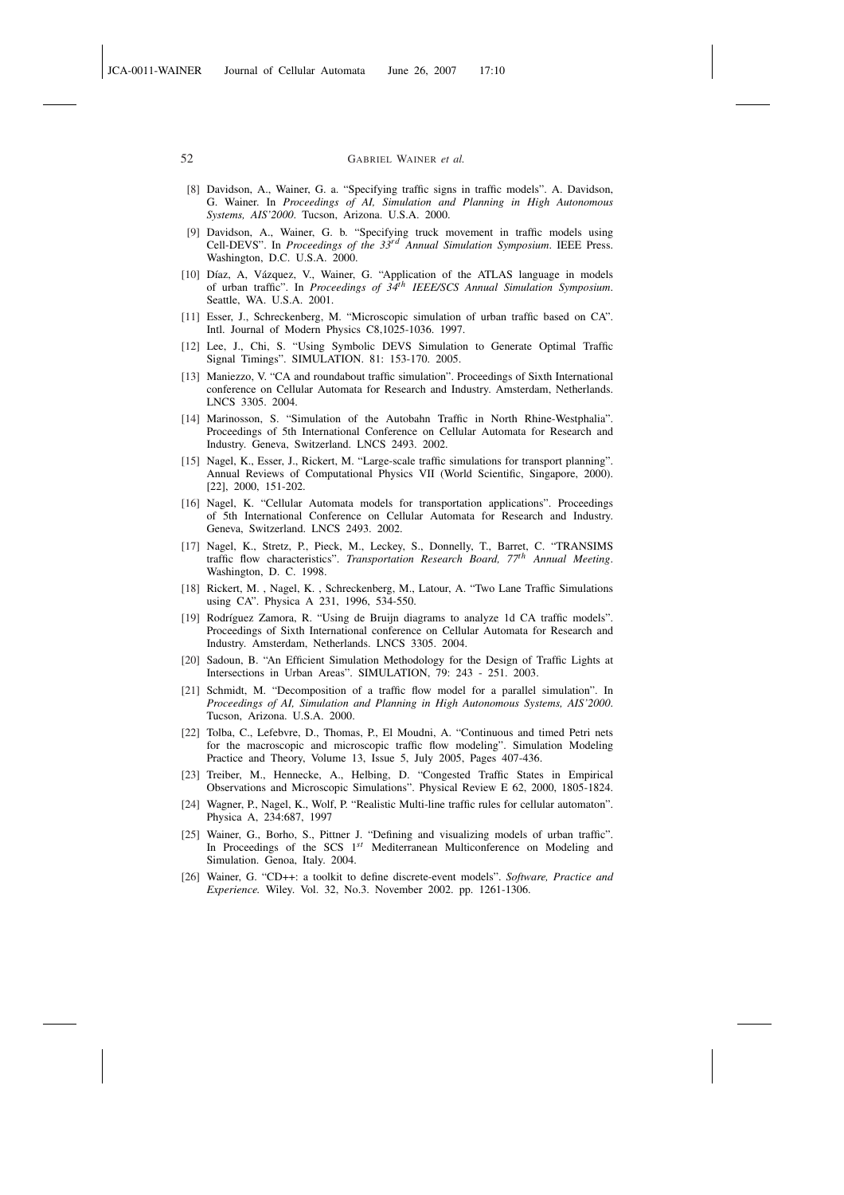- [8] Davidson, A., Wainer, G. a. "Specifying traffic signs in traffic models". A. Davidson, G. Wainer. In *Proceedings of AI, Simulation and Planning in High Autonomous Systems, AIS'2000*. Tucson, Arizona. U.S.A. 2000.
- [9] Davidson, A., Wainer, G. b. "Specifying truck movement in traffic models using Cell-DEVS". In *Proceedings of the 33rd Annual Simulation Symposium*. IEEE Press. Washington, D.C. U.S.A. 2000.
- [10] Díaz, A, Vázquez, V., Wainer, G. "Application of the ATLAS language in models of urban traffic". In *Proceedings of 34th IEEE/SCS Annual Simulation Symposium*. Seattle, WA. U.S.A. 2001.
- [11] Esser, J., Schreckenberg, M. "Microscopic simulation of urban traffic based on CA". Intl. Journal of Modern Physics C8,1025-1036. 1997.
- [12] Lee, J., Chi, S. "Using Symbolic DEVS Simulation to Generate Optimal Traffic Signal Timings". SIMULATION. 81: 153-170. 2005.
- [13] Maniezzo, V. "CA and roundabout traffic simulation". Proceedings of Sixth International conference on Cellular Automata for Research and Industry. Amsterdam, Netherlands. LNCS 3305. 2004.
- [14] Marinosson, S. "Simulation of the Autobahn Traffic in North Rhine-Westphalia". Proceedings of 5th International Conference on Cellular Automata for Research and Industry. Geneva, Switzerland. LNCS 2493. 2002.
- [15] Nagel, K., Esser, J., Rickert, M. "Large-scale traffic simulations for transport planning". Annual Reviews of Computational Physics VII (World Scientific, Singapore, 2000). [22], 2000, 151-202.
- [16] Nagel, K. "Cellular Automata models for transportation applications". Proceedings of 5th International Conference on Cellular Automata for Research and Industry. Geneva, Switzerland. LNCS 2493. 2002.
- [17] Nagel, K., Stretz, P., Pieck, M., Leckey, S., Donnelly, T., Barret, C. "TRANSIMS traffic flow characteristics". *Transportation Research Board, 77th Annual Meeting*. Washington, D. C. 1998.
- [18] Rickert, M. , Nagel, K. , Schreckenberg, M., Latour, A. "Two Lane Traffic Simulations using CA". Physica A 231, 1996, 534-550.
- [19] Rodríguez Zamora, R. "Using de Bruijn diagrams to analyze 1d CA traffic models". Proceedings of Sixth International conference on Cellular Automata for Research and Industry. Amsterdam, Netherlands. LNCS 3305. 2004.
- [20] Sadoun, B. "An Efficient Simulation Methodology for the Design of Traffic Lights at Intersections in Urban Areas". SIMULATION, 79: 243 - 251. 2003.
- [21] Schmidt, M. "Decomposition of a traffic flow model for a parallel simulation". In *Proceedings of AI, Simulation and Planning in High Autonomous Systems, AIS'2000*. Tucson, Arizona. U.S.A. 2000.
- [22] Tolba, C., Lefebvre, D., Thomas, P., El Moudni, A. "Continuous and timed Petri nets for the macroscopic and microscopic traffic flow modeling". Simulation Modeling Practice and Theory, Volume 13, Issue 5, July 2005, Pages 407-436.
- [23] Treiber, M., Hennecke, A., Helbing, D. "Congested Traffic States in Empirical Observations and Microscopic Simulations". Physical Review E 62, 2000, 1805-1824.
- [24] Wagner, P., Nagel, K., Wolf, P. "Realistic Multi-line traffic rules for cellular automaton". Physica A, 234:687, 1997
- [25] Wainer, G., Borho, S., Pittner J. "Defining and visualizing models of urban traffic" In Proceedings of the SCS 1*st* Mediterranean Multiconference on Modeling and Simulation. Genoa, Italy. 2004.
- [26] Wainer, G. "CD++: a toolkit to define discrete-event models". *Software, Practice and Experience.* Wiley. Vol. 32, No.3. November 2002. pp. 1261-1306.